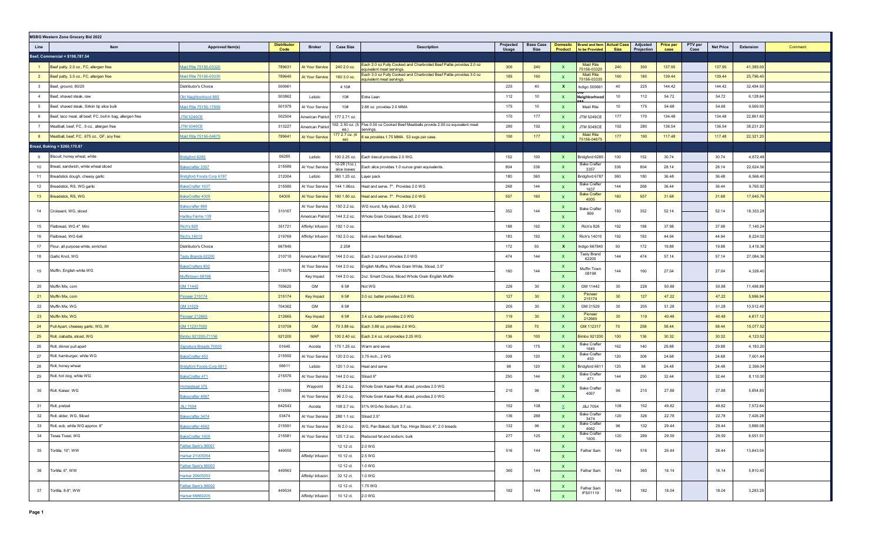|                         | <b>MSBG Western Zone Grocery Bid 2022</b>                 |                                  |                            |                         |                              |                                                                                                   |                    |                          |              |                                                                     |                 |                        |                          |                 |                  |           |         |
|-------------------------|-----------------------------------------------------------|----------------------------------|----------------------------|-------------------------|------------------------------|---------------------------------------------------------------------------------------------------|--------------------|--------------------------|--------------|---------------------------------------------------------------------|-----------------|------------------------|--------------------------|-----------------|------------------|-----------|---------|
| Line                    | Item                                                      | Approved Item(s)                 | <b>Distributor</b><br>Code | <b>Broker</b>           | <b>Case Size</b>             | <b>Description</b>                                                                                | Projected<br>Usage | <b>Base Case</b><br>Size |              | Domestic   Brand and Item   Actual Case  <br>Product to be Provided | <b>Size</b>     | Adjusted<br>Projection | <b>Price per</b><br>case | PTV per<br>Case | <b>Net Price</b> | Extension | Comment |
|                         | Beef, Commercial = \$198,787.54                           |                                  |                            |                         |                              |                                                                                                   |                    |                          |              |                                                                     |                 |                        |                          |                 |                  |           |         |
|                         | Beef patty, 2.0 oz., FC, allergen free                    | Maid Rite 75156-03320            | 789631                     | At Your Service         | 240 2.0 oz.                  | Each 2.0 oz Fully Cooked and Charbroiled Beef Pattie provides 2.0 oz<br>quivalent meat servings   | 300                | 240                      |              | <b>Maid Rite</b><br>75156-03320                                     | 240             | 300                    | 137.95                   |                 | 137.95           | 41,385.00 |         |
| $\overline{2}$          | Beef patty, 3.0 oz., FC, allergen free                    | Maid Rite 75156-03330            | 789640                     | At Your Service         | 160 3.0 oz.                  | Each 3.0 oz Fully Cooked and Charbroiled Beef Pattie provides 3.0 oz<br>equivalent meat servings. | 185                | 160                      | $\mathbf{x}$ | <b>Maid Rite</b><br>75156-03330                                     | 160             | 185                    | 139.44                   |                 | 139.44           | 25,796.40 |         |
| $\overline{\mathbf{3}}$ | Beef, ground, 80/20                                       | Distributor's Choice             | 500661                     |                         | 4 1 0 #                      |                                                                                                   | 225                | 40                       | $\mathbf{x}$ | Indigo 500661                                                       | 40              | 225                    | 144.42                   |                 | 144.42           | 32,494.50 |         |
| $\overline{4}$          | Beef, shaved steak, raw                                   | Old Neighborhood 885             | 503862                     | Letizio                 | 10#                          | Extra Lean                                                                                        | 112                | 10                       | $\mathbf{x}$ | Neighborhood                                                        | 10              | 112                    | 54.72                    |                 | 54.72            | 6,128.64  |         |
| 5                       | Beef, shaved steak, Sirloin tip slice bulk                | Maid Rite 75156-17699            | 501979                     | At Your Service         | 10#                          | 2.66 oz. provides 2.0 MMA                                                                         | 175                | 10                       |              | Maid Rite                                                           | 10              | 175                    | 54.68                    |                 | 54.68            | 9,569.00  |         |
| 6                       | Beef, taco meat, all beef, FC, boil in bag, allergen free | <b>JTM 5249CE</b>                | 502504                     | <b>Imerican Patriot</b> | 177 2.71 oz.                 |                                                                                                   | 170                | 177                      |              | <b>JTM 5249CE</b>                                                   | 177             | 170                    | 134.48                   |                 | 134.48           | 22,861.60 |         |
| $\overline{7}$          | Meatball, beef, FC, .5 oz., allergen free                 | <b>TM 5049CE</b>                 | 313227                     | <b>Imerican Patriot</b> | ea.)                         | 192. 2.50 oz. (5 Five 0.50 oz Cooked Beef Meatballs provide 2.00 oz equivalent meat<br>servings.  | 280                | 192                      | <b>X</b>     | <b>JTM 5049CE</b>                                                   | 192             | 280                    | 136.54                   |                 | 136.54           | 38,231.20 |         |
| 8                       | Meatball, beef, FC, .675 oz., GF, soy free                | Maid Rite 75156-04675            | 789641                     | At Your Service         | 177 2.7 oz. (4<br>ea)        | 6 ea provides 1.75 MMA. 53 svgs per case.                                                         | 190                | 177                      |              | <b>Maid Rite</b><br>75156-04675                                     | 177             | 190                    | 117.48                   |                 | 117.48           | 22,321.20 |         |
|                         | Bread, Baking = \$260,170.87                              |                                  |                            |                         |                              |                                                                                                   |                    |                          |              |                                                                     |                 |                        |                          |                 |                  |           |         |
| -9                      | Biscuit, honey wheat, white                               | ridgford 6285                    | 06285                      | Letizio                 | 100 2.25 oz.                 | Each biscuit provides 2.0 WG.                                                                     | 152                | 100                      | $\mathbf{x}$ | Bridgford 6285                                                      | 100             | 152                    | 30.74                    |                 | 30.74            | 4,672.48  |         |
| 10                      | Bread, sandwich, white wheat sliced                       | lakecrafter 3357                 | 215589                     | At Your Service         | 12-28 (1oz.)<br>slice loaves | Each slice provides 1.0 ounce grain equivalents                                                   | 804                | 336                      |              | <b>Bake Crafter</b><br>3357                                         | 336             | 804                    | 28.14                    |                 | 28.14            | 22,624.56 |         |
| 11                      | Breadstick dough, cheesy garlic                           | <b>Bridgford Foods Corp 6787</b> | 212004                     | Letizio                 | 360 1.25 oz.                 | Layer pack                                                                                        | 180                | 360                      | $\mathbf{x}$ | Bridgford 6787                                                      | 360             | 180                    | 36.48                    |                 | 36.48            | 6,566.40  |         |
| 12                      | Breadstick, RS, WG garlic                                 | BakeCrafter 1637                 | 215580                     | At Your Service         | 144 1.96oz.                  | leat and serve. 7". Provides 2.0 WG                                                               | 268                | 144                      | $\mathbf{x}$ | <b>Bake Crafter</b><br>1637                                         | 144             | 268                    | 36.44                    |                 | 36.44            | 9,765.92  |         |
| 13                      | Breadstick, RS, WG                                        | BakeCrafter 4005                 | 04005                      | At Your Service         | 160 1.80 oz.                 | Heat and serve. 7". Provides 2.0 WG                                                               | 557                | 160                      | $\mathbf{x}$ | <b>Bake Crafter</b><br>4005                                         | 160             | 557                    | 31.68                    |                 | 31.68            | 17,645.76 |         |
| 14                      | Croissant, WG, sliced                                     | Bakecrafter 869                  | 310167                     | At Your Service         | 150 2.2 oz.                  | WG round, fully sliced. 2.0 WG                                                                    | 352                | 144                      | <b>X</b>     | <b>Bake Crafter</b>                                                 | 150             | 352                    | 52.14                    |                 | 52.14            | 18,353.28 |         |
|                         |                                                           | <b>Hadley Farms 139</b>          |                            | American Patrio         | 144 2.2 oz.                  | Whole Grain Croissant, Sliced, 2.0 WG                                                             |                    |                          | $\mathbf{x}$ | 869                                                                 |                 |                        |                          |                 |                  |           |         |
| 15                      | Flatbread, WG 4" Mini                                     | <b>Rich's 828</b>                | 351721                     | Affinity/ Infusion      | 192 1.0 oz.                  |                                                                                                   | 188                | 192                      | $\mathbf{x}$ | Rich's 828                                                          | 192             | 188                    | 37.98                    |                 | 37.98            | 7,140.24  |         |
| 16                      | Flatbread, WG 6x6                                         | <b>Rich's 14010</b>              | 219769                     | Affinity/ Infusion      | 192 2.0 oz.                  | 6x6 oven fired flatbread.                                                                         | 183                | 192                      | $\mathbf{x}$ | Rich's 14010                                                        | 192             | 183                    | 44.94                    |                 | 44.94            | 8,224.02  |         |
| 17                      | Flour, all purpose white, enriched                        | Distributor's Choice             | 667840                     |                         | 2 2 5#                       |                                                                                                   | 172                | 50                       | $\mathbf{x}$ | Indigo 667840                                                       | 50              | 172                    | 19.88                    |                 | 19.88            | 3,419.36  |         |
| 18                      | Garlic Knot, WG                                           | Tasty Brands 62200               | 210710                     | American Patriot        | 144 2.0 oz.                  | Each 2 oz.knot provides 2.0 WG                                                                    | 474                | 144                      |              | Tasty Brand<br>62200                                                | 144             | 474                    | 57.14                    |                 | 57.14            | 27,084.36 |         |
| 19                      | Muffin, English white WG                                  | BakeCrafters 802                 | 215579                     | At Your Service         | 144 2.0 oz.                  | English Muffins, Whole Grain White, Sliced, 3.5"                                                  | 160                | 144                      | $\mathbf{x}$ | Muffin Town                                                         | 144             | 160                    | 27.04                    |                 | 27.04            | 4,326.40  |         |
|                         |                                                           | Muffintown 08198                 |                            | Key Impact              | 144 2.0 oz.                  | 2oz. Smart Choice, Sliced Whole Grain English Muffin                                              |                    |                          | $\mathbf{x}$ | 08198                                                               |                 |                        |                          |                 |                  |           |         |
| 20                      | Muffin Mix, corn                                          | GM 11442                         | 705620                     | GM                      | 6 5#                         | Not WG                                                                                            | 226                | 30                       | $\mathbf{x}$ | GM 11442                                                            | 30              | 226                    | 50.88                    |                 | 50.88            | 11,498.88 |         |
| 21                      | Muffin Mix, corn                                          | Pioneer 215174                   | 215174                     | Key Impact              | 6 5#                         | 3.0 oz. batter provides 2.0 WG.                                                                   | 127                | 30                       | $\mathbf{x}$ | Pioneer<br>215174                                                   | 30 <sup>°</sup> | 127                    | 47.22                    |                 | 47.22            | 5,996.94  |         |
| 22                      | Muffin Mix, WG                                            | GM 31529                         | 704362                     | GM                      | 6 5#                         |                                                                                                   | 205                | 30                       | $\mathbf{x}$ | GM 31529                                                            | 30              | 205                    | 51.28                    |                 | 51.28            | 10,512.40 |         |
| 23                      | Muffin Mix, WG                                            | Pioneer 212665                   | 212665                     | Key Impact              | 6 5#                         | 3.4 oz. batter provides 2.0 WG                                                                    | 119                | 30                       |              | Pioneer<br>212665                                                   | 30 <sup>°</sup> | 119                    | 40.48                    |                 | 40.48            | 4,817.12  |         |
| 24                      | Pull Apart, cheesey garlic, WG, IW                        | GM 112317000                     | 210709                     | GM                      | 70 3.88 oz.                  | Each 3.88 oz. provides 2.0 WG.                                                                    | 258                | 70                       | <b>X</b>     | GM 112317                                                           | 70              | 258                    | 58.44                    |                 | 58.44            | 15,077.52 |         |
| 25                      | Roll, ciabatta, sliced, WG                                | Bimbo 921200-71156               | 921200                     | <b>MAP</b>              | 100 2.40 oz.                 | Each 2.4 oz. roll provides 2.25 WG.                                                               | 136                | 100                      | $\mathbf{x}$ | Bimbo 921200                                                        | 100             | 136                    | 30.32                    |                 | 30.32            | 4,123.52  |         |
| 26                      | Roll, dinner pull apart                                   | Signature Breads 70005           | 01645                      | Acosta                  | 175 1.25 oz.                 | Warm and serve                                                                                    | 130                | 175                      | $\mathbf{x}$ | <b>Bake Crafter</b><br>1645                                         | 162             | 140                    | 29.88                    |                 | 29.88            | 4,183.20  |         |
| 27                      | Roll, hamburger, white WG                                 | BakeCrafter 453                  | 215592                     | At Your Service         | 120 2.0 oz.                  | 3.75 inch., 2 WG                                                                                  | 308                | 120                      | $\mathbf{x}$ | <b>Bake Crafter</b><br>453                                          | 120             | 308                    | 24.68                    |                 | 24.68            | 7,601.44  |         |
| 28                      | Roll, honey wheat                                         | <b>Indgford Foods Corp 6611</b>  | 06611                      | Letizio                 | 120 1.0 oz.                  | leat and serve                                                                                    | 98                 | 120                      | $\mathbf{x}$ | Bridgford 661 <sup>-</sup>                                          | 120             | 98                     | 24.48                    |                 | 24.48            | 2,399.04  |         |
| 29                      | Roll, hot dog, white WG                                   | BakeCrafter 471                  | 215576                     | At Your Service         | 144 2.0 oz.                  | Sliced 6"                                                                                         | 250                | 144                      |              | <b>Bake Crafter</b><br>471                                          | 144             | 250                    | 32.44                    |                 | 32.44            | 8,110.00  |         |
| 30                      | Roll, Kaiser, WG                                          | Homestead 375                    | 215590                     | Waypoint                | 96 2.2 oz.                   | Vhole Grain Kaiser Roll, sliced, provdes 2.0 WG                                                   | 210                | 96                       | X            | <b>Bake Crafter</b><br>4067                                         | 96              | 210                    | 27.88                    |                 | 27.88            | 5,854.80  |         |
|                         |                                                           | Bakecrafter 4067                 |                            | At Your Service         | 96 2.0 oz.                   | Whole Grain Kaiser Roll, sliced, provdes 2.0 WG                                                   |                    |                          | $\mathbf{x}$ |                                                                     |                 |                        |                          |                 |                  |           |         |
| 31                      | Roll, pretzel                                             | <b>8J 7054</b>                   | 642543                     | Acosta                  | 108 2.7 oz.                  | 1% WG-No Sodium, 2.7 oz.                                                                          | 152                | 108                      |              | J&J 7054<br><b>Bake Crafter</b>                                     | 108             | 152                    | 49.82                    |                 | 49.82            | 7,572.64  |         |
| 32                      | Roll, slider, WG, Sliced                                  | Bakecrafter 3474                 | 03474                      | At Your Service         | 288 1.1 oz.                  | Sliced 2.5"                                                                                       | 136                | 288                      | $\mathbf{x}$ | 3474                                                                | 120             | 326                    | 22.78                    |                 | 22.78            | 7,426.28  |         |
| 33                      | Roll, sub, white WG approx. 6"                            | Bakecrafter 4062                 | 215591                     | At Your Service         | 96 2.0 oz.                   | WG, Pan Baked, Split Top, Hinge Sliced, 6", 2.0 breads                                            | 132                | 96                       |              | <b>Bake Crafter</b><br>4062                                         | 96              | 132                    | 29.44                    |                 | 29.44            | 3,886.08  |         |
| 34                      | Texas Toast, WG                                           | BakeCrafter 1605                 | 215581                     | At Your Service         | 125 1.2 oz.                  | Reduced fat and sodium, bulk                                                                      | 277                | 125                      | $\mathbf{x}$ | <b>Bake Crafter</b><br>1605                                         | 120             | 289                    | 29.59                    |                 | 29.59            | 8,551.51  |         |
| 35                      | Tortilla, 10", WW                                         | Father Sam's 96001               | 449555                     |                         | 12 12 ct. 2.0 WG             |                                                                                                   | 516                | 144                      | $\mathbf{x}$ | Father Sam                                                          | 144             | 516                    | 26.44                    |                 | 26.44            | 13,643.04 |         |
|                         |                                                           | Harbar 21005054                  |                            | Affinity/ Infusion      | 10 12 ct.                    | 2.5 WG                                                                                            |                    |                          | $\mathbf{x}$ |                                                                     |                 |                        |                          |                 |                  |           |         |
| 36                      | Tortilla, 6", WW                                          | Father Sam's 96003               | 449563                     |                         | 12 12 ct.                    | 1.0 WG                                                                                            | 360                | 144                      | $\mathbf{x}$ | Father Sam                                                          | 144             | 360                    | 16.14                    |                 | 16.14            | 5,810.40  |         |
|                         |                                                           | Harbar 20605053                  |                            | Affinity/ Infusion      | 32 12 ct.                    | 1.0 WG                                                                                            |                    |                          | $\mathbf{x}$ |                                                                     |                 |                        |                          |                 |                  |           |         |
| 37                      | Tortilla, 8-9", WW                                        | Father Sam's 96002               | 449534                     |                         | 12 12 ct.                    | 1.75 WG                                                                                           | 182                | 144                      | $\mathbf{x}$ | Father Sam<br><b>IFS01119</b>                                       | 144             | 182                    | 18.04                    |                 | 18.04            | 3,283.28  |         |
|                         |                                                           | Harbar 68860205                  |                            | Affinity/ Infusion      | 10 12 ct.                    | 2.0 WG                                                                                            |                    |                          | $\mathbf{x}$ |                                                                     |                 |                        |                          |                 |                  |           |         |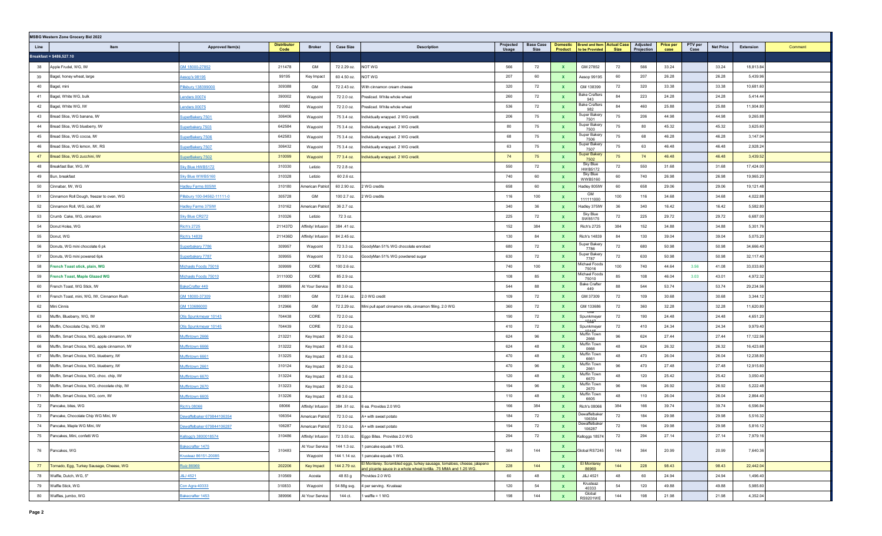|      | <b>MSBG Western Zone Grocery Bid 2022</b>    |                             |                            |                    |                  |                                                                                                                                            |                    |                          |              |                                                                              |      |                        |                          |                 |                  |           |         |
|------|----------------------------------------------|-----------------------------|----------------------------|--------------------|------------------|--------------------------------------------------------------------------------------------------------------------------------------------|--------------------|--------------------------|--------------|------------------------------------------------------------------------------|------|------------------------|--------------------------|-----------------|------------------|-----------|---------|
| Line | Item                                         | Approved Item(s)            | <b>Distributor</b><br>Code | <b>Broker</b>      | <b>Case Size</b> | <b>Description</b>                                                                                                                         | Projected<br>Usage | <b>Base Case</b><br>Size |              | Domestic   Brand and Item   Actual Case  <br><b>Product</b>   to be Provided | Size | Adjusted<br>Projection | <b>Price per</b><br>case | PTV per<br>Case | <b>Net Price</b> | Extension | Comment |
|      | Breakfast = \$486,527.10                     |                             |                            |                    |                  |                                                                                                                                            |                    |                          |              |                                                                              |      |                        |                          |                 |                  |           |         |
| 38   | Apple Frudel, WG, IW                         | SM 18000-27852              | 211478                     | GM                 | 72 2.29 oz.      | NOT WG                                                                                                                                     | 566                | 72                       | $\mathbf{x}$ | GM 27852                                                                     | 72   | 566                    | 33.24                    |                 | 33.24            | 18,813.84 |         |
| 39   | Bagel, honey wheat, large                    | <u><b>Aesop's 98195</b></u> | 99195                      | Key Impact         | 60 4.50 oz.      | NOT WG                                                                                                                                     | 207                | 60                       | X            | Aesop 99195                                                                  | 60   | 207                    | 26.28                    |                 | 26.28            | 5,439.96  |         |
| 40   | Bagel, mini                                  | Pillsbury 138399000         | 309388                     | GM                 | 72 2.43 oz.      | With cinnamon cream cheese                                                                                                                 | 320                | 72                       | <b>X</b>     | GM 138399                                                                    | 72   | 320                    | 33.38                    |                 | 33.38            | 10,681.60 |         |
| 41   | Bagel, White WG, bulk                        | Lenders 00074               | 390002                     | Waypoint           | 72 2.0 oz.       | resliced. White whole wheat                                                                                                                | 260                | 72                       | $\mathbf{x}$ | <b>Bake Crafters</b><br>943                                                  | 84   | 223                    | 24.28                    |                 | 24.28            | 5,414.44  |         |
| 42   | Bagel, White WG, IW                          | Lenders 00075               | 00982                      | Waypoint           | 72 2.0 oz.       | resliced. White whole wheat                                                                                                                | 536                | 72                       | $\mathbf{x}$ | <b>Bake Crafters</b><br>982                                                  | 84   | 460                    | 25.88                    |                 | 25.88            | 11,904.80 |         |
| 43   | Bread Slice, WG banana, IW                   | SuperBakery 7501            | 306406                     | Waypoint           | 75 3.4 oz.       | ndividually wrapped. 2 WG credit                                                                                                           | 206                | 75                       | $\mathbf{x}$ | Super Bakery<br>7501                                                         | 75   | 206                    | 44.98                    |                 | 44.98            | 9,265.88  |         |
| 44   | Bread Slice, WG blueberry, IW                | Superbakery 7503            | 642584                     | Waypoint           | 75 3.4 oz.       | Individually wrapped. 2 WG credit                                                                                                          | 80                 | 75                       | $\mathbf{x}$ | Super Bakery<br>7503                                                         | 75   | 80                     | 45.32                    |                 | 45.32            | 3,625.60  |         |
| 45   | Bread Slice, WG cocoa, IW                    | SuperBakery 7506            | 642583                     | Waypoint           | 75 3.4 oz.       | Individually wrapped. 2 WG credit                                                                                                          | 68                 | 75                       | $\mathbf{x}$ | Super Bakery<br>7506                                                         | 75   | 68                     | 46.28                    |                 | 46.28            | 3,147.04  |         |
| 46   | Bread Slice, WG lemon, IW, RS                | superBakery 7507            | 306432                     | Waypoint           | 75 3.4 oz.       | Individually wrapped. 2 WG credit                                                                                                          | 63                 | 75                       | $\mathbf{x}$ | Super Bakery<br>7507                                                         | 75   | 63                     | 46.48                    |                 | 46.48            | 2,928.24  |         |
| 47   | Bread Slice, WG zucchini, IW                 | SuperBakery 7502            | 310099                     | Waypoint           | 77 3.4 oz.       | Individually wrapped. 2 WG credit                                                                                                          | 74                 | 75                       | X            | Super Bakery<br>7502                                                         | 75   | 74                     | 46.48                    |                 | 46.48            | 3,439.52  |         |
| 48   | Breakfast Bar, WG, IW                        | Sky Blue HWB5172            | 310330                     | Letizio            | 72 2.8 oz.       |                                                                                                                                            | 550                | 72                       | $\mathbf{x}$ | Sky Blue<br><b>HWB5172</b>                                                   | 72   | 550                    | 31.68                    |                 | 31.68            | 17,424.00 |         |
| 49   | Bun, breakfast                               | Sky Blue WWB5160            | 310328                     | Letizio            | 60 2.6 oz.       |                                                                                                                                            | 740                | 60                       | X            | Sky Blue<br><b>WWB5160</b>                                                   | 60   | 740                    | 26.98                    |                 | 26.98            | 19,965.20 |         |
| 50   | Cinnabar, IW, WG                             | <b>Hadley Farms 805IW</b>   | 310180                     | American Patriot   | 60 2.90 oz.      | WG credits                                                                                                                                 | 658                | 60                       | <b>X</b>     | Hadley 805IW                                                                 | 60   | 658                    | 29.06                    |                 | 29.06            | 19,121.48 |         |
| 51   | Cinnamon Roll Dough, freezer to oven, WG     | Pillsbury 100-94562-11111-0 | 305728                     | GM                 | 100 2.7 oz.      | WG credits                                                                                                                                 | 116                | 100                      | $\mathbf{x}$ | GM<br>111111000                                                              | 100  | 116                    | 34.68                    |                 | 34.68            | 4,022.88  |         |
| 52   | Cinnamon Roll, WG, iced, IW                  | <b>Hadley Farms 375IW</b>   | 310162                     | American Patriot   | 36 2.7 oz.       |                                                                                                                                            | 340                | 36                       | <b>X</b>     | Hadley 375IW                                                                 | 36   | 340                    | 16.42                    |                 | 16.42            | 5,582.80  |         |
| 53   | Crumb Cake, WG, cinnamon                     | <b>Sky Blue CR272</b>       | 310326                     | Letizio            | 72 3 oz.         |                                                                                                                                            | 225                | 72                       | <b>X</b>     | Sky Blue<br>SW85175                                                          | 72   | 225                    | 29.72                    |                 | 29.72            | 6,687.00  |         |
| 54   | Donut Holes, WG                              | Rich's 2725                 | 211437D                    | Affinity/ Infusion | 384 .41 oz.      |                                                                                                                                            | 152                | 384                      |              | <b>Rich's 2725</b>                                                           | 384  | 152                    | 34.88                    |                 | 34.88            | 5,301.76  |         |
| 55   | Donut, WG                                    | Rich's 14839                | 211436D                    | Affinity/ Infusion | 84 2.45 oz.      |                                                                                                                                            | 130                | 84                       | <b>X</b>     | <b>Rich's 14839</b>                                                          | 84   | 130                    | 39.04                    |                 | 39.04            | 5,075.20  |         |
| 56   | Donuts, WG mini chocolate 6 pk               | superbakery 7786            | 309957                     | Waypoint           | 72 3.3 oz.       | GoodyMan 51% WG chocolate enrobed                                                                                                          | 680                | 72                       | $\mathbf{x}$ | Super Bakery<br>7786                                                         | 72   | 680                    | 50.98                    |                 | 50.98            | 34,666.40 |         |
| 57   | Donuts, WG mini powered 6pk                  | Superbakery 7787            | 309955                     | Waypoint           | 72 3.0 oz.       | GoodyMan 51% WG powdered sugar                                                                                                             | 630                | 72                       | <b>X</b>     | Super Bakery<br>7787                                                         | 72   | 630                    | 50.98                    |                 | 50.98            | 32,117.40 |         |
| 58   | French Toast stick, plain, WG                | Michaels Foods 75016        | 309999                     | CORE               | 100 2.6 oz.      |                                                                                                                                            | 740                | 100                      | <b>X</b>     | Michael Foods<br>75016                                                       | 100  | 740                    | 44.64                    | 3.56            | 41.08            | 33,033.60 |         |
| 59   | French Toast, Maple Glazed WG                | <u>Michaels Foods 75010</u> | 311100D                    | CORE               | 85 2.9 oz.       |                                                                                                                                            | 108                | 85                       |              | Michael Foods<br>75010                                                       | 85   | 108                    | 46.04                    | 3.03            | 43.01            | 4,972.32  |         |
| 60   | French Toast, WG Stick, IW                   | BakeCrafter 449             | 389995                     | At Your Service    | 88 3.0 oz.       |                                                                                                                                            | 544                | 88                       | X            | <b>Bake Crafter</b><br>449                                                   | 88   | 544                    | 53.74                    |                 | 53.74            | 29,234.56 |         |
| 61   | French Toast, mini, WG, IW, Cinnamon Rush    | GM 18000-37309              | 310851                     | GM                 | 72 2.64 oz.      | 2.0 WG credit                                                                                                                              | 109                | 72                       | $\mathbf{x}$ | GM 37309                                                                     | 72   | 109                    | 30.68                    |                 | 30.68            | 3,344.12  |         |
| 62   | Mini Cinnis                                  | GM 133686000                | 312966                     | GM                 | 72 2.29 oz.      | Mini pull apart cinnamon rolls, cinnamon filling. 2.0 WG                                                                                   | 360                | 72                       | <b>X</b>     | GM 133686                                                                    | 72   | 360                    | 32.28                    |                 | 32.28            | 11,620.80 |         |
| 63   | Muffin, Blueberry, WG, IW                    | Otis Spunkmeyer 10143       | 704438                     | CORE               | 72 2.0 oz.       |                                                                                                                                            | 190                | 72                       | <b>X</b>     | Spunkmeyer                                                                   | 72   | 190                    | 24.48                    |                 | 24.48            | 4,651.20  |         |
| 64   | Muffin, Chocolate Chip, WG, IW               | Otis Spunkmeyer 10145       | 704439                     | CORE               | 72 2.0 oz.       |                                                                                                                                            | 410                | 72                       | X            | ₩m<br>Spunkmeyer                                                             | 72   | 410                    | 24.34                    |                 | 24.34            | 9,979.40  |         |
| 65   | Muffin, Smart Choice, WG, apple cinnamon, IW | Muffintown 2666             | 213221                     | Key Impact         | 96 2.0 oz.       |                                                                                                                                            | 624                | 96                       | <b>X</b>     | Muffin Town<br>2666                                                          | 96   | 624                    | 27.44                    |                 | 27.44            | 17,122.56 |         |
| 66   | Muffin, Smart Choice, WG, apple cinnamon, IW | <b>Muffintown 6666</b>      | 313222                     | Key Impact         | 48 3.6 oz.       |                                                                                                                                            | 624                | 48                       | $\mathbf{x}$ | Muffin Town<br>0666                                                          | 48   | 624                    | 26.32                    |                 | 26.32            | 16,423.68 |         |
| 67   | Muffin, Smart Choice, WG, blueberry, IW      | <b>Muffintown 6661</b>      | 313225                     | Key Impact         | 48 3.6 oz.       |                                                                                                                                            | 470                | 48                       | <b>X</b>     | Muffin Town<br>6661                                                          | 48   | 470                    | 26.04                    |                 | 26.04            | 12,238.80 |         |
| 68   | Muffin, Smart Choice, WG, blueberry, IW      | Muffintown 2661             | 310124                     | Key Impact         | 96 2.0 oz.       |                                                                                                                                            | 470                | 96                       | $\mathbf{x}$ | Muffin Town<br>2661                                                          | 96   | 470                    | 27.48                    |                 | 27.48            | 12,915.60 |         |
| 69   | Muffin, Smart Choice, WG, choc. chip, IW     | <b>Muffintown 6670</b>      | 313224                     | Key Impact         | 48 3.6 oz.       |                                                                                                                                            | 120                | 48                       | X            | Muffin Town<br>6670                                                          | 48   | 120                    | 25.42                    |                 | 25.42            | 3,050.40  |         |
| 70   | Muffin, Smart Choice, WG, chocolate chip, IW | Muffintown 2670             | 313223                     | Key Impact         | 96 2.0 oz.       |                                                                                                                                            | 194                | 96                       | <b>X</b>     | Muffin Town<br>2670                                                          | 96   | 194                    | 26.92                    |                 | 26.92            | 5,222.48  |         |
| 71   | Muffin, Smart Choice, WG, corn, IW           | Muffintown 6605             | 313226                     | Key Impact         | 48 3.6 oz.       |                                                                                                                                            | 110                | 48                       | $\mathbf{x}$ | Muffin Town<br>6605                                                          | 48   | 110                    | 26.04                    |                 | 26.04            | 2,864.40  |         |
| 72   | Pancake, bites, WG                           | <u>Rich's 08066</u>         | 08066                      | Affinity/ Infusion | 384 .51 oz.      | ea. Provides 2.0 WG                                                                                                                        | 166                | 384                      | <b>X</b>     | Rich's 08066                                                                 | 384  | 166                    | 39.74                    |                 | 39.74            | 6,596.84  |         |
| 73   | Pancake, Chocolate Chip WG Mini, IW          | Dewaffelbaker 679844106354  | 106354                     | American Patriot   | 72 3.0 oz.       | A+ with sweet potato                                                                                                                       | 184                | 72                       | <b>X</b>     | Dewaffelbaker<br>106354                                                      | 72   | 184                    | 29.98                    |                 | 29.98            | 5,516.32  |         |
| 74   | Pancake, Maple WG Mini, IW                   | Dewaffelbaker 679844106287  | 106287                     | American Patriot   | 72 3.0 oz.       | A+ with sweet potato                                                                                                                       | 194                | 72                       | X            | 106287                                                                       | 72   | 194                    | 29.98                    |                 | 29.98            | 5,816.12  |         |
| 75   | Pancakes, Mini, confetti WG                  | Kellogg's 3800018574        | 310486                     | Affinity/ Infusion | 72 3.03 oz.      | Eggo Bites. Provides 2.0 WG                                                                                                                | 294                | 72                       | $\mathbf{x}$ | Kelloggs 18574                                                               | 72   | 294                    | 27.14                    |                 | 27.14            | 7,979.16  |         |
| 76   | Pancakes, WG                                 | Bakecrafter 1475            | 310483                     | At Your Service    | 144 1.3 oz.      | 1 pancake equals 1 WG.                                                                                                                     | 364                | 144                      | $\mathbf{x}$ | Global RS7245                                                                | 144  | 364                    | 20.99                    |                 | 20.99            | 7,640.36  |         |
|      |                                              | Krusteaz 86151-20085        |                            | Waypoint           | 144 1.14 oz.     | 1 pancake equals 1 WG.                                                                                                                     |                    |                          | $\mathbf{x}$ |                                                                              |      |                        |                          |                 |                  |           |         |
| 77   | Tornado, Egg, Turkey Sausage, Cheese, WG     | Ruiz 86969                  | 202206                     | Key Impact         | 144 2.79 oz.     | I Monterey. Scrambled eggs, turkey sausage, tomatoes, cheese, jalapeno<br>and picante sauce in a whole wheat tortilla. 75 MMA and 1.25 WG. | 228                | 144                      | $\mathbf{x}$ | <b>El Monterey</b><br>86969                                                  | 144  | 228                    | 98.43                    |                 | 98.43            | 22,442.04 |         |
| 78   | Waffle, Dutch, WG, 5"                        | <b>J&amp;J 4521</b>         | 310569                     | Acosta             | 48 83 g          | Provides 2.0 WG                                                                                                                            | 60                 | 48                       | $\mathbf{x}$ | J&J 4521                                                                     | 48   | 60                     | 24.94                    |                 | 24.94            | 1,496.40  |         |
| 79   | Waffle Stick, WG                             | <b>Con Agra 40333</b>       | 310833                     | Waypoint           | 54 88g svg.      | 4 per serving. Krusteaz                                                                                                                    | 120                | 54                       | <b>X</b>     | Krusteaz<br>40333                                                            | 54   | 120                    | 49.88                    |                 | 49.88            | 5,985.60  |         |
| 80   | Waffles, jumbo, WG                           | Bakecrafter 1453            | 389996                     | At Your Service    | 144 ct.          | waffle = $1$ WG                                                                                                                            | 198                | 144                      | $\mathbf{x}$ | Global<br><b>RS9201WE</b>                                                    | 144  | 198                    | 21.98                    |                 | 21.98            | 4,352.04  |         |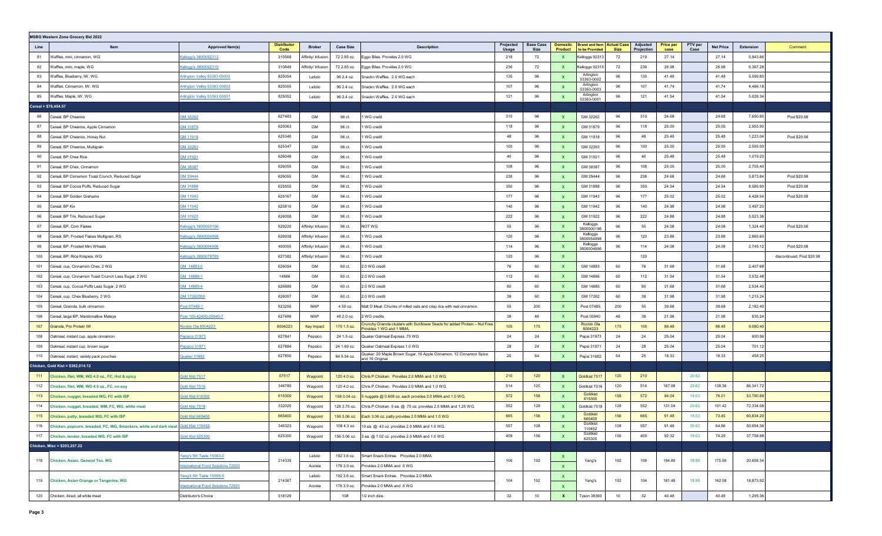|      | <b>MSBG Western Zone Grocery Bid 2022</b>                                             |                                                                                                                                                                                                                                                                                     |                            |                    |                  |                                                                                                        |                    |                                 |                     |                                                       |             |                               |                          |                 |                  |           |                            |
|------|---------------------------------------------------------------------------------------|-------------------------------------------------------------------------------------------------------------------------------------------------------------------------------------------------------------------------------------------------------------------------------------|----------------------------|--------------------|------------------|--------------------------------------------------------------------------------------------------------|--------------------|---------------------------------|---------------------|-------------------------------------------------------|-------------|-------------------------------|--------------------------|-----------------|------------------|-----------|----------------------------|
| Line | Item                                                                                  | Approved Item(s)                                                                                                                                                                                                                                                                    | <b>Distributor</b><br>Code | <b>Broker</b>      | <b>Case Size</b> | <b>Description</b>                                                                                     | Projected<br>Usage | <b>Base Case</b><br><b>Size</b> | Domestic<br>Product | <b>Brand and Item   Actual Case</b><br>to be Provided | <b>Size</b> | <b>Adjusted</b><br>Projection | <b>Price per</b><br>case | PTV per<br>Case | <b>Net Price</b> | Extension | Comment                    |
| 81   | Waffles, mini, cinnamon, WG                                                           | cellogg's 3800092313                                                                                                                                                                                                                                                                | 310568                     | Affinity/ Infusion | 72 2.65 oz.      | Eggo Bites. Provides 2.0 WG                                                                            | 219                | 72                              |                     | Kelloggs 92313                                        | 72          | 219                           | 27.14                    |                 | 27.14            | 5,943.66  |                            |
| 82   | Waffles, mini, maple, WG                                                              | cellogg's 3800092315                                                                                                                                                                                                                                                                | 310849                     | Affinity/ Infusion | 72 2.65 oz.      | Eggo Bites. Provides 2.0 WG                                                                            | 236                | 72                              | <b>X</b>            | Kelloggs 92315                                        | 72          | 236                           | 26.98                    |                 | 26.98            | 6,367.28  |                            |
| 83   | Waffles, Blueberry, IW, WG                                                            | /rlington Valley 53363 00002                                                                                                                                                                                                                                                        | 825054                     | Letizio            | 96 2.4 oz.       | Snackn Waffles. 2.0 WG each                                                                            | 135                | 96                              | X                   | Arlinaton<br>53363-0002                               | 96          | 135                           | 41.48                    |                 | 41.48            | 5,599.80  |                            |
| 84   | Waffles, Cinnamon, IW, WG                                                             | Arlington Valley 53363 00003                                                                                                                                                                                                                                                        | 825055                     | Letizio            | 96 2.4 oz.       | Snackn Waffles. 2.0 WG each                                                                            | 107                | 96                              |                     | Arlington<br>53363-0003                               | 96          | 107                           | 41.74                    |                 | 41.74            | 4,466.18  |                            |
| 85   | Waffles, Maple, IW, WG                                                                | Arlington Valley 53363 00001                                                                                                                                                                                                                                                        | 825052                     | Letizio            | 96 2.4 oz.       | Snackn Waffles. 2.0 WG each                                                                            | 121                | 96                              |                     | Arlington<br>53363-0001                               | 96          | 121                           | 41.54                    |                 | 41.54            | 5,026.34  |                            |
|      | Cereal = $$76,454.57$                                                                 |                                                                                                                                                                                                                                                                                     |                            |                    |                  |                                                                                                        |                    |                                 |                     |                                                       |             |                               |                          |                 |                  |           |                            |
| 86   | Cereal, BP Cheerios                                                                   | GM 32262                                                                                                                                                                                                                                                                            | 627483                     | GM                 | 96 ct.           | I WG credit                                                                                            | 310                | 96                              |                     | GM 32262                                              | 96          | 310                           | 24.68                    |                 | 24.68            | 7,650.80  | Post \$20.98               |
| 87   | Cereal, BP Cheerios, Apple Cinnamon                                                   | 3M 31879                                                                                                                                                                                                                                                                            | 625063                     | GM                 | 96 ct.           | WG credit                                                                                              | 118                | 96                              | X                   | GM 31879                                              | 96          | 118                           | 25.05                    |                 | 25.05            | 2,955.90  |                            |
| 88   | Cereal, BP Cheerios, Honey Nut                                                        | SM 11918                                                                                                                                                                                                                                                                            | 625340                     | GM                 | 96 ct.           | I WG credit                                                                                            | 48                 | 96                              |                     | GM 11918                                              | 96          | 48                            | 25.48                    |                 | 25.48            | 1,223.04  | Post \$20.98               |
| 89   | Cereal, BP Cheerios, Multigrain                                                       | GM 32263                                                                                                                                                                                                                                                                            | 625347                     | GM                 | 96 ct.           | WG credit                                                                                              | 100                | 96                              | $\mathbf{x}$        | GM 32263                                              | 96          | 100                           | 25.05                    |                 | 25.05            | 2,505.00  |                            |
| 90   | Cereal, BP Chex Rice                                                                  | SM 31921                                                                                                                                                                                                                                                                            | 626048                     | GM                 | 96 ct.           | WG credit                                                                                              | 40                 | 96                              | $\mathbf{x}$        | GM 31921                                              | 96          | 40                            | 25.48                    |                 | 25.48            | 1,019.20  |                            |
| 91   | Cereal, BP Chex, Cinnamon                                                             | SM 38387                                                                                                                                                                                                                                                                            | 626050                     | GM                 | 96 ct.           | I WG credit                                                                                            | 108                | 96                              | <b>X</b>            | GM 38387                                              | 96          | 108                           | 25.05                    |                 | 25.05            | 2,705.40  |                            |
| 92   | Cereal, BP Cinnamon Toast Crunch, Reduced Sugar                                       | <u>GM 29444</u>                                                                                                                                                                                                                                                                     | 626055                     | GM                 | 96 ct.           | WG credit                                                                                              | 238                | 96                              | X                   | GM 29444                                              | 96          | 238                           | 24.68                    |                 | 24.68            | 5,873.84  | Post \$20.98               |
| 93   | Cereal, BP Cocoa Puffs, Reduced Sugar                                                 | SM 31888                                                                                                                                                                                                                                                                            | 625555                     | GM                 | 96 ct.           | I WG credit                                                                                            | 350                | 96                              |                     | GM 31888                                              | 96          | 350                           | 24.54                    |                 | 24.54            | 8,589.00  | Post \$20.98               |
| 94   | Cereal, BP Golden Grahams                                                             | GM 11943                                                                                                                                                                                                                                                                            | 625167                     | GM                 | 96 ct.           | I WG credit                                                                                            | 177                | 96                              | X                   | GM 11943                                              | 96          | 177                           | 25.02                    |                 | 25.02            | 4,428.54  | Post \$20.98               |
| 95   | Cereal, BP Kix                                                                        | <u>GM 11942</u>                                                                                                                                                                                                                                                                     | 625810                     | GM                 | 96 ct.           | WG credit                                                                                              | 140                | 96                              | X                   | GM 11942                                              | 96          | 140                           | 24.98                    |                 | 24.98            | 3,497.20  |                            |
| 96   | Cereal, BP Trix, Reduced Sugar                                                        | GM 31922                                                                                                                                                                                                                                                                            | 626058                     | GM                 | 96 ct.           | I WG credit                                                                                            | 222                | 96                              | <b>X</b>            | GM 31922                                              | 96          | 222                           | 24.88                    |                 | 24.88            | 5,523.36  |                            |
| 97   | Cereal, BP, Corn Flakes                                                               | <ellogg's 3800000196<="" td=""><td>629220</td><td>Affinity/ Infusion</td><td>96 ct.</td><td>NOT WG</td><td>55</td><td>96</td><td>X</td><td>Kelloggs<br/>3800000196</td><td>96</td><td>55</td><td>24.08</td><td></td><td>24.08</td><td>1,324.40</td><td>Post \$20.98</td></ellogg's> | 629220                     | Affinity/ Infusion | 96 ct.           | NOT WG                                                                                                 | 55                 | 96                              | X                   | Kelloggs<br>3800000196                                | 96          | 55                            | 24.08                    |                 | 24.08            | 1,324.40  | Post \$20.98               |
| 98   | Cereal, BP, Frosted Flakes Multigrain, RS                                             | Kellogg's 3800054998                                                                                                                                                                                                                                                                | 626938                     | Affinity/ Infusior | 96 ct.           | I WG credit                                                                                            | 120                | 96                              |                     | Kelloggs<br>3800054998                                | 96          | 120                           | 23.88                    |                 | 23.88            | 2,865.60  |                            |
| 99   | Cereal, BP, Frosted Mini Wheats                                                       | <u>Cellogg's 3800004996</u>                                                                                                                                                                                                                                                         | 400055                     | Affinity/ Infusion | 96 ct.           | I WG credit                                                                                            | 114                | 96                              | <b>X</b>            | Kelloggs<br>3800004996                                | 96          | 114                           | 24.08                    |                 | 24.08            | 2,745.12  | Post \$20.98               |
| 100  | Cereal, BP, Rice Krispies, WG                                                         | <u>Cellogg's 3800078789</u>                                                                                                                                                                                                                                                         | 627382                     | Affinity/ Infusior | 96 ct.           | I WG credit                                                                                            | 120                | 96                              | $\mathbf{x}$        |                                                       |             | 120                           |                          |                 |                  |           | discontinued; Post \$20.98 |
| 101  | Cereal, cup, Cinnamon Chex, 2 WG                                                      | <u>GM 14883-0</u>                                                                                                                                                                                                                                                                   | 626054                     | GM                 | 60 ct.           | 2.0 WG credit                                                                                          | 76                 | 60                              | <b>X</b>            | GM 14883                                              | 60          | 76                            | 31.68                    |                 | 31.68            | 2,407.68  |                            |
| 102  | Cereal, cup, Cinnamon Toast Crunch Less Sugar, 2 WG                                   | GM 14886-1                                                                                                                                                                                                                                                                          | 14886                      | GM                 | 60 ct.           | 2.0 WG credit                                                                                          | 112                | 60                              | X                   | GM 14886                                              | 60          | 112                           | 31.54                    |                 | 31.54            | 3,532.48  |                            |
| 103  | Cereal, cup, Cocoa Puffs Less Sugar, 2 WG                                             | GM 14885-4                                                                                                                                                                                                                                                                          | 626889                     | GM                 | 60 ct.           | 2.0 WG credit                                                                                          | 80                 | 60                              |                     | GM 14885                                              | 60          | 80                            | 31.68                    |                 | 31.68            | 2,534.40  |                            |
| 104  | Cereal, cup, Chex Blueberry, 2 WG                                                     | 3M 17262000                                                                                                                                                                                                                                                                         | 626057                     | GM                 | 60 ct.           | 2.0 WG credit                                                                                          | 38                 | 60                              | $\mathbf{x}$        | GM 17262                                              | 60          | 38                            | 31.98                    |                 | 31.98            | 1,215.24  |                            |
| 105  | Cereal, Granola, bulk cinnamon                                                        | Post 07485-1                                                                                                                                                                                                                                                                        | 623295                     | MAP                | 4 50 oz.         | Malt O Meal. Chunks of rolled oats and crisp rice with real cinnamon.                                  | 55                 | 200                             | X                   | Post 07485                                            | 200         | 55                            | 39.68                    |                 | 39.68            | 2,182.40  |                            |
| 106  | Cereal, large BP, Marshmallow Mateys                                                  | Post 100-42400-05940-7                                                                                                                                                                                                                                                              | 627486                     | MAP                | 48 2.0 oz.       | 2 WG credits                                                                                           | 38                 | 48                              | <b>X</b>            | Post 05940                                            | 48          | 38                            | 21.98                    |                 | 21.98            | 835.24    |                            |
| 107  | Granola, Pro Protein IW                                                               | Rockin Ola 8004223                                                                                                                                                                                                                                                                  | 8004223                    | Key Impact         | 175 1.5 oz.      | Crunchy Granola clusters with Sunflower Seeds for added Protein - Nut Free.<br>Provides 1 WG and 1 MMA | 105                | 175                             | X                   | Rockin Ola<br>8004223                                 | 175         | 105                           | 86.48                    |                 | 86.48            | 9,080.40  |                            |
| 108  | Oatmeal, instant cup, apple cinnamon                                                  | Pepsico 31973                                                                                                                                                                                                                                                                       | 627841                     | Pepsico            | 24 1.5 oz.       | Quaker Oatmeal Express .75 WG                                                                          | 24                 | 24                              |                     | Pepsi 31973                                           | 24          | 24                            | 25.04                    |                 | 25.04            | 600.96    |                            |
| 109  | Oatmeal, instant cup, brown sugar                                                     | Pepsico 31971                                                                                                                                                                                                                                                                       | 627884                     | Pepsico            | 24 1.69 oz.      | Quaker Oatmeal Express 1.0 WG                                                                          | 28                 | 24                              |                     | Pepsi 31971                                           | 24          | 28                            | 25.04                    |                 | 25.04            | 701.12    |                            |
| 110  | Oatmeal, instant, variety pack pouches                                                | Quaker 31682                                                                                                                                                                                                                                                                        | 627850                     | Pepsico            | 64 5.54 oz.      | Quaker. 20 Maple Brown Sugar, 16 Apple Cinnamon, 12 Cinnamon Spice<br>and 16 Original                  | 25                 | 64                              | $\mathbf{x}$        | Pepsi 31682                                           | 64          | 25                            | 18.33                    |                 | 18.33            | 458.25    |                            |
|      | Chicken, Gold Kist = \$362,014.12                                                     |                                                                                                                                                                                                                                                                                     |                            |                    |                  |                                                                                                        |                    |                                 |                     |                                                       |             |                               |                          |                 |                  |           |                            |
| 111  | Chicken, filet, WM, WG 4.0 oz., FC, Hot & spicy                                       | Gold Kist 7517                                                                                                                                                                                                                                                                      | 07517                      | Waypoint           | 120 4.0 oz.      | Chris P.Chicken. Provides 2.0 MMA and 1.0 WG.                                                          | 210                | 120                             | X                   | Goldkist 7517                                         | 120         | 210                           |                          | 29.62           |                  |           |                            |
| 112  | Chicken, filet, WM, WG 4.0 oz., FC, no soy                                            | Gold Kist 7516                                                                                                                                                                                                                                                                      | 346780                     | Waypoint           | 120 4.0 oz.      | Chris P.Chicken. Provides 2.0 MMA and 1.0 WG.                                                          | 514                | 120                             |                     | Goldkist 7516                                         | 120         | 514                           | 167.98                   | 29.62           | 138.36           | 86,341.72 |                            |
| 113  | Chicken, nugget, breaded WG, FC with ISP                                              | Gold Kist 615300                                                                                                                                                                                                                                                                    | 615300                     | Waypoint           | 158 3.04 oz.     | 5 nuggets @ 0.608 oz. each provides 2.0 MMA and 1.0 WG.                                                | 572                | 158                             | X                   | Goldkist<br>615300                                    | 158         | 572                           | 94.04                    | 18.03           | 76.01            | 53,790.88 |                            |
| 114  | Chicken, nugget, breaded, WM, FC, WG, white meat                                      | <b>Gold Kist 7518</b>                                                                                                                                                                                                                                                               | 332020                     | Waypoint           | 128 3.75 oz.     | Chris P Chicken. 5 ea. @ .75 oz. provides 2.0 MMA and 1.25 WG.                                         | 552                | 128                             |                     | Goldkist 7518                                         | 128         | 552                           | 131.04                   | 29.62           | 101.42           | 72,334.08 |                            |
| 115  | Chicken, patty, breaded WG, FC with ISP                                               | Gold Kist 665400                                                                                                                                                                                                                                                                    | 665400                     | Waypoint           | 156 3.06 oz.     | Each 3.06 oz. patty provides 2.0 MMA and 1.0 WG                                                        | 665                | 156                             |                     | Goldkist<br>665400                                    | 156         | 665                           | 91.48                    | 18.03           | 73.45            | 60,834.20 |                            |
|      | 116 Chicken, popcorn, breaded, FC, WG, Smackers, white and dark meat Gold Kist 110452 |                                                                                                                                                                                                                                                                                     | 346323                     | Waypoint           |                  | 108 4.3 oz. 10 ea. @ .43 oz. provides 2.0 MMA and 1.0 WG.                                              | 557                | 108                             | X                   | Goldkis<br>110452                                     | 108         | 557                           | 91.48                    | 26.62           | 64.86            | 50,954.36 |                            |
|      | 117 Chicken, tender, breaded WG, FC with ISP                                          | <b>Gold Kist 625300</b>                                                                                                                                                                                                                                                             | 625300                     | Waypoint           | 156 3.06 oz.     | 3 ea. @ 1.02 oz. provides 2.0 MMA and 1.0 WG                                                           | 409                | 156                             | $\mathbf{x}$        | Goldkist<br>625300                                    | 156         | 409                           | 92.32                    | 18.03           | 74.29            | 37,758.88 |                            |
|      | Chicken, Misc = \$203,257.22                                                          |                                                                                                                                                                                                                                                                                     |                            |                    |                  |                                                                                                        |                    |                                 |                     |                                                       |             |                               |                          |                 |                  |           |                            |
|      | 118 Chicken, Asian, General Tso, WG                                                   | Yang's 5th Taste 15563-0                                                                                                                                                                                                                                                            | 214339                     | Letizio            | 192 3.6 oz.      | Smart Snack Entree. Provides 2.0 MMA                                                                   | 106                | 192                             |                     | Yang's                                                | 192         | 106                           | 194.89                   | 18.90           | 175.99           | 20,658.34 |                            |
|      |                                                                                       | nternational Food Solutions 72003                                                                                                                                                                                                                                                   |                            | Acosta             | 176 3.9 oz.      | Provides 2.0 MMA and .5 WG                                                                             |                    |                                 | $\mathbf{x}$        |                                                       |             |                               |                          |                 |                  |           |                            |
|      | 119 Chicken, Asian Orange or Tangerine, WG                                            | Yang's 5th Taste 15555-5                                                                                                                                                                                                                                                            | 214367                     | Letizio            | 192 3.6 oz.      | Smart Snack Entree. Provides 2.0 MMA                                                                   | 104                | 192                             | X.                  | Yang's                                                | 192         | 104                           | 181.48                   | 18.90           | 162.58           | 18,873.92 |                            |
|      |                                                                                       | <b>International Food Solutions 72001</b>                                                                                                                                                                                                                                           |                            | Acosta             | 176 3.9 oz.      | Provides 2.0 MMA and .5 WG                                                                             |                    |                                 | $\mathbf{x}$        |                                                       |             |                               |                          |                 |                  |           |                            |
|      | 120 Chicken, diced, all white meat                                                    | Distributor's Choice                                                                                                                                                                                                                                                                | 518129                     |                    | 10#              | 1/2 inch dice.                                                                                         | 32                 | 10                              | $\mathbf{x}$        | <b>Tyson 38360</b>                                    | 10          | 32                            | 40.48                    |                 | 40.48            | 1,295.36  |                            |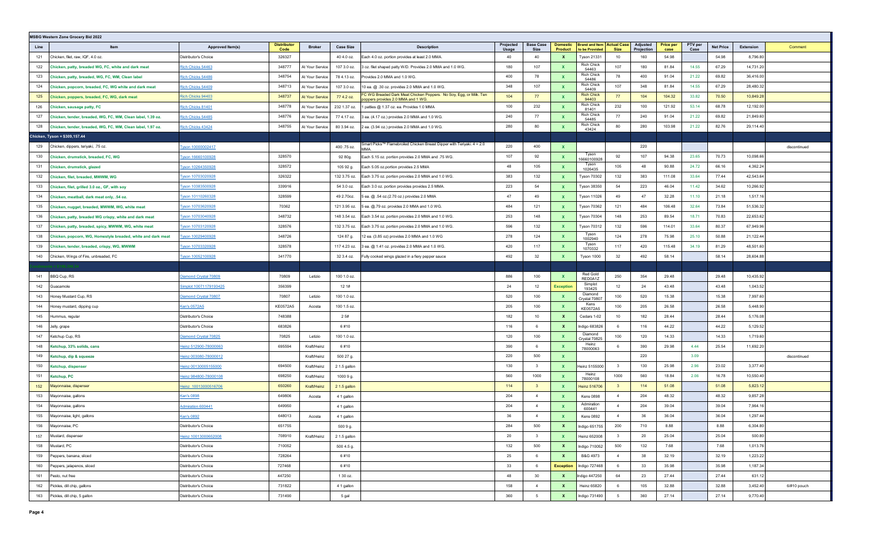| <b>MSBG Western Zone Grocery Bid 2022</b>                           |                              |                            |                        |                  |                                                                                                         |                    |                          |                                   |                                                       |                         |                        |                          |                 |                  |           |              |
|---------------------------------------------------------------------|------------------------------|----------------------------|------------------------|------------------|---------------------------------------------------------------------------------------------------------|--------------------|--------------------------|-----------------------------------|-------------------------------------------------------|-------------------------|------------------------|--------------------------|-----------------|------------------|-----------|--------------|
| Line<br>Item                                                        | Approved Item(s)             | <b>Distributor</b><br>Code | <b>Broker</b>          | <b>Case Size</b> | <b>Description</b>                                                                                      | Projected<br>Usage | <b>Base Case</b><br>Size | <b>Domestic</b><br><b>Product</b> | <b>Brand and Item   Actual Case</b><br>to be Provided | <b>Size</b>             | Adjusted<br>Projection | <b>Price per</b><br>case | PTV per<br>Case | <b>Net Price</b> | Extension | Comment      |
| Chicken, filet, raw, IQF, 4.0 oz.<br>121                            | Distributor's Choice         | 326327                     |                        | 40 4.0 oz.       | Each 4.0 oz. portion provides at least 2.0 MMA.                                                         | 40                 | 40                       | X                                 | <b>Tyson 21331</b>                                    | 10                      | 160                    | 54.98                    |                 | 54.98            | 8,796.80  |              |
| 122<br>Chicken, patty, breaded WG, FC, white and dark meat          | Rich Chicks 54463            | 348777                     | At Your Service        | 107 3.0 oz.      | 3 oz. filet shaped patty W/D. Provides 2.0 MMA and 1.0 WG.                                              | 180                | 107                      |                                   | Rich Chick<br>54463                                   | 107                     | 180                    | 81.84                    | 14.55           | 67.29            | 14,731.20 |              |
| 123<br>Chicken, patty, breaded, WG, FC, WM, Clean label             | Rich Chicks 54486            | 348754                     | At Your Service        | 78 4.13 oz.      | Provides 2.0 MMA and 1.0 WG.                                                                            | 400                | 78                       | $\mathbf{x}$                      | Rich Chick<br>54486                                   | 78                      | 400                    | 91.04                    | 21.22           | 69.82            | 36,416.00 |              |
| 124<br>Chicken, popcorn, breaded, FC, WG white and dark meat        | Rich Chicks 54409            | 348713                     | At Your Service        | 107 3.0 oz.      | 10 ea. @ .30 oz. provides 2.0 MMA and 1.0 WG.                                                           | 348                | 107                      | $\mathbf{x}$                      | Rich Chick<br>54409                                   | 107                     | 348                    | 81.84                    | 14.55           | 67.29            | 28,480.32 |              |
| 125<br>Chicken, poppers, breaded, FC, WG, dark meat                 | Rich Chicks 94403            | 348737                     | <b>At Your Service</b> | 77 4.2 oz.       | FC WG Breaded Dark Meat Chicken Poppers. No Soy, Egg, or Milk. Ten<br>oppers provides 2.0 MMA and 1 WG. | 104                | 77                       | $\mathbf{x}$                      | <b>Rich Chick</b><br>94403                            | 77                      | 104                    | 104.32                   | 33.82           | 70.50            | 10,849.28 |              |
| 126<br>Chicken, sausage patty, FC                                   | Rich Chicks 81401            | 348778                     | At Your Service        | 232 1.37 oz.     | I patties @ 1.37 oz. ea. Provides 1.0 MMA                                                               | 100                | 232                      | $\mathbf{x}$                      | Rich Chick<br>81401                                   | 232                     | 100                    | 121.92                   | 53.14           | 68.78            | 12,192.00 |              |
| 127<br>Chicken, tender, breaded, WG, FC, WM, Clean label, 1.39 oz.  | Rich Chicks 54485            | 348776                     | At Your Service        | 77 4.17 oz.      | 8 ea. (4.17 oz.) provides 2.0 MMA and 1.0 WG.                                                           | 240                | 77                       | <b>X</b>                          | Rich Chick<br>54485                                   | 77                      | 240                    | 91.04                    | 21.22           | 69.82            | 21,849.60 |              |
| 128<br>Chicken, tender, breaded, WG, FC, WM, Clean label, 1.97 oz.  | Rich Chicks 43424            | 348755                     | At Your Service        | 80 3.94 oz.      | ? ea. (3.94 oz.) provides 2.0 MMA and 1.0 WG.                                                           | 280                | 80                       |                                   | Rich Chick<br>43424                                   | 80                      | 280                    | 103.98                   | 21.22           | 82.76            | 29,114.40 |              |
| Chicken, Tyson = \$309,157.44                                       |                              |                            |                        |                  |                                                                                                         |                    |                          |                                   |                                                       |                         |                        |                          |                 |                  |           |              |
| 129<br>Chicken, dippers, teriyaki, .75 oz.                          | Tyson 10000002417            |                            |                        | 400 .75 oz.      | Smart Picks™ Flamebroiled Chicken Breast Dipper with Teriyaki. 4 = 2.0<br>MMA                           | 220                | 400                      | $\mathbf{x}$                      |                                                       |                         | 220                    |                          |                 |                  |           | discontinued |
| 130<br>Chicken, drumstick, breaded, FC, WG                          | Tyson 16660100928            | 328570                     |                        | 92 80g.          | Each 5.15 oz. portion provides 2.0 MMA and .75 WG.                                                      | 107                | 92                       | $\mathbf{x}$                      | Tyson<br>16660100928                                  | 92                      | 107                    | 94.38                    | 23.65           | 70.73            | 10,098.66 |              |
| 131<br>Chicken, drumstick, glazed                                   | Tyson 10264350928            | 328572                     |                        | 105 92 g.        | Each 5.05 oz.portion provides 2.5 MMA                                                                   | 48                 | 105                      | <b>X</b>                          | Tyson<br>1026435                                      | 105                     | 48                     | 90.88                    | 24.72           | 66.16            | 4,362.24  |              |
| 132<br>Chicken, filet, breaded, MWWM, WG                            | Tyson 10703020928            | 326322                     |                        | 132 3.75 oz.     | Each 3.75 oz. portion provides 2.0 MMA and 1.0 WG.                                                      | 383                | 132                      | $\mathbf{x}$                      | <b>Tyson 70302</b>                                    | 132                     | 383                    | 111.08                   | 33.64           | 77.44            | 42,543.64 |              |
| 133<br>Chicken, filet, grilled 3.0 oz., GF, with soy                | Tyson 10383500928            | 339916                     |                        | 54 3.0 oz.       | Each 3.0 oz. portion provides provides 2.5 MMA.                                                         | 223                | 54                       | $\mathbf{x}$                      | <b>Tyson 38350</b>                                    | 54                      | 223                    | 46.04                    | 11.42           | 34.62            | 10,266.92 |              |
| 134<br>Chicken, meatball, dark meat only, .54 oz.                   | Tyson 10110260328            | 328599                     |                        | 49 2.70oz.       | 5 ea. @ .54 oz.(2.70 oz.) provides 2.0 MMA                                                              | 47                 | 49                       | $\mathbf{x}$                      | <b>Tyson 11026</b>                                    | 49                      | 47                     | 32.28                    | 11.10           | 21.18            | 1,517.16  |              |
| 135<br>Chicken, nugget, breaded, MWWM, WG, white meat               | Tyson 10703620928            | 70362                      |                        | 121 3.95 oz.     | $5$ ea. $@.79$ oz. provides 2.0 MMA and 1.0 WG.                                                         | 484                | 121                      | X                                 | <b>Tyson 70362</b>                                    | 121                     | 484                    | 106.48                   | 32.64           | 73.84            | 51,536.32 |              |
| 136<br>Chicken, patty, breaded WG crispy, white and dark meat       | Tyson 10703040928            | 348732                     |                        | 148 3.54 oz.     | Each 3.54 oz. portion provides 2.0 MMA and 1.0 WG.                                                      | 253                | 148                      | <b>X</b>                          | <b>Tyson 70304</b>                                    | 148                     | 253                    | 89.54                    | 18.71           | 70.83            | 22,653.62 |              |
| 137<br>Chicken, patty, breaded, spicy, MWWM, WG, white meat         | Tyson 10703120928            | 328576                     |                        | 132 3.75 oz.     | Each 3.75 oz. portion provides 2.0 MMA and 1.0 WG.                                                      | 596                | 132                      | $\mathbf{x}$                      | <b>Tyson 70312</b>                                    | 132                     | 596                    | 114.01                   | 33.64           | 80.37            | 67,949.96 |              |
| 138<br>Chicken, popcorn, WG, Homestyle breaded, white and dark meat | Tyson 10029400928            | 348726                     |                        | 124 87 g.        | 12 ea. (3.85 oz) provides 2.0 MMA and 1.0 WG                                                            | 278                | 124                      | $\mathbf{x}$                      | Tyson<br>1002940                                      | 124                     | 278                    | 75.98                    | 25.10           | 50.88            | 21,122.44 |              |
| 139<br>Chicken, tender, breaded, crispy, WG, MWWM                   | Tyson 10703320928            | 328578                     |                        | 117 4.23 oz.     | 3 ea. @ 1.41 oz. provides 2.0 MMA and 1.0 WG.                                                           | 420                | 117                      | $\mathbf{x}$                      | Tyson<br>1070332                                      | 117                     | 420                    | 115.48                   | 34.19           | 81.29            | 48,501.60 |              |
| Chicken, Wings of Fire, unbreaded, FC<br>140                        | Tyson 10052100928            | 341770                     |                        | 32 3.4 oz.       | Fully cooked wings glazed in a fiery pepper sauce                                                       | 492                | 32                       |                                   | Tyson 1000                                            | 32                      | 492                    | 58.14                    |                 | 58.14            | 28,604.88 |              |
|                                                                     |                              |                            |                        |                  |                                                                                                         |                    |                          |                                   |                                                       |                         |                        |                          |                 |                  |           |              |
| BBQ Cup, RS<br>141                                                  | <b>Diamond Crystal 70809</b> | 70809                      | Letizio                | 100 1.0 oz.      |                                                                                                         | 886                | 100                      |                                   | Red Gold<br>RED0A1Z                                   | 250                     | 354                    | 29.48                    |                 | 29.48            | 10,435.92 |              |
| 142<br>Guacamole                                                    | Simplot 10071179193425       | 356399                     |                        | 12.1#            |                                                                                                         | 24                 | 12                       | <b>Exception</b>                  | Simplot<br>193425                                     | 12                      | 24                     | 43.48                    |                 | 43.48            | 1,043.52  |              |
| Honey Mustard Cup, RS<br>143                                        | Diamond Crystal 70807        | 70807                      | Letizio                | 100 1.0 oz.      |                                                                                                         | 520                | 100                      | $\mathbf{x}$                      | Diamond<br>Crystal 70807                              | 100                     | 520                    | 15.38                    |                 | 15.38            | 7,997.60  |              |
| 144<br>Honey mustard, dipping cup                                   | Ken's 0572A5                 | KE0572A5                   | Acosta                 | 100 1.5 oz.      |                                                                                                         | 205                | 100                      | $\mathbf{x}$                      | Kens<br>KE0572A5                                      | 100                     | 205                    | 26.58                    |                 | 26.58            | 5,448.90  |              |
| 145<br>Hummus, regular                                              | Distributor's Choice         | 748388                     |                        | 2.5#             |                                                                                                         | 182                | 10                       | $\mathbf{x}$                      | Cedars 1-02                                           | 10 <sup>10</sup>        | 182                    | 28.44                    |                 | 28.44            | 5,176.08  |              |
| 146<br>Jelly, grape                                                 | Distributor's Choice         | 683826                     |                        | 6#10             |                                                                                                         | 116                | 6                        | $\mathbf{x}$                      | Indigo 683826                                         | 6                       | 116                    | 44.22                    |                 | 44.22            | 5,129.52  |              |
| 147<br>Ketchup Cup, RS                                              | Diamond Crystal 70825        | 70825                      | Letizio                | 100 1.0 oz.      |                                                                                                         | 120                | 100                      | $\mathbf{x}$                      | Diamond<br>Crystal 70825                              | 100                     | 120                    | 14.33                    |                 | 14.33            | 1,719.60  |              |
| 148<br>Ketchup, 33% solids, cans                                    | <u>Heinz 512900-78000063</u> | 695594                     | Kraft/Heinz            | 6#10             |                                                                                                         | 390                | 6                        | $\mathbf{x}$                      | Heinz<br>78000063                                     | 6                       | 390                    | 29.98                    | 4.44            | 25.54            | 11,692.20 |              |
| 149<br>Ketchup, dip & squeeze                                       | <u>Heinz 003080-78000012</u> |                            | Kraft/Heinz            | 500 27 g.        |                                                                                                         | 220                | 500                      | $\mathbf{x}$                      |                                                       |                         | 220                    |                          | 3.09            |                  |           | discontinued |
| 150<br>Ketchup, dispenser                                           | deinz 00130005155000         | 694500                     | Kraft/Heinz            | 2 1.5 gallon     |                                                                                                         | 130                | $\overline{\mathbf{3}}$  | <b>X</b>                          | Heinz 5155000                                         | $\mathbf{3}$            | 130                    | 25.98                    | 2.96            | 23.02            | 3,377.40  |              |
| 151<br>Ketchup, PC                                                  | deinz 984800-78000108        | 698250                     | Kraft/Heinz            | 1000 9 g.        |                                                                                                         | 560                | 1000                     | $\mathbf{x}$                      | Heinz<br>78000108                                     | 1000                    | 560                    | 18.84                    | 2.06            | 16.78            | 10,550.40 |              |
| 152<br>Mayonnaise, dispenser                                        | Heinz 10013000516706         | 650260                     | Kraft/Heinz            | 2 1.5 gallon     |                                                                                                         | 114                | $\overline{\mathbf{3}}$  | $\mathbf{x}$                      | Heinz 516706                                          | $\overline{\mathbf{3}}$ | 114                    | 51.08                    |                 | 51.08            | 5,823.12  |              |
| 153<br>Mayonnaise, gallons                                          | Ken's 0898                   | 649806                     | Acosta                 | 4 1 gallon       |                                                                                                         | 204                | $\overline{4}$           | $\mathbf{x}$                      | <b>Kens 0898</b>                                      | $\overline{4}$          | 204                    | 48.32                    |                 | 48.32            | 9,857.28  |              |
| 154<br>Mayonnaise, gallons                                          | Admiration 600441            | 649950                     |                        | 4 1 gallon       |                                                                                                         | 204                | $\overline{4}$           | X                                 | Admiration<br>600441                                  | $\overline{4}$          | 204                    | 39.04                    |                 | 39.04            | 7,964.16  |              |
| 155<br>Mayonnaise, light, gallons                                   | Ken's 0892                   | 648013                     | Acosta                 | 4 1 gallon       |                                                                                                         | 36                 | $\overline{4}$           |                                   | <b>Kens 0892</b>                                      | $\overline{4}$          | 36                     | 36.04                    |                 | 36.04            | 1,297.44  |              |
| 156<br>Mayonnaise, PC                                               | Distributor's Choice         | 651755                     |                        | 500 9 g.         |                                                                                                         | 284                | 500                      | X                                 | Indigo 651755                                         | 200                     | 710                    | 8.88                     |                 | 8.88             | 6,304.80  |              |
| 157<br>Mustard, dispenser                                           | Heinz 10013000652008         | 708910                     | Kraft/Heinz            | 2 1.5 gallon     |                                                                                                         | 20                 | $\overline{\mathbf{3}}$  | $\mathbf{x}$                      | Heinz 652008                                          | $\overline{\mathbf{3}}$ | 20                     | 25.04                    |                 | 25.04            | 500.80    |              |
| 158<br>Mustard, PC                                                  | Distributor's Choice         | 710052                     |                        | 500 4.5 g.       |                                                                                                         | 132                | 500                      | $\mathbf{x}$                      | Indigo 710052                                         | 500                     | 132                    | 7.68                     |                 | 7.68             | 1,013.76  |              |
| 159<br>Peppers, banana, sliced                                      | Distributor's Choice         | 728264                     |                        | 6#10             |                                                                                                         | 25                 | 6                        | $\mathbf{x}$                      | <b>B&amp;G 4973</b>                                   | $\overline{4}$          | 38                     | 32.19                    |                 | 32.19            | 1,223.22  |              |
| 160<br>Peppers, jalapenos, sliced                                   | Distributor's Choice         | 727468                     |                        | 6#10             |                                                                                                         | 33                 | 6                        | <b>Exception</b>                  | Indigo 727468                                         | 6                       | 33                     | 35.98                    |                 | 35.98            | 1,187.34  |              |
| 161<br>Pesto, nut free                                              | Distributor's Choice         | 447250                     |                        | 1 30 oz.         |                                                                                                         | 48                 | 30                       | $\mathbf{x}$                      | ndigo 447250                                          | 64                      | 23                     | 27.44                    |                 | 27.44            | 631.12    |              |
| Pickles, dill chip, gallons<br>162                                  | Distributor's Choice         | 731822                     |                        | 4 1 gallon       |                                                                                                         | 158                | $\overline{4}$           | $\mathbf{x}$                      | <b>Heinz 65820</b>                                    | 6                       | 105                    | 32.88                    |                 | 32.88            | 3,452.40  | 6/#10 pouch  |
| 163<br>Pickles, dill chip, 5 gallon                                 | Distributor's Choice         | 731490                     |                        | 5 gal            |                                                                                                         | 360                | 5                        | $\mathbf{x}$                      | Indigo 731490                                         | 5                       | 360                    | 27.14                    |                 | 27.14            | 9,770.40  |              |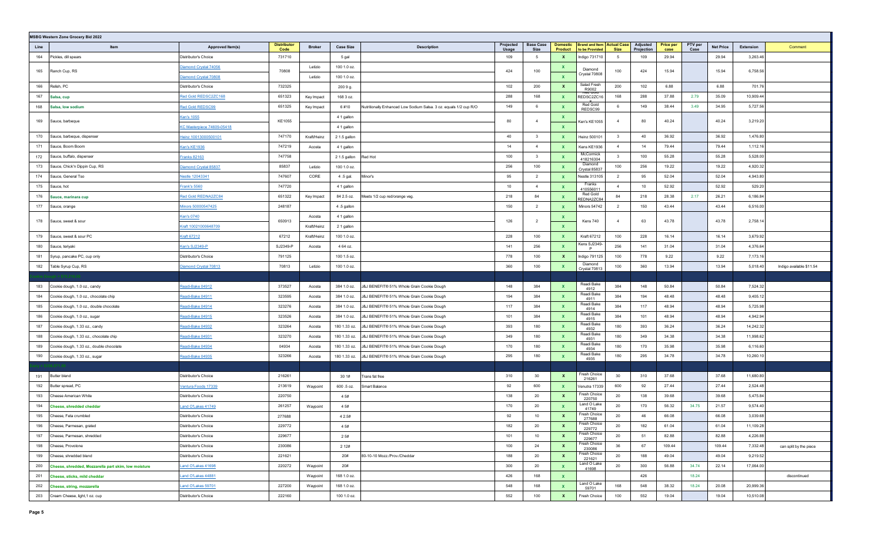|      | <b>MSBG Western Zone Grocery Bid 2022</b>            |                               |                            |               |                  |                                                                   |                    |                          |                            |                                                     |                         |                        |                          |                 |                  |           |                          |
|------|------------------------------------------------------|-------------------------------|----------------------------|---------------|------------------|-------------------------------------------------------------------|--------------------|--------------------------|----------------------------|-----------------------------------------------------|-------------------------|------------------------|--------------------------|-----------------|------------------|-----------|--------------------------|
| Line | Item                                                 | Approved Item(s)              | <b>Distributor</b><br>Code | <b>Broker</b> | <b>Case Size</b> | <b>Description</b>                                                | Projected<br>Usage | <b>Base Case</b><br>Size | <b>Domestic</b><br>Product | <b>Brand and Item Actual Case</b><br>to be Provided | <b>Size</b>             | Adjusted<br>Projection | <b>Price per</b><br>case | PTV per<br>Case | <b>Net Price</b> | Extension | Comment                  |
| 164  | Pickles, dill spears                                 | Distributor's Choice          | 731710                     |               | 5 gal            |                                                                   | 109                | - 5                      | X                          | Indigo 731710                                       | 5                       | 109                    | 29.94                    |                 | 29.94            | 3,263.46  |                          |
| 165  | Ranch Cup, RS                                        | Diamond Crystal 74056         | 70808                      | Letizio       | 100 1.0 oz.      |                                                                   | 424                | 100                      | $\mathbf{x}$               | Diamond                                             | 100                     | 424                    | 15.94                    |                 | 15.94            | 6,758.56  |                          |
|      |                                                      | <b>Diamond Crystal 70808</b>  |                            | Letizio       | 100 1.0 oz.      |                                                                   |                    |                          | $\mathbf{x}$               | Crystal 70808                                       |                         |                        |                          |                 |                  |           |                          |
| 166  | Relish, PC                                           | Distributor's Choice          | 732325                     |               | 200 9 g.         |                                                                   | 102                | 200                      | $\mathbf{x}$               | Salad Fresh<br>R9002<br>vea colo                    | 200                     | 102                    | 6.88                     |                 | 6.88             | 701.76    |                          |
| 167  | Salsa, cup                                           | Red Gold REDSC2ZC168          | 651323                     | Key Impact    | 168 3 oz.        |                                                                   | 288                | 168                      | $\mathbf{x}$               | REDSC2ZC16                                          | 168                     | 288                    | 37.88                    | 2.79            | 35.09            | 10,909.44 |                          |
| 168  | Salsa, low sodium                                    | Red Gold REDSC99              | 651325                     | Key Impact    | 6#10             | Nutritionally Enhanced Low Sodium Salsa. 3 oz. equals 1/2 cup R/O | 149                | 6                        | <b>X</b>                   | Red Gold<br>REDSC99                                 | 6                       | 149                    | 38.44                    | 3.49            | 34.95            | 5,727.56  |                          |
| 169  | Sauce, barbeque                                      | <b>Ken's 1055</b>             | KE1055                     |               | 4 1 gallon       |                                                                   | 80                 | $\overline{4}$           | <b>X</b>                   | Ken's KE1055                                        | $\overline{4}$          | 80                     | 40.24                    |                 | 40.24            | 3,219.20  |                          |
|      |                                                      | KC Masterpiece 74609-05418    |                            |               | 4 1 gallon       |                                                                   |                    |                          | $\mathbf{x}$               |                                                     |                         |                        |                          |                 |                  |           |                          |
| 170  | Sauce, barbeque, dispenser                           | Heinz 10013000500101          | 747170                     | Kraft/Heinz   | 2 1.5 gallon     |                                                                   | 40                 | $\overline{\mathbf{3}}$  | $\mathbf{x}$               | Heinz 500101                                        | $\mathbf{3}$            | 40                     | 36.92                    |                 | 36.92            | 1,476.80  |                          |
| 171  | Sauce, Boom Boom                                     | <b>Ken's KE1936</b>           | 747219                     | Acosta        | 4 1 gallon       |                                                                   | 14                 | $\overline{4}$           | $\mathbf{x}$               | Kens KE1936                                         | $\overline{4}$          | 14                     | 79.44                    |                 | 79.44            | 1,112.16  |                          |
| 172  | Sauce, buffalo, dispenser                            | ranks 82163                   | 747758                     |               | 2 1.5 gallon     | Red Hot                                                           | 100                | $\mathbf{3}$             | $\mathbf{x}$               | McCormick<br>418216304                              | $\overline{\mathbf{3}}$ | 100                    | 55.28                    |                 | 55.28            | 5,528.00  |                          |
| 173  | Sauce, Chick'n Dippin Cup, RS                        | Diamond Crystal 85837         | 85837                      | Letizio       | 100 1.0 oz.      |                                                                   | 256                | 100                      | $\mathbf{x}$               | Diamond<br>Crystal 85837                            | 100                     | 256                    | 19.22                    |                 | 19.22            | 4,920.32  |                          |
| 174  | Sauce, General Tso                                   | <u><b>Jestle 12043341</b></u> | 747607                     | CORE          | 4.5 gal.         | Minor's                                                           | 95                 | $\overline{2}$           | $\mathbf{x}$               | Nestle 313105                                       | $\overline{2}$          | 95                     | 52.04                    |                 | 52.04            | 4,943.80  |                          |
| 175  | Sauce, hot                                           | <b>Frank's 5560</b>           | 747720                     |               | 4 1 gallon       |                                                                   | 10                 | $\overline{4}$           | $\mathbf{x}$               | Franks<br>410556011                                 | $\overline{4}$          | 10                     | 52.92                    |                 | 52.92            | 529.20    |                          |
| 176  | Sauce, marinara cup                                  | Red Gold REDNA2ZC84           | 651322                     | Key Impact    | 84 2.5 oz.       | Meets 1/2 cup red/orange veg.                                     | 218                | 84                       | $\mathbf{x}$               | Red Gold<br>REDNA2ZC84                              | 84                      | 218                    | 28.38                    | 2.17            | 26.21            | 6,186.84  |                          |
| 177  | Sauce, orange                                        | Minors 50000547425            | 248187                     |               | 4.5 gallon       |                                                                   | 150                | $\overline{2}$           | <b>X</b>                   | Minors 54742                                        | $\overline{2}$          | 150                    | 43.44                    |                 | 43.44            | 6,516.00  |                          |
| 178  |                                                      | <b>Ken's 0740</b>             | 650913                     | Acosta        | 4 1 gallon       |                                                                   | 126                | $\overline{2}$           | <b>X</b>                   |                                                     | $\overline{4}$          | 63                     | 43.78                    |                 | 43.78            | 2,758.14  |                          |
|      | Sauce, sweet & sour                                  | Kraft 10021000648709          |                            | Kraft/Heinz   | 2 1 gallon       |                                                                   |                    |                          | $\mathbf{x}$               | Kens 740                                            |                         |                        |                          |                 |                  |           |                          |
| 179  | Sauce, sweet & sour PC                               | <b>Kraft 67212</b>            | 67212                      | Kraft/Heinz   | 100 1.0 oz.      |                                                                   | 228                | 100                      | $\mathbf{x}$               | Kraft 67212                                         | 100                     | 228                    | 16.14                    |                 | 16.14            | 3,679.92  |                          |
| 180  | Sauce, teriyaki                                      | Ken's SJ2349-P                | SJ2349-P                   | Acosta        | 4 64 oz.         |                                                                   | 141                | 256                      | $\mathbf{x}$               | Kens SJ2349-<br>P                                   | 256                     | 141                    | 31.04                    |                 | 31.04            | 4,376.64  |                          |
| 181  | Syrup, pancake PC, cup only                          | Distributor's Choice          | 791125                     |               | 100 1.5 oz.      |                                                                   | 778                | 100                      | $\mathbf{x}$               | Indigo 791125                                       | 100                     | 778                    | 9.22                     |                 | 9.22             | 7,173.16  |                          |
| 182  | Table Syrup Cup, RS                                  | Diamond Crystal 70813         | 70813                      | Letizio       | 100 1.0 oz.      |                                                                   | 360                | 100                      |                            | Diamond<br>Crystal 70813                            | 100                     | 360                    | 13.94                    |                 | 13.94            | 5,018.40  | Indigo available \$11.54 |
|      |                                                      |                               |                            |               |                  |                                                                   |                    |                          |                            |                                                     |                         |                        |                          |                 |                  |           |                          |
| 183  | Cookie dough, 1.0 oz., candy                         | Readi-Bake 04912              | 373527                     | Acosta        | 384 1.0 oz.      | J&J BENEFIT® 51% Whole Grain Cookie Dough                         | 148                | 384                      | $\mathbf{x}$               | Readi Bake<br>4912                                  | 384                     | 148                    | 50.84                    |                 | 50.84            | 7,524.32  |                          |
| 184  | Cookie dough, 1.0 oz., chocolate chip                | Readi-Bake 04911              | 323595                     | Acosta        | 384 1.0 oz.      | J&J BENEFIT® 51% Whole Grain Cookie Dough                         | 194                | 384                      | $\mathbf{x}$               | Readi Bake<br>4911                                  | 384                     | 194                    | 48.48                    |                 | 48.48            | 9,405.12  |                          |
| 185  | Cookie dough, 1.0 oz., double chocolate              | Readi-Bake 04914              | 323276                     | Acosta        | 384 1.0 oz.      | J&J BENEFIT® 51% Whole Grain Cookie Dough                         | 117                | 384                      | $\mathbf{x}$               | Readi Bake<br>4914                                  | 384                     | 117                    | 48.94                    |                 | 48.94            | 5,725.98  |                          |
| 186  | Cookie dough, 1.0 oz., sugar                         | Readi-Bake 04915              | 323526                     | Acosta        | 384 1.0 oz.      | J&J BENEFIT® 51% Whole Grain Cookie Dough                         | 101                | 384                      | $\mathbf{x}$               | Readi Bake<br>4915                                  | 384                     | 101                    | 48.94                    |                 | 48.94            | 4,942.94  |                          |
| 187  | Cookie dough, 1.33 oz., candy                        | Readi-Bake 04932              | 323264                     | Acosta        | 180 1.33 oz.     | J&J BENEFIT® 51% Whole Grain Cookie Dough                         | 393                | 180                      | $\mathbf{x}$               | Readi Bake<br>4932                                  | 180                     | 393                    | 36.24                    |                 | 36.24            | 14,242.32 |                          |
| 188  | Cookie dough, 1.33 oz., chocolate chip               | Readi-Bake 04931              | 323270                     | Acosta        | 180 1.33 oz.     | J&J BENEFIT® 51% Whole Grain Cookie Dough                         | 349                | 180                      | $\mathbf{x}$               | Readi Bake<br>4931                                  | 180                     | 349                    | 34.38                    |                 | 34.38            | 11,998.62 |                          |
| 189  | Cookie dough, 1.33 oz., double chocolate             | Readi-Bake 04934              | 04934                      | Acosta        | 180 1.33 oz.     | J&J BENEFIT® 51% Whole Grain Cookie Dough                         | 170                | 180                      | $\mathbf{x}$               | Readi Bake<br>4934                                  | 180                     | 170                    | 35.98                    |                 | 35.98            | 6,116.60  |                          |
| 190  | Cookie dough, 1.33 oz., sugar                        | leadi-Bake 04935              | 323266                     | Acosta        | 180 1.33 oz.     | J&J BENEFIT® 51% Whole Grain Cookie Dough                         | 295                | 180                      | X                          | Readi Bake<br>4935                                  | 180                     | 295                    | 34.78                    |                 | 34.78            | 10,260.10 |                          |
|      |                                                      |                               |                            |               |                  |                                                                   |                    |                          |                            |                                                     |                         |                        |                          |                 |                  |           |                          |
| 191  | Butter blend                                         | Distributor's Choice          | 216261                     |               | 30 1#            | Trans fat free                                                    | 310                | 30                       | $\mathbf{x}$               | resh Choice<br>216261                               | 30                      | 310                    | 37.68                    |                 | 37.68            | 11,680.80 |                          |
| 192  | Butter spread, PC                                    | Ventura Foods 17339           | 213619                     | Waypoint      | 600.5 oz.        | Smart Balance                                                     | 92                 | 600                      | $\mathbf{x}$               | Venutra 17339                                       | 600                     | 92                     | 27.44                    |                 | 27.44            | 2,524.48  |                          |
| 193  | Cheese American White                                | Distributor's Choice          | 220750                     |               | 4 5#             |                                                                   | 138                | 20                       | $\mathbf{x}$               | Fresh Choice<br>220750                              | 20                      | 138                    | 39.68                    |                 | 39.68            | 5,475.84  |                          |
| 194  | <b>Cheese, shredded cheddar</b>                      | Land O'Lakes 41749            | 261257                     | Waypoint      | 4 5#             |                                                                   | 170                | 20                       | <b>X</b>                   | Land O Lake<br>41749                                | 20                      | 170                    | 56.32                    | 34.75           | 21.57            | 9,574.40  |                          |
| 195  | Cheese, Feta crumbled                                | Distributor's Choice          | 277688                     |               | 4 2.5#           |                                                                   | 92                 | 10                       | $\mathbf{x}$               | Fresh Choice<br>277688                              | 20                      | 46                     | 66.08                    |                 | 66.08            | 3,039.68  |                          |
|      | 196 Cheese, Parmesan, grated                         | Distributor's Choice          | 229772                     |               | 4 5#             |                                                                   | 182                | $20\,$                   | $\mathbf{x}$               | Fresh Choice<br>229772                              | 20                      | 182                    | 61.04                    |                 | 61.04            | 11,109.28 |                          |
| 197  | Cheese, Parmesan, shredded                           | Distributor's Choice          | 229677                     |               | 2 5#             |                                                                   | 101                | 10                       | $\mathbf{x}$               | Fresh Choice<br>229677                              | 20                      | 51                     | 82.88                    |                 | 82.88            | 4,226.88  |                          |
| 198  | Cheese, Provolone                                    | Distributor's Choice          | 230086                     |               | 2 1 2 #          |                                                                   | 100                | 24                       | $\mathbf{x}$               | Fresh Choice<br>230086                              | 36                      | 67                     | 109.44                   |                 | 109.44           | 7,332.48  | can split by the piece   |
| 199  | Cheese, shredded blend                               | Distributor's Choice          | 221621                     |               | 20#              | 80-10-10 Mozz./Prov./Cheddar                                      | 188                | 20                       | $\mathbf{x}$               | Fresh Choice<br>221621                              | 20                      | 188                    | 49.04                    |                 | 49.04            | 9,219.52  |                          |
| 200  | Cheese, shredded, Mozzarella part skim, low moisture | Land O'Lakes 41698            | 220272                     | Waypoint      | 20#              |                                                                   | 300                | 20                       | $\mathbf{x}$               | Land O Lake<br>41698                                | 20                      | 300                    | 56.88                    | 34.74           | 22.14            | 17,064.00 |                          |
| 201  | Cheese, sticks, mild cheddar                         | Land O'Lakes 44881            |                            | Waypoint      | 168 1.0 oz.      |                                                                   | 426                | 168                      | $\mathbf{x}$               |                                                     |                         | 426                    |                          | 18.24           |                  |           | discontinued             |
| 202  | Cheese, string, mozzarella                           | Land O'Lakes 59701            | 227200                     | Waypoint      | 168 1.0 oz.      |                                                                   | 548                | 168                      | $\mathbf{x}$               | Land O Lake<br>59701                                | 168                     | 548                    | 38.32                    | 18.24           | 20.08            | 20,999.36 |                          |
| 203  | Cream Cheese, light, 1 oz. cup                       | Distributor's Choice          | 222160                     |               | 100 1.0 oz.      |                                                                   | 552                | 100                      | $\mathbf{x}$               | Fresh Choice                                        | 100                     | 552                    | 19.04                    |                 | 19.04            | 10,510.08 |                          |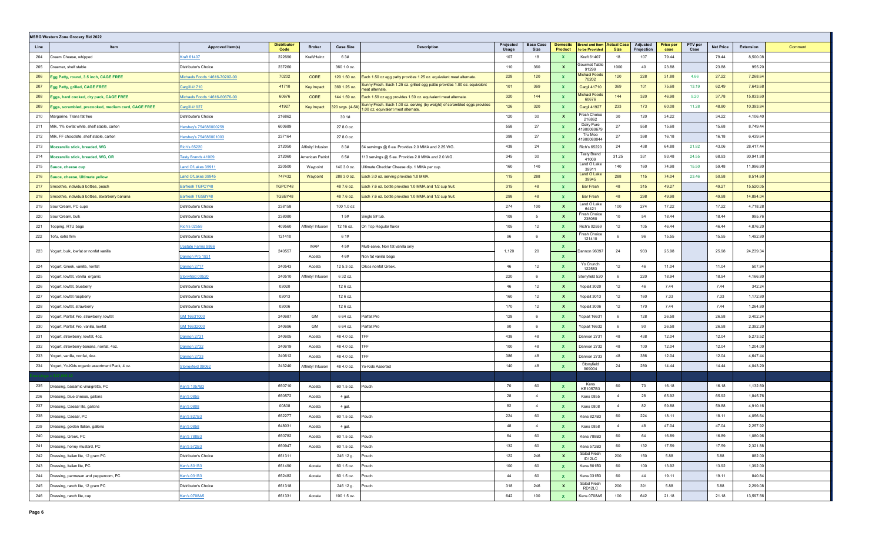|      | <b>MSBG Western Zone Grocery Bid 2022</b>          |                               |                            |                    |                  |                                                                                                                                  |                    |                          |                            |                                                     |                |                        |                          |                 |                  |           |         |
|------|----------------------------------------------------|-------------------------------|----------------------------|--------------------|------------------|----------------------------------------------------------------------------------------------------------------------------------|--------------------|--------------------------|----------------------------|-----------------------------------------------------|----------------|------------------------|--------------------------|-----------------|------------------|-----------|---------|
| Line | Item                                               | Approved Item(s)              | <b>Distributor</b><br>Code | <b>Broker</b>      | <b>Case Size</b> | <b>Description</b>                                                                                                               | Projected<br>Usage | <b>Base Case</b><br>Size | <b>Domestic</b><br>Product | <b>Brand and Item Actual Case</b><br>to be Provided | <b>Size</b>    | Adjusted<br>Projection | <b>Price per</b><br>case | PTV per<br>Case | <b>Net Price</b> | Extension | Comment |
| 204  | Cream Cheese, whipped                              | Craft 61407                   | 222690                     | Kraft/Heinz        | 6 3#             |                                                                                                                                  | 107                | 18                       |                            | Kraft 61407                                         | 18             | 107                    | 79.44                    |                 | 79.44            | 8,500.08  |         |
| 205  | Creamer, shelf stable                              | Distributor's Choice          | 237260                     |                    | 360 1.0 oz.      |                                                                                                                                  | 110                | 360                      | $\mathbf{x}$               | Gourmet Table<br>91299                              | 1000           | 40                     | 23.88                    |                 | 23.88            | 955.20    |         |
| 206  | gg Patty, round, 3.5 inch, CAGE FREE               | Michaels Foods 14616-70202-00 | 70202                      | CORE               | 120 1.50 oz.     | Each 1.50 oz egg patty provides 1.25 oz. equivalent meat alternate.                                                              | 228                | 120                      | X                          | Michael Foods<br>70202                              | 120            | 228                    | 31.88                    | 4.66            | 27.22            | 7,268.64  |         |
| 207  | Egg Patty, grilled, CAGE FREE                      | Cargill 41710                 | 41710                      | Key Impact         | 369 1.25 oz.     | Sunny Fresh. Each 1.25 oz. grilled egg pattie provides 1.00 oz. equivalent<br>meat alternate                                     | 101                | 369                      | <b>X</b>                   | <b>Cargil 41710</b>                                 | 369            | 101                    | 75.68                    | 13.19           | 62.49            | 7,643.68  |         |
| 208  | Eggs, hard cooked, dry pack, CAGE FREE             | Michaels Foods 14616-60676-00 | 60676                      | CORE               | 144 1.59 oz.     | Each 1.59 oz egg provides 1.50 oz. equivalent meat alternate.                                                                    | 320                | 144                      | $\mathbf{x}$               | Michael Foods<br>60676                              | 144            | 320                    | 46.98                    | 9.20            | 37.78            | 15,033.60 |         |
| 209  | Eggs, scrambled, precooked, medium curd, CAGE FREE | Cargill 41927                 | 41927                      | Key Impact         |                  | Sunny Fresh. Each 1.00 oz. serving (by weight) of scrambled eggs provides<br>320 svgs. (4-5#) 300 oz. equivalent meat alternate. | 126                | 320                      | <b>X</b>                   | Cargil 41927                                        | 233            | 173                    | 60.08                    | 11.28           | 48.80            | 10,393.84 |         |
| 210  | Margarine, Trans fat free                          | Distributor's Choice          | 216862                     |                    | 30 1#            |                                                                                                                                  | 120                | 30                       | $\mathbf{x}$               | Fresh Choice<br>216862                              | 30             | 120                    | 34.22                    |                 | 34.22            | 4,106.40  |         |
| 211  | Milk, 1% lowfat white, shelf stable, carton        | Hershey's 754686000259        | 600689                     |                    | 27 8.0 oz.       |                                                                                                                                  | 558                | 27                       | X                          | Dairy Pure<br>11900080679                           | 27             | 558                    | 15.68                    |                 | 15.68            | 8,749.44  |         |
| 212  | Milk, FF chocolate, shelf stable, carton           | Hershey's 754686001003        | 237164                     |                    | 27 8.0 oz.       |                                                                                                                                  | 398                | 27                       | <b>X</b>                   | Tru Moo<br>11900080044                              | 27             | 398                    | 16.18                    |                 | 16.18            | 6,439.64  |         |
| 213  | Mozzarella stick, breaded, WG                      | Rich's 65220                  | 212050                     | Affinity/ Infusion | 8 3#             | 84 servimgs @ 6 ea. Provides 2.0 MMA and 2.25 WG.                                                                                | 438                | 24                       | $\mathbf{x}$               | <b>Rich's 65220</b>                                 | 24             | 438                    | 64.88                    | 21.82           | 43.06            | 28,417.44 |         |
| 214  | Mozzarella stick, breaded, WG, OR                  | <u>Tasty Brands 41009</u>     | 212060                     | American Patriot   | 6 5#             | 113 servings @ 5 ea. Provides 2.0 MMA and 2.0 WG.                                                                                | 345                | 30                       |                            | <b>Tasty Brand</b><br>41009                         | 31.25          | 331                    | 93.48                    | 24.55           | 68.93            | 30,941.88 |         |
| 215  | Sauce, cheese cup                                  | and O'Lakes 39911             | 220500                     | Waypoint           | 140 3.0 oz.      | Ultimate Cheddar Cheese dip. 1 MMA per cup.                                                                                      | 160                | 140                      |                            | Land O Lake<br>39911                                | 140            | 160                    | 74.98                    | 15.50           | 59.48            | 11,996.80 |         |
| 216  | iauce, cheese, Ultimate yellow                     | and O'Lakes 39945             | 747432                     | Waypoint           | 288 3.0 oz.      | Each 3.0 oz. serving provides 1.0 MMA                                                                                            | 115                | 288                      |                            | Land O Lake<br>39945                                | 288            | 115                    | 74.04                    | 23.46           | 50.58            | 8,514.60  |         |
| 217  | Smoothie, individual bottles, peach                | Barfresh TGPCY48              | TGPCY48                    |                    | 48 7.6 oz.       | Each 7.6 oz. bottle provides 1.0 MMA and 1/2 cup fruit.                                                                          | 315                | 48                       | <b>X</b>                   | <b>Bar Fresh</b>                                    | 48             | 315                    | 49.27                    |                 | 49.27            | 15,520.05 |         |
| 218  | Smoothie, individual bottles, stwarberry banana    | Barfresh TGSBY48              | TGSBY48                    |                    | 48 7.6 oz.       | Each 7.6 oz. bottle provides 1.0 MMA and 1/2 cup fruit.                                                                          | 298                | 48                       | X                          | <b>Bar Fresh</b>                                    | 48             | 298                    | 49.98                    |                 | 49.98            | 14,894.04 |         |
| 219  | Sour Cream, PC cups                                | Distributor's Choice          | 238158                     |                    | 100 1.0 oz       |                                                                                                                                  | 274                | 100                      | $\mathbf{x}$               | Land O Lake<br>64421                                | 100            | 274                    | 17.22                    |                 | 17.22            | 4,718.28  |         |
| 220  | Sour Cream, bulk                                   | Distributor's Choice          | 238080                     |                    | 1 5#             | Single 5# tub.                                                                                                                   | 108                | 5                        | $\mathbf{x}$               | Fresh Choice<br>238080                              | 10             | 54                     | 18.44                    |                 | 18.44            | 995.76    |         |
| 221  | Topping, RTU bags                                  | Rich's 02559                  | 409560                     | Affinity/ Infusion | 12 16 oz.        | On Top Regular flavor                                                                                                            | 105                | 12                       | x                          | Rich's 02559                                        | 12             | 105                    | 46.44                    |                 | 46.44            | 4,876.20  |         |
| 222  | Гоfu, extra firm                                   | Distributor's Choice          | 121410                     |                    | 6 1#             |                                                                                                                                  | 96                 | 6                        | $\boldsymbol{\mathsf{x}}$  | Fresh Choice<br>121410                              | 6              | 96                     | 15.55                    |                 | 15.55            | 1,492.80  |         |
|      |                                                    | Jpstate Farms 9866            |                            | MAP                | 4 5#             | Multi-serve, Non fat vanilla only                                                                                                |                    |                          |                            |                                                     |                |                        |                          |                 |                  |           |         |
| 223  | ogurt, bulk, lowfat or nonfat vanilla              | Dannon Pro 1931               | 240557                     | Acosta             | 4 6#             | Non fat vanilla bags                                                                                                             | 1,120              | 20                       | $\mathbf{x}$               | Dannon 96397                                        | 24             | 933                    | 25.98                    |                 | 25.98            | 24,239.34 |         |
| 224  | Yogurt, Greek, vanilla, nonfat                     | Dannon 2717                   | 240543                     | Acosta             | 12 5.3 oz.       | Oikos nonfat Greek                                                                                                               | 46                 | 12                       | X                          | Yo Crunch<br>122583                                 | 12             | 46                     | 11.04                    |                 | 11.04            | 507.84    |         |
| 225  | /ogurt, lowfat, vanilla  organic                   | Stonyfield 00520              | 240510                     | Affinity/ Infusior | 6 32 oz.         |                                                                                                                                  | 220                | 6                        | x                          | Stonyfield 520                                      | 6              | 220                    | 18.94                    |                 | 18.94            | 4,166.80  |         |
| 226  | Yogurt, lowfat, blueberry                          | Distributor's Choice          | 03020                      |                    | 126 oz.          |                                                                                                                                  | 46                 | 12                       | $\mathbf{x}$               | Yoplait 3020                                        | 12             | 46                     | 7.44                     |                 | 7.44             | 342.24    |         |
| 227  | Yogurt, lowfat raspberry                           | Distributor's Choice          | 03013                      |                    | 126 oz.          |                                                                                                                                  | 160                | 12                       | $\mathbf{x}$               | Yoplait 3013                                        | 12             | 160                    | 7.33                     |                 | 7.33             | 1,172.80  |         |
| 228  | Yogurt, lowfat, strawberry                         | Distributor's Choice          | 03006                      |                    | 126 oz.          |                                                                                                                                  | 170                | 12                       | X                          | Yoplait 3006                                        | 12             | 170                    | 7.44                     |                 | 7.44             | 1,264.80  |         |
| 229  | Yogurt, Parfait Pro, strawberry, lowfat            | SM 16631000                   | 240687                     | GM                 | 6 64 oz.         | Parfait Pro                                                                                                                      | 128                | 6                        | $\mathbf{x}$               | Yoplait 16631                                       | 6              | 128                    | 26.58                    |                 | 26.58            | 3,402.24  |         |
| 230  | Yogurt, Parfait Pro, vanilla, lowfat               | GM 16632000                   | 240696                     | GM                 | 6 64 oz.         | Parfait Pro                                                                                                                      | 90                 | 6                        |                            | Yoplait 16632                                       | 6              | 90                     | 26.58                    |                 | 26.58            | 2,392.20  |         |
| 231  | /ogurt, strawberry, lowfat, 4oz.                   | Dannon 2731                   | 240605                     | Acosta             | 48 4.0 oz.       | TFF                                                                                                                              | 438                | 48                       | <b>X</b>                   | Dannon 2731                                         | 48             | 438                    | 12.04                    |                 | 12.04            | 5,273.52  |         |
| 232  | Yogurt, strawberry-banana, nonfat, 4oz.            | Dannon 2732                   | 240619                     | Acosta             | 48 4.0 oz.       | TFF                                                                                                                              | 100                | 48                       | $\mathbf{x}$               | Dannon 2732                                         | 48             | 100                    | 12.04                    |                 | 12.04            | 1,204.00  |         |
| 233  | Yogurt, vanilla, nonfat, 4oz.                      | Dannon 2733                   | 240612                     | Acosta             | 48 4.0 oz.       | TFF                                                                                                                              | 386                | 48                       |                            | Dannon 2733                                         | 48             | 386                    | 12.04                    |                 | 12.04            | 4,647.44  |         |
| 234  | Yogurt, Yo-Kids organic assortment Pack, 4 oz.     | <b>Stoneyfield 09062</b>      | 243240                     | Affinity/ Infusion | 48 4.0 oz.       | Yo-Kids Assorted                                                                                                                 | 140                | 48                       |                            | Stonyfield<br>909004                                | 24             | 280                    | 14.44                    |                 | 14.44            | 4,043.20  |         |
|      |                                                    |                               |                            |                    |                  |                                                                                                                                  |                    |                          |                            |                                                     |                |                        |                          |                 |                  |           |         |
| 235  | Dressing, balsamic vinaigrette, PC                 | Cen's 1057B3                  | 650710                     | Acosta             | 60 1.5 oz.       | Pouch                                                                                                                            | 70                 | 60                       | X                          | Kens<br>KE1057B3                                    | 60             | 70                     | 16.18                    |                 | 16.18            | 1,132.60  |         |
| 236  | Dressing, blue cheese, gallons                     | Cen's 0855                    | 650572                     | Acosta             | 4 gal.           |                                                                                                                                  | 28                 | $\overline{4}$           | $\mathbf{x}$               | <b>Kens 0855</b>                                    | $\overline{4}$ | 28                     | 65.92                    |                 | 65.92            | 1,845.76  |         |
| 237  | Dressing, Caesar lite, gallons                     | <u>Ken's 0808</u>             | 00808                      | Acosta             | 4 gal.           |                                                                                                                                  | 82                 | $\overline{4}$           |                            | <b>Kens 0808</b>                                    | 4              | 82                     | 59.88                    |                 | 59.88            | 4,910.16  |         |
| 238  | Dressing, Caesar, PC                               | Ken's 827B3                   | 652277                     | Acosta             | 60 1.5 oz.       | Pouch                                                                                                                            | 224                | 60                       |                            | <b>Kens 827B3</b>                                   | 60             | 224                    | 18.11                    |                 | 18.11            | 4,056.64  |         |
| 239  | Dressing, golden Italian, gallons                  | <u>Ken's 0858</u>             | 648031                     | Acosta             | 4 gal.           |                                                                                                                                  | 48                 | $\overline{4}$           |                            | Kens 0858                                           | $\overline{4}$ | 48                     | 47.04                    |                 | 47.04            | 2,257.92  |         |
| 240  | Dressing, Greek, PC                                | Ken's 788B3                   | 650782                     | Acosta             | 60 1.5 oz.       | Pouch                                                                                                                            | 64                 | 60                       | $\mathbf{x}$               | Kens 788B3                                          | 60             | 64                     | 16.89                    |                 | 16.89            | 1,080.96  |         |
| 241  | Dressing, honey mustard, PC                        | Ken's 572B3                   | 650947                     | Acosta             | 60 1.5 oz.       | Pouch                                                                                                                            | 132                | 60                       | $\mathbf{x}$               | Kens 572B3                                          | 60             | 132                    | 17.59                    |                 | 17.59            | 2,321.88  |         |
| 242  | Dressing, Italian lite, 12 gram PC                 | Distributor's Choice          | 651311                     |                    | 246 12 g.        | Pouch                                                                                                                            | 122                | 246                      | $\mathbf{x}$               | Salad Fresh<br>ID12LC                               | 200            | 150                    | 5.88                     |                 | 5.88             | 882.00    |         |
| 243  | Dressing, Italian lite, PC                         | Ken's 801B3                   | 651490                     | Acosta             | 60 1.5 oz.       | Pouch                                                                                                                            | 100                | 60                       | $\mathbf{x}$               | Kens 801B3                                          | 60             | 100                    | 13.92                    |                 | 13.92            | 1,392.00  |         |
| 244  | Dressing, parmesan and peppercorn, PC              | Ken's 031B3                   | 652482                     | Acosta             | 60 1.5 oz.       | Pouch                                                                                                                            | 44                 | 60                       | $\mathbf{x}$               | Kens 031B3                                          | 60             | 44                     | 19.11                    |                 | 19.11            | 840.84    |         |
| 245  | Dressing, ranch lite, 12 gram PC                   | Distributor's Choice          | 651318                     |                    | 246 12 g.        | Pouch                                                                                                                            | 318                | 246                      | $\mathbf{x}$               | Salad Fresh<br>RD12LC                               | 200            | 391                    | 5.88                     |                 | 5.88             | 2,299.08  |         |
| 246  | Dressing, ranch lite, cup                          | Ken's 0708A5                  | 651331                     | Acosta             | 100 1.5 oz.      |                                                                                                                                  | 642                | 100                      | $\mathbf{x}$               | Kens 0708A5                                         | 100            | 642                    | 21.18                    |                 | 21.18            | 13,597.56 |         |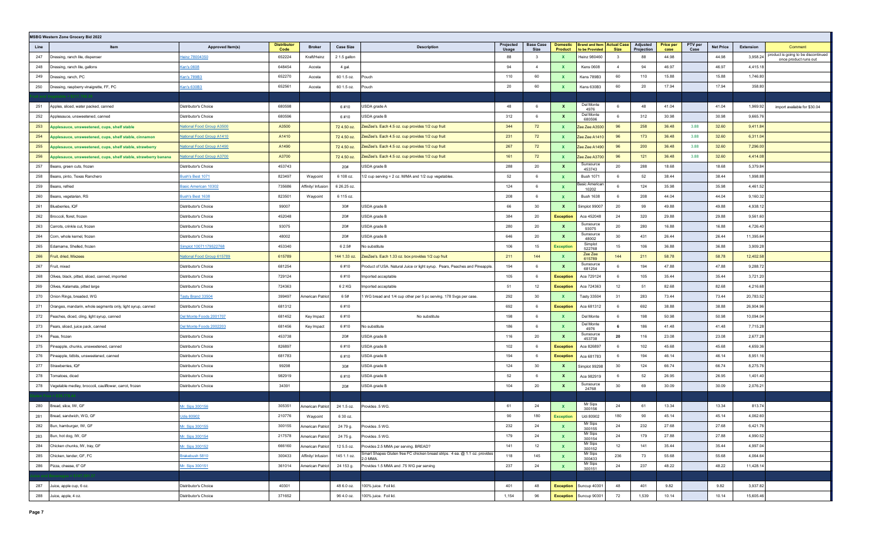| MSBG Western Zone Grocery Bid 2022                                    |                                  |                            |                        |                  |                                                                                         |                    |                          |                            |                                                         |                |                        |                          |                 |                  |                                                                          |
|-----------------------------------------------------------------------|----------------------------------|----------------------------|------------------------|------------------|-----------------------------------------------------------------------------------------|--------------------|--------------------------|----------------------------|---------------------------------------------------------|----------------|------------------------|--------------------------|-----------------|------------------|--------------------------------------------------------------------------|
| Line<br>Item                                                          | <b>Approved Item(s)</b>          | <b>Distributor</b><br>Code | <b>Broker</b>          | <b>Case Size</b> | <b>Description</b>                                                                      | Projected<br>Usage | <b>Base Case</b><br>Size | <b>Domestic</b><br>Product | <b>Brand and Item   Actual Case  </b><br>to be Provided | <b>Size</b>    | Adiusted<br>Projection | <b>Price per</b><br>case | PTV per<br>Case | <b>Net Price</b> | <b>Extension</b><br>Comment                                              |
| 247<br>Dressing, ranch lite, dispenser                                | Heinz 78004350                   | 652224                     | Kraft/Heinz            | 2 1.5 gallon     |                                                                                         | 88                 | $\mathbf{3}$             |                            | Heinz 980460                                            | $\mathbf{3}$   | 88                     | 44.98                    |                 | 44.98            | product is going to be discontinued<br>3,958.24<br>once product runs out |
| 248<br>Dressing, ranch lite, gallons                                  | <u>Ken's 0608</u>                | 648454                     | Acosta                 | 4 gal.           |                                                                                         | 94                 | $\overline{4}$           | <b>X</b>                   | Kens 0608                                               | $\overline{4}$ | 94                     | 46.97                    |                 | 46.97            | 4,415.18                                                                 |
| 249<br>Dressing, ranch, PC                                            | <u>Cen's 789B3</u>               | 652270                     | Acosta                 | 60 1.5 oz.       | Pouch                                                                                   | 110                | 60                       |                            | Kens 789B3                                              | 60             | 110                    | 15.88                    |                 | 15.88            | 1,746.80                                                                 |
| 250<br>Dressing, raspberry vinaigrette, FF, PC                        | Cen's 630B3                      | 652561                     | Acosta                 | 60 1.5 oz.       | Pouch                                                                                   | 20                 | 60                       |                            | Kens 630B3                                              | 60             | 20                     | 17.94                    |                 | 17.94            | 358.80                                                                   |
|                                                                       |                                  |                            |                        |                  |                                                                                         |                    |                          |                            |                                                         |                |                        |                          |                 |                  |                                                                          |
| 251<br>Apples, sliced, water packed, canned                           | Distributor's Choice             | 680598                     |                        | 6#10             | JSDA grade A                                                                            | 48                 | 6                        | $\mathbf{x}$               | Del Monte<br>4976                                       | 6              | 48                     | 41.04                    |                 | 41.04            | 1,969.92<br>import available for \$30.04                                 |
| 252<br>Applesauce, unsweetened, canned                                | Distributor's Choice             | 680596                     |                        | 6#10             | JSDA grade B                                                                            | 312                | 6                        | X                          | Del Monte<br>680596                                     | 6              | 312                    | 30.98                    |                 | 30.98            | 9,665.76                                                                 |
| 253<br>Applesauce, unsweetened, cups, shelf stable                    | <b>National Food Group A3500</b> | A3500                      |                        | 72 4.50 oz.      | ZeeZee's. Each 4.5 oz. cup provides 1/2 cup fruit                                       | 344                | 72                       | <b>X</b>                   | Zee Zee A3500                                           | 96             | 258                    | 36.48                    | 3.88            | 32.60            | 9,411.84                                                                 |
| 254<br>Applesauce, unsweetened, cups, shelf stable, cinnamon          | <u>National Food Group A1410</u> | A1410                      |                        | 72 4.50 oz       | ZeeZee's. Each 4.5 oz. cup provides 1/2 cup fruit                                       | 231                | 72                       |                            | Zee Zee A1410                                           | 96             | 173                    | 36.48                    | 3.88            | 32.60            | 6,311.04                                                                 |
| 255<br>Applesauce, unsweetened, cups, shelf stable, strawberry        | <u>National Food Group A1490</u> | A1490                      |                        | 72 4.50 oz.      | ZeeZee's. Each 4.5 oz. cup provides 1/2 cup fruit                                       | 267                | 72                       |                            | Zee Zee A1490                                           | 96             | 200                    | 36.48                    | 3.88            | 32.60            | 7,296.00                                                                 |
| 256<br>Applesauce, unsweetened, cups, shelf stable, strawberry banana | <b>National Food Group A3700</b> | A3700                      |                        | 72 4.50 oz       | ZeeZee's. Each 4.5 oz. cup provides 1/2 cup fruit                                       | 161                | 72                       | X                          | Zee Zee A3700                                           | 96             | 121                    | 36.48                    | 3.88            | 32.60            | 4,414.08                                                                 |
| 257<br>Beans, green cuts, frozen                                      | Distributor's Choice             | 453743                     |                        | 20#              | USDA grade B                                                                            | 288                | 20                       | X                          | Sunsource<br>453743                                     | 20             | 288                    | 18.68                    |                 | 18.68            | 5,379.84                                                                 |
| 258<br>Beans, pinto, Texas Ranchero                                   | <u>Bush's Best 1071</u>          | 823497                     | Waypoint               | 6 108 oz.        | 1/2 cup serving = 2 oz. M/MA and 1/2 cup vegetables.                                    | 52                 |                          |                            | <b>Bush 1071</b>                                        |                | 52                     | 38.44                    |                 | 38.44            | 1,998.88                                                                 |
| 259<br>Beans, refried                                                 | Basic American 10302             | 735686                     | Affinity/ Infusior     | 6 26.25 oz.      |                                                                                         | 124                | 6                        |                            | Basic American<br>10202                                 |                | 124                    | 35.98                    |                 | 35.98            | 4,461.52                                                                 |
| 260<br>Beans, vegetarian, RS                                          | <u> Bush's Best 1638</u>         | 823501                     | Waypoint               | 6 115 oz.        |                                                                                         | 208                | 6                        |                            | <b>Bush 1638</b>                                        | 6              | 208                    | 44.04                    |                 | 44.04            | 9,160.32                                                                 |
| Blueberries, IQF<br>261                                               | Distributor's Choice             | 99007                      |                        | 30#              | JSDA grade B                                                                            | 66                 | 30                       | $\mathbf{x}$               | Simplot 99007                                           | 20             | 99                     | 49.88                    |                 | 49.88            | 4,938.12                                                                 |
| 262<br>Broccoli, floret, frozen                                       | Distributor's Choice             | 452048                     |                        | 20#              | JSDA grade B                                                                            | 384                | 20                       | <b>Exception</b>           | Ace 452048                                              | 24             | 320                    | 29.88                    |                 | 29.88            | 9,561.60                                                                 |
| 263<br>Carrots, crinkle cut, frozen                                   | Distributor's Choice             | 93075                      |                        | 20#              | JSDA grade B                                                                            | 280                | 20                       | X                          | Sunsource<br>93075                                      | 20             | 280                    | 16.88                    |                 | 16.88            | 4,726.40                                                                 |
| 264<br>Corn, whole kernel, frozen                                     | Distributor's Choice             | 48002                      |                        | 20#              | JSDA grade B                                                                            | 646                | 20                       | X                          | Sunsource<br>48002                                      | 30             | 431                    | 26.44                    |                 | 26.44            | 11,395.64                                                                |
| 265<br>Edamame, Shelled, frozen                                       | Simplot 10071179522768           | 453340                     |                        | 6 2.5#           | No substitute                                                                           | 106                | 15                       | <b>Exception</b>           | Simplot<br>522768                                       | 15             | 106                    | 36.88                    |                 | 36.88            | 3,909.28                                                                 |
| 266<br>Fruit, dried, Mixzees                                          | National Food Group 615789       | 615789                     |                        | 144 1.33 oz.     | ZeeZee's. Each 1.33 oz. box provides 1/2 cup fruit                                      | 211                | 144                      | $\mathbf{x}$               | Zee Zee<br>615789                                       | 144            | 211                    | 58.78                    |                 | 58.78            | 12,402.58                                                                |
| 267<br>Fruit. mixed                                                   | Distributor's Choice             | 681254                     |                        | 6#10             | Product of USA. Natural Juice or light syrup. Pears, Peaches and Pineapple.             | 194                | - 6                      | X                          | Sunsource<br>681254                                     | 6              | 194                    | 47.88                    |                 | 47.88            | 9,288.72                                                                 |
| 268<br>Olives, black, pitted, sliced, canned, imported                | Distributor's Choice             | 729124                     |                        | 6#10             | nported acceptable                                                                      | 105                |                          | <b>Exception</b>           | Ace 729124                                              |                | 105                    | 35.44                    |                 | 35.44            | 3,721.20                                                                 |
| 269<br>Olives, Kalamata, pitted large                                 | Distributor's Choice             | 724363                     |                        | 6 2 KG           | nported acceptable                                                                      | 51                 | 12                       | <b>Exception</b>           | Ace 724363                                              | 12             | 51                     | 82.68                    |                 | 82.68            | 4,216.68                                                                 |
| Onion Rings, breaded, WG<br>270                                       | Tasty Brand 33504                | 399497                     | merican Patriot        | 6 5#             | I WG bread and 1/4 cup other per 5 pc serving. 178 Svgs per case.                       | 292                | 30                       | X                          | Tasty 33504                                             | 31             | 283                    | 73.44                    |                 | 73.44            | 20,783.52                                                                |
| 271<br>Oranges, mandarin, whole segments only, light syrup, canned    | Distributor's Choice             | 681312                     |                        | 6#10             |                                                                                         | 692                | 6                        | <b>Exception</b>           | Ace 681312                                              | 6              | 692                    | 38.88                    |                 | 38.88            | 26,904.96                                                                |
| 272<br>Peaches, diced, cling, light syrup, canned                     | Del Monte Foods 2001707          | 681452                     | Key Impact             | 6#10             | No substitute                                                                           | 198                | 6                        |                            | Del Monte                                               | -6             | 198                    | 50.98                    |                 | 50.98            | 10,094.04                                                                |
| 273<br>Pears, sliced, juice pack, canned                              | <u> Del Monte Foods 2002203</u>  | 681456                     | Key Impact             | 6#10             | No substitute                                                                           | 186                | 6                        | X                          | Del Monte<br>4976                                       | 6              | 186                    | 41.48                    |                 | 41.48            | 7,715.28                                                                 |
| 274<br>Peas, frozer                                                   | Distributor's Choice             | 453738                     |                        | 20#              | JSDA grade B                                                                            | 116                | 20                       | X                          | Sunsource<br>453738                                     | 20             | 116                    | 23.08                    |                 | 23.08            | 2,677.28                                                                 |
| 275<br>Pineapple, chunks, unsweetened, canned                         | Distributor's Choice             | 826897                     |                        | 6#10             | JSDA grade B                                                                            | 102                | 6                        | <b>Exception</b>           | Ace 826897                                              | 6              | 102                    | 45.68                    |                 | 45.68            | 4,659.36                                                                 |
| 276<br>Pineapple, tidbits, unsweetened, canned                        | Distributor's Choice             | 681783                     |                        | 6#10             | JSDA grade B                                                                            | 194                | - 6                      | <b>Exception</b>           | Ace 681783                                              | 6              | 194                    | 46.14                    |                 | 46.14            | 8,951.16                                                                 |
| 277<br>Strawberries, IQF                                              | Distributor's Choice             | 99298                      |                        | 30#              | JSDA grade B                                                                            | 124                | 30                       | X                          | Simplot 99298                                           | 30             | 124                    | 66.74                    |                 | 66.74            | 8,275.76                                                                 |
| 278<br>Tomatoes, diced                                                | Distributor's Choice             | 982919                     |                        | 6#10             | JSDA grade B                                                                            | 52                 |                          | X                          | Ace 982919                                              |                | 52                     | 26.95                    |                 | 26.95            | 1,401.40                                                                 |
| 278<br>Vegetable medley, broccoli, cauliflower, carrot, frozen        | Distributor's Choice             | 34391                      |                        | 20#              | USDA grade B                                                                            | 104                | 20                       | $\mathbf{x}$               | Sunsource<br>24768                                      | 30             | 69                     | 30.09                    |                 | 30.09            | 2,076.21                                                                 |
|                                                                       |                                  |                            |                        |                  |                                                                                         |                    |                          |                            |                                                         |                |                        |                          |                 |                  |                                                                          |
| 280<br>Bread, slice, IW, GF                                           | Mr. Sips 300156                  | 305351                     | <b>American Patrio</b> | 24 1.5 oz.       | rovides .5 WG.                                                                          | 61                 | 24                       |                            | Mr Sips<br>300156                                       | 24             | 61                     | 13.34                    |                 | 13.34            | 813.74                                                                   |
| Bread, sandwich, WG, GF<br>281                                        | Jdis 80902                       | 210776                     | Waypoint               | 6 30 oz.         |                                                                                         | 90                 | 180                      | <b>Exception</b>           | Udi 80902                                               | 180            | 90                     | 45.14                    |                 | 45.14            | 4,062.60                                                                 |
| 282 Bun, hamburger, IW, GF                                            | Mr. Sips 300155                  | 300155                     | American Patriot       | 24 79 g.         | Provides .5 WG.                                                                         | 232                | 24                       | <b>X</b>                   | Mr Sips<br>300155                                       | 24             | 232                    | 27.68                    |                 | 27.68            | 6,421.76                                                                 |
| 283<br>Bun, hot dog, IW, GF                                           | Mr. Sips 300154                  | 217578                     | American Patriot       | 24 75 g.         | Provides .5 WG.                                                                         | 179                | 24                       | $\mathbf{x}$               | Mr Sips<br>300154                                       | 24             | 179                    | 27.88                    |                 | 27.88            | 4,990.52                                                                 |
| 284<br>Chicken chunks, IW, tray, GF                                   | Mr. Sips 300152                  | 666160                     | American Patriot       | 12 5.5 oz.       | Provides 2.5 MMA per serving. BREAD?                                                    | 141                | 12                       | <b>X</b>                   | Mr Sips<br>300152                                       | 12             | 141                    | 35.44                    |                 | 35.44            | 4,997.04                                                                 |
| 285<br>Chicken, tender, GF, FC                                        | Brakebush 5810                   | 300433                     | Affinity/ Infusion     | 145 1.1 oz.      | Smart Shapes Gluten free FC chicken breast strips. 4 ea. @ 1.1 oz. provides<br>2.0 MMA. | 118                | 145                      | $\mathbf{x}$               | Mr Sips<br>300433                                       | 236            | 73                     | 55.68                    |                 | 55.68            | 4,064.64                                                                 |
| 286<br>Pizza, cheese, 6" GF                                           | Mr. Sips 300151                  | 361014                     | American Patriot       | 24 153 g.        | Provides 1.5 MMA and .75 WG per serving                                                 | 237                | 24                       |                            | Mr Sips<br>300151                                       | 24             | 237                    | 48.22                    |                 | 48.22            | 11,428.14                                                                |
|                                                                       |                                  |                            |                        |                  |                                                                                         |                    |                          |                            |                                                         |                |                        |                          |                 |                  |                                                                          |
| 287<br>Juice, apple cup, 6 oz.                                        | Distributor's Choice             | 40301                      |                        | 48 6.0 oz.       | 100% juice. Foil lid.                                                                   | 401                | 48                       | <b>Exception</b>           | Suncup 40301                                            | 48             | 401                    | 9.82                     |                 | 9.82             | 3,937.82                                                                 |
| 288<br>Juice, apple, 4 oz.                                            | Distributor's Choice             | 371652                     |                        | 96 4.0 oz.       | 100% juice. Foil lid.                                                                   | 1,154              | 96                       | <b>Exception</b>           | Suncup 90301                                            | 72             | 1,539                  | 10.14                    |                 | 10.14            | 15,605.46                                                                |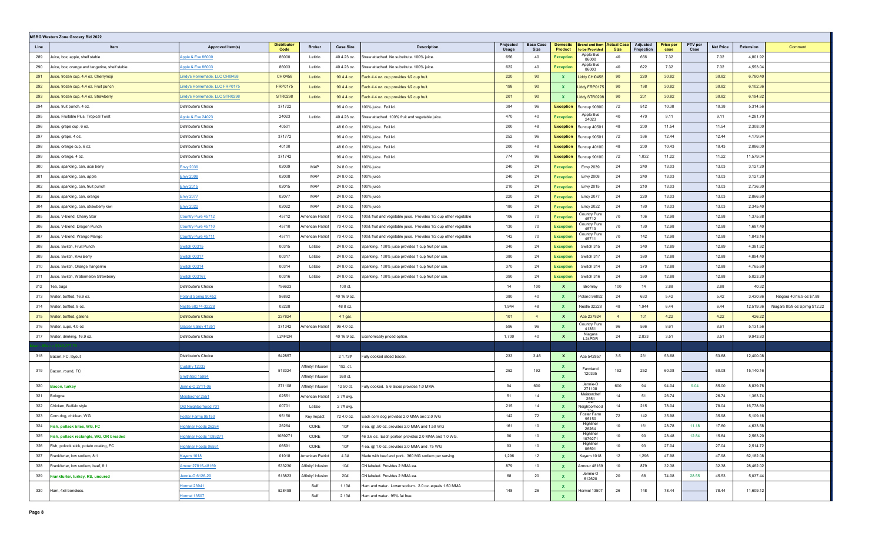|      | <b>MSBG Western Zone Grocery Bid 2022</b>      |                               |                            |                    |                  |                                                                  |                    |                          |                            |                                         |                                   |                        |                          |                 |                  |                                             |
|------|------------------------------------------------|-------------------------------|----------------------------|--------------------|------------------|------------------------------------------------------------------|--------------------|--------------------------|----------------------------|-----------------------------------------|-----------------------------------|------------------------|--------------------------|-----------------|------------------|---------------------------------------------|
| Line | Item                                           | Approved Item(s)              | <b>Distributor</b><br>Code | <b>Broker</b>      | <b>Case Size</b> | <b>Description</b>                                               | Projected<br>Usage | <b>Base Case</b><br>Size | <b>Domestic</b><br>Product | <b>Brand and Item</b><br>to be Provided | <b>Actual Case</b><br><b>Size</b> | Adjusted<br>Projection | <b>Price per</b><br>case | PTV per<br>Case | <b>Net Price</b> | <b>Extension</b><br>Comment                 |
| 289  | luice, box, apple, shelf stable                | Apple & Eve 86000             | 86000                      | Letizio            | 40 4.23 oz.      | Straw attached. No substitute. 100% juice.                       | 656                | 40                       | <b>Exception</b>           | Apple Eve<br>86000                      | 40                                | 656                    | 7.32                     |                 | 7.32             | 4,801.92                                    |
| 290  | Juice, box, orange and tangerine, shelf stable | Apple & Eve 86003             | 86003                      | Letizio            | 40 4.23 oz.      | Straw attached. No substitute. 100% juice.                       | 622                | 40                       | <b>Exception</b>           | Apple Eve<br>86003                      | 40                                | 622                    | 7.32                     |                 | 7.32             | 4,553.04                                    |
| 291  | Juice, frozen cup, 4.4 oz. Cherrymoji          | indy's Homemade, LLC CHI0458  | CHI0458                    | Letizio            | 90 4.4 oz.       | Each 4.4 oz. cup provides 1/2 cup fruit.                         | 220                | 90                       | X                          | Liddy CHI0458                           | 90                                | 220                    | 30.82                    |                 | 30.82            | 6,780.40                                    |
| 292  | Juice, frozen cup, 4.4 oz. Fruit punch         | Lindy's Homemade, LLC FRP0175 | <b>FRP0175</b>             | Letizio            | 90 4.4 oz.       | Each 4.4 oz. cup provides 1/2 cup fruit.                         | 198                | 90                       | <b>X</b>                   | Liddy FRP0175                           | 90                                | 198                    | 30.82                    |                 | 30.82            | 6,102.36                                    |
| 293  | Juice, frozen cup, 4.4 oz. Strawberry          | Lindy's Homemade, LLC STR0298 | <b>STR0298</b>             | Letizio            | 90 4.4 oz.       | Each 4.4 oz. cup provides 1/2 cup fruit.                         | 201                | 90                       | $\mathbf{x}$               | iddy STR0298                            | 90                                | 201                    | 30.82                    |                 | 30.82            | 6,194.82                                    |
| 294  | luice, fruit punch, 4 oz.                      | Distributor's Choice          | 371722                     |                    | 96 4.0 oz.       | 100% juice. Foil lid.                                            | 384                | 96                       | <b>Exception</b>           | Suncup 90800                            | 72                                | 512                    | 10.38                    |                 | 10.38            | 5,314.56                                    |
| 295  | luice, Fruitable Plus, Tropical Twist          | Apple & Eve 24023             | 24023                      | Letizio            | 40 4.23 oz.      | Straw attached. 100% fruit and vegetable juice                   | 470                | 40                       | <b>Exception</b>           | Apple Eve<br>24023                      | 40                                | 470                    | 9.11                     |                 | 9.11             | 4,281.70                                    |
| 296  | Juice, grape cup, 6 oz.                        | Distributor's Choice          | 40501                      |                    | 48 6.0 oz.       | 00% juice. Foil lid.                                             | 200                | 48                       | <b>Exception</b>           | Suncup 40501                            | 48                                | 200                    | 11.54                    |                 | 11.54            | 2,308.00                                    |
| 297  | Juice, grape, 4 oz.                            | Distributor's Choice          | 371772                     |                    | 96 4.0 oz.       | 00% juice. Foil lid.                                             | 252                | 96                       | <b>Exception</b>           | Suncup 90501                            | 72                                | 336                    | 12.44                    |                 | 12.44            | 4,179.84                                    |
| 298  | Juice, orange cup, 6 oz.                       | Distributor's Choice          | 40100                      |                    | 48 6.0 oz.       | 00% juice. Foil lid.                                             | 200                | 48                       | <b>Exception</b>           | Suncup 40100                            | 48                                | 200                    | 10.43                    |                 | 10.43            | 2,086.00                                    |
| 299  | Juice, orange, 4 oz.                           | Distributor's Choice          | 371742                     |                    | 96 4.0 oz.       | 00% juice. Foil lid.                                             | 774                | 96                       | <b>Exception</b>           | Suncup 90100                            | 72                                | 1,032                  | 11.22                    |                 | 11.22            | 11,579.04                                   |
| 300  | Juice, sparkling, can, acai berry              | Envy 2039                     | 02039                      | MAP                | 24 8.0 oz.       | 00% juice                                                        | 240                | 24                       | <b>Exception</b>           | Envy 2039                               | 24                                | 240                    | 13.03                    |                 | 13.03            | 3,127.20                                    |
| 301  | Juice, sparkling, can, apple                   | Envy 2008                     | 02008                      | MAP                | 24 8.0 oz.       | 100% juice                                                       | 240                | 24                       | <b>Exception</b>           | <b>Envy 2008</b>                        | 24                                | 240                    | 13.03                    |                 | 13.03            | 3,127.20                                    |
| 302  | Juice, sparkling, can, fruit punch             | Envy 2015                     | 02015                      | MAP                | 24 8.0 oz.       | 100% juice                                                       | 210                | 24                       | <b>Exception</b>           | Envy 2015                               | 24                                | 210                    | 13.03                    |                 | 13.03            | 2,736.30                                    |
| 303  | Juice, sparkling, can, orange                  | Envy 2077                     | 02077                      | MAP                | 24 8.0 oz.       | 00% juice                                                        | 220                | 24                       | <b>Exception</b>           | <b>Ency 2077</b>                        | 24                                | 220                    | 13.03                    |                 | 13.03            | 2,866.60                                    |
| 304  | Juice, sparkling, can, strawberry kiwi         | <b>Envy 2022</b>              | 02022                      | MAP                | 24 8.0 oz.       | 00% juice                                                        | 180                | 24                       | <b>Exception</b>           | <b>Ency 2022</b>                        | 24                                | 180                    | 13.03                    |                 | 13.03            | 2,345.40                                    |
| 305  | Juice, V-blend, Cherry Star                    | Country Pure 45712            | 45712                      | American Patrio    | 70 4.0 oz.       | 00& fruit and vegetable juice. Provides 1/2 cup other vegetable  | 106                | 70                       | <b>Exception</b>           | Country Pure<br>45712                   | 70                                | 106                    | 12.98                    |                 | 12.98            | 1,375.88                                    |
| 306  | Juice, V-blend, Dragon Punch                   | Country Pure 45710            | 45710                      | American Patric    | 70 4.0 oz.       | 100& fruit and vegetable juice. Provides 1/2 cup other vegetable | 130                | 70                       | <b>Exception</b>           | Country Pure<br>45710                   | 70                                | 130                    | 12.98                    |                 | 12.98            | 1,687.40                                    |
| 307  | Juice, V-blend, Wango Mango                    | Country Pure 45711            | 45711                      | American Patriot   | 70 4.0 oz.       | 100& fruit and vegetable juice. Provides 1/2 cup other vegetable | 142                | 70                       | <b>Exception</b>           | Country Pure<br>45711                   | 70                                | 142                    | 12.98                    |                 | 12.98            | 1,843.16                                    |
| 308  | Juice. Switch, Fruit Punch                     | Switch 00315                  | 00315                      | Letizio            | 24 8.0 oz.       | Sparkling. 100% juice provides 1 cup fruit per can.              | 340                | 24                       | <b>Exception</b>           | Switch 315                              | 24                                | 340                    | 12.89                    |                 | 12.89            | 4,381.92                                    |
| 309  | Juice. Switch, Kiwi Berry                      | witch 00317                   | 00317                      | Letizio            | 24 8.0 oz.       | Sparkling. 100% juice provides 1 cup fruit per can.              | 380                | 24                       | <b>Exception</b>           | Switch 317                              | 24                                | 380                    | 12.88                    |                 | 12.88            | 4,894.40                                    |
| 310  | Juice. Switch, Orange Tangerine                | Switch 00314                  | 00314                      | Letizio            | 24 8.0 oz.       | Sparkling. 100% juice provides 1 cup fruit per can.              | 370                | 24                       | <b>Exception</b>           | Switch 314                              | 24                                | 370                    | 12.88                    |                 | 12.88            | 4,765.60                                    |
| 311  | Juice. Switch, Watermelon Strawberry           | Switch 003167                 | 00316                      | Letizio            | 24 8.0 oz.       | Sparkling. 100% juice provides 1 cup fruit per can.              | 390                | 24                       | <b>Exception</b>           | Switch 316                              | 24                                | 390                    | 12.88                    |                 | 12.88            | 5,023.20                                    |
| 312  | Геа, bags                                      | Distributor's Choice          | 796623                     |                    | 100 ct.          |                                                                  | 14                 | 100                      | $\mathbf{x}$               | Bromley                                 | 100                               | 14                     | 2.88                     |                 | 2.88             | 40.32                                       |
| 313  | Water, bottled, 16.9 oz.                       | Poland Spring 90452           | 96892                      |                    | 40 16.9 oz.      |                                                                  | 380                | 40                       | $\mathbf{x}$               | <b>Poland 96892</b>                     | 24                                | 633                    | 5.42                     |                 | 5.42             | 3,430.86<br>Niagara 40/16.9 oz \$7.88       |
| 314  | Water, bottled, 8 oz.                          | Nestle 68274-32228            | 03228                      |                    | 48 8 oz.         |                                                                  | 1,944              | 48                       | <b>X</b>                   | Nestle 32228                            | 48                                | 1,944                  | 6.44                     |                 | 6.44             | 12,519.36<br>Niagara 80/8 oz Spirng \$12.22 |
| 315  | Water, bottled, gallons                        | Distributor's Choice          | 237824                     |                    | 4 1 gal.         |                                                                  | 101                | $\overline{4}$           | $\mathbf{x}$               | Ace 237824                              | $\overline{4}$                    | 101                    | 4.22                     |                 | 4.22             | 426.22                                      |
| 316  | Water, cups, 4.0 oz                            | <u> Slacier Valley 41351</u>  | 371342                     | American Patriot   | 96 4.0 oz.       |                                                                  | 596                | 96                       |                            | Country Pure<br>41351                   | 96                                | 596                    | 8.61                     |                 | 8.61             | 5,131.56                                    |
| 317  | Water, drinking, 16.9 oz.                      | Distributor's Choice          | L24PDR                     |                    | 40 16.9 oz.      | Economically priced option.                                      | 1,700              | 40                       | $\mathbf{x}$               | Niagara<br>L24PDR                       | 24                                | 2,833                  | 3.51                     |                 | 3.51             | 9,943.83                                    |
|      |                                                |                               |                            |                    |                  |                                                                  |                    |                          |                            |                                         |                                   |                        |                          |                 |                  |                                             |
| 318  | Bacon, FC, layout                              | Distributor's Choice          | 542857                     |                    | 2 1.73#          | Fully cooked sliced bacon.                                       | 233                | 3.46                     | $\mathbf{x}$               | Ace 542857                              | 3.5                               | 231                    | 53.68                    |                 | 53.68            | 12,400.08                                   |
| 319  | Bacon, round, FC                               | Cudahy 12033                  | 513324                     | Affinity/ Infusion | 192. ct.         |                                                                  | 252                | 192                      | <b>X</b>                   | Farmland                                | 192                               | 252                    | 60.08                    |                 | 60.08            | 15,140.16                                   |
|      |                                                | mithfield 15984               |                            | Affinity/ Infusion | 360 ct.          |                                                                  |                    |                          | $\mathbf{x}$               | 120335                                  |                                   |                        |                          |                 |                  |                                             |
| 320  | Bacon, turkey                                  | lennie-O 2711-06              | 271108                     | Affinity/ Infusion | 12 50 ct.        | ully cooked. 5.6 slices provides 1.0 MMA                         | 94                 | 600                      | $\mathbf{x}$               | Jennie-O<br>271108                      | 600                               | 94                     | 94.04                    | 9.04            | 85.00            | 8,839.76                                    |
| 321  | Bologna                                        | <b>Meisterchef 2551</b>       | 02551                      | American Patriot   | 2 7# avg.        |                                                                  | 51                 | 14                       | $\mathbf{x}$               | Meisterchef<br>2551                     | 14                                | 51                     | 26.74                    |                 | 26.74            | 1,363.74                                    |
| 322  | Chicken, Buffalo style                         | Old Neighborhood 701          | 00701                      | Letizio            | 2 7# avg.        |                                                                  | 215                | 14                       | <b>X</b>                   | Neighborhooc                            | 14                                | 215                    | 78.04                    |                 | 78.04            | 16,778.60                                   |
| 323  | Corn dog, chicken, WG                          | Foster Farms 95150            | 95150                      | Key Impact         | 72 4.0 oz.       | Each corn dog provides 2.0 MMA and 2.0 WG                        | 142                | 72                       |                            | Foster Farm<br>95150                    | 72                                | 142                    | 35.98                    |                 | 35.98            | 5,109.16                                    |
| 324  | Fish, pollack bites, WG, FC                    | Highliner Foods 26264         | 26264                      | CORE               | 10#              | 8 ea. @ .50 oz. provides 2.0 MMA and 1.50 WG                     | 161                | 10                       |                            | nianiine<br>26264                       | 10                                | 161                    | 28.78                    | 11.18           | 17.60            | 4,633.58                                    |
| 325  | Fish, pollack rectangle, WG, OR breaded        | Highliner Foods 1089271       | 1089271                    | CORE               | 10#              | 46 3.6 oz. Each portion provides 2.0 MMA and 1.0 WG.             | 90                 | 10                       | $\mathbf{x}$               | Highliner<br>1079271                    | 10                                | 90                     | 28.48                    | 12.84           | 15.64            | 2,563.20                                    |
| 326  | Fish, pollock stick, potato coating, FC        | lighliner Foods 06591         | 06591                      | CORE               | 10#              | 4 ea. @ 1.0 oz. provides 2.0 MMA and .75 WG                      | 93                 | 10                       | $\mathbf{x}$               | Highliner<br>06591                      | 10                                | 93                     | 27.04                    |                 | 27.04            | 2,514.72                                    |
| 327  | Frankfurter, low sodium, 8:1                   | Kayem 1018                    | 01018                      | American Patriot   | 4 3#             | Made with beef and pork. 360 MG sodium per serving.              | 1,296              | 12                       | X                          | Kayem 1018                              | 12                                | 1,296                  | 47.98                    |                 | 47.98            | 62,182.08                                   |
| 328  | Frankfurter, low sodium, beef, 8:1             | Amour 27815-48169             | 533230                     | Affinity/ Infusion | 10#              | CN labeled. Provides 2 MMA ea.                                   | 879                | 10                       | X                          | Armour 48169                            | 10                                | 879                    | 32.38                    |                 | 32.38            | 28,462.02                                   |
| 329  | Frankfurter, turkey, RS, uncured               | lennie-O 6126-20              | 513823                     | Affinity/ Infusion | 20#              | CN labeled. Provides 2 MMA ea.                                   | 68                 | 20                       |                            | Jennie-O<br>612620                      | 20                                | 68                     | 74.08                    | 28.55           | 45.53            | 5,037.44                                    |
| 330  | Ham, 4x6 boneless.                             | Hormel 23941                  | 528498                     | Self               | 1 1 3#           | Ham and water. Lower sodium. 2.0 oz. equals 1.50 MMA             | 148                | 26                       | X.                         | Hormel 13507                            | 26                                | 148                    | 78.44                    |                 | 78.44            | 11,609.12                                   |
|      |                                                | <b>Hormel 13507</b>           |                            | Self               | 2 1 3 #          | Ham and water. 95% fat free.                                     |                    |                          | $\mathbf{x}$               |                                         |                                   |                        |                          |                 |                  |                                             |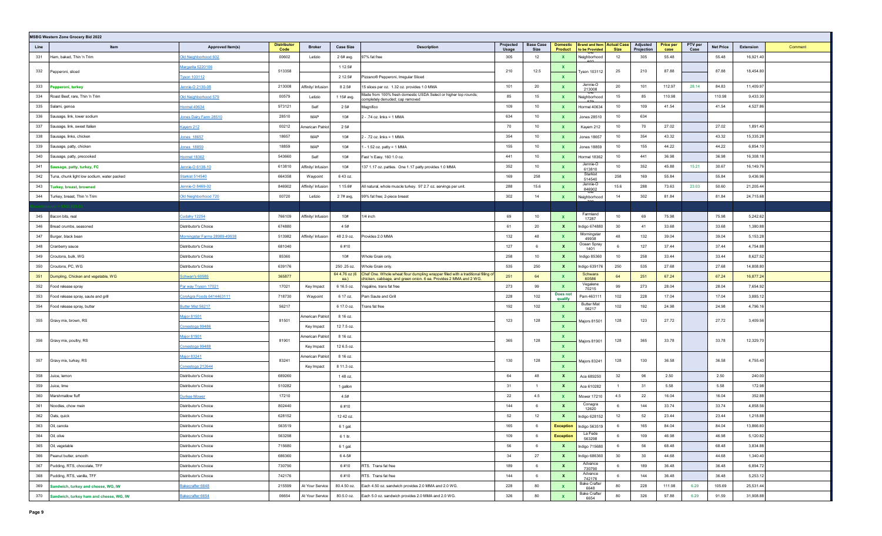| <b>MSBG Western Zone Grocery Bid 2022</b>         |                               |                            |                         |                       |                                                                                                                                                        |                    |                          |                            |                                                     |                  |                        |                          |                 |                  |                      |
|---------------------------------------------------|-------------------------------|----------------------------|-------------------------|-----------------------|--------------------------------------------------------------------------------------------------------------------------------------------------------|--------------------|--------------------------|----------------------------|-----------------------------------------------------|------------------|------------------------|--------------------------|-----------------|------------------|----------------------|
| Line<br>Iten                                      | Approved Item(s)              | <b>Distributor</b><br>Code | <b>Broker</b>           | <b>Case Size</b>      | <b>Description</b>                                                                                                                                     | Projected<br>Usage | <b>Base Case</b><br>Size | <b>Domestic</b><br>Product | <b>Brand and Item Actual Case</b><br>to be Provided | <b>Size</b>      | Adjusted<br>Projection | <b>Price per</b><br>case | PTV per<br>Case | <b>Net Price</b> | Extension<br>Comment |
| 331<br>Ham, baked, Thin 'n Trim                   | Old Neighborhood 602          | 00602                      | Letizio                 | 2 6# avg.             | 97% fat free                                                                                                                                           | 305                | 12                       |                            | Neighborhood                                        | 12               | 305                    | 55.48                    |                 | 55.48            | 16,921.40            |
| 332                                               | Margarita 5220106             | 513358                     |                         | 1 12.5#               |                                                                                                                                                        | 210                | 12.5                     | X                          | Tyson 103112                                        | 25               | 210                    | 87.88                    |                 | 87.88            | 18,454.80            |
| Pepperoni, sliced                                 | <b>Tyson 103112</b>           |                            |                         | 2 12.5#               | Pizzano® Pepperoni, Irregular Sliced                                                                                                                   |                    |                          | $\mathbf{x}$               |                                                     |                  |                        |                          |                 |                  |                      |
| 333<br>Pepperoni, turkey                          | Jennie-O 2130-08              | 213008                     | Affinity/ Infusion      | 8 2.5#                | 15 slices per oz. 1.32 oz. provides 1.0 MMA                                                                                                            | 101                | 20                       | <b>X</b>                   | Jennie-O<br>213008                                  | 20               | 101                    | 112.97                   | 28.14           | 84.83            | 11,409.97            |
| 334<br>Roast Beef, rare, Thin 'n Trim             | Old Neighborhood 579          | 00579                      | Letizio                 | 1 15# avg.            | Made from 100% fresh domestic USDA Select or higher top rounds;<br>completely denuded; cap removed                                                     | 85                 | 15                       | $\mathbf{x}$               | Neighborhood                                        | 15               | 85                     | 110.98                   |                 | 110.98           | 9,433.30             |
| 335<br>Salami, genoa                              | <b>Hormel 40634</b>           | 973121                     | Self                    | 25#                   | Magnifico                                                                                                                                              | 109                | 10                       | <b>X</b>                   | Hormel 40634                                        | 10               | 109                    | 41.54                    |                 | 41.54            | 4,527.86             |
| Sausage, link, lower sodium<br>336                | Jones Dairy Farm 28510        | 28510                      | MAP                     | 10#                   | 2 - .74 oz. links = 1 MMA                                                                                                                              | 634                | 10                       | <b>X</b>                   | Jones 28510                                         | 10 <sup>10</sup> | 634                    |                          |                 |                  |                      |
| 337<br>Sausage, link, sweet Italian               | Kayem 212                     | 00212                      | merican Patrio          | 2 5#                  |                                                                                                                                                        | 70                 | 10                       |                            | Kayem 212                                           | 10               | 70                     | 27.02                    |                 | 27.02            | 1,891.40             |
| 338<br>Sausage, links, chicken                    | <b>Jones 18657</b>            | 18657                      | MAP                     | 10#                   | 2 - .72 oz. links = 1 MMA                                                                                                                              | 354                | 10                       | <b>X</b>                   | <b>Jones 18657</b>                                  | 10               | 354                    | 43.32                    |                 | 43.32            | 15,335.28            |
| 339<br>Sausage, patty, chicken                    | Jones 18859                   | 18859                      | MAP                     | 10#                   | $-1.52$ oz. patty = 1 MMA                                                                                                                              | 155                | 10                       | $\mathbf{x}$               | <b>Jones 18859</b>                                  | 10               | 155                    | 44.22                    |                 | 44.22            | 6,854.10             |
| 340<br>Sausage, patty, precooked                  | <b>lormel 18362</b>           | 543660                     | Self                    | 10#                   | Fast 'n Easy. 160 1.0 oz.                                                                                                                              | 441                | 10                       | <b>X</b>                   | Hormel 18362                                        | 10               | 441                    | 36.98                    |                 | 36.98            | 16,308.18            |
| 341<br>Sausage, patty, turkey, FC                 | Jennie-O 6138-10              | 613810                     | Affinity/ Infusion      | 10#                   | 137 1.17 oz. patties. One 1.17 patty provides 1.0 MMA                                                                                                  | 352                | 10                       | <b>X</b>                   | Jennie-O<br>613810                                  | 10               | 352                    | 45.88                    | 15.21           | 30.67            | 16,149.76            |
| 342<br>Tuna, chunk light low sodium, water packed | <b>Starkist 514540</b>        | 664358                     | Waypoint                | 643 oz.               |                                                                                                                                                        | 169                | 258                      | X                          | <b>Starkist</b><br>514540                           | 258              | 169                    | 55.84                    |                 | 55.84            | 9,436.96             |
| 343<br><b>Turkey, breast, browned</b>             | Jennie-O 8469-02              | 846902                     | Affinity/ Infusion      | 1 15.6#               | All natural, whole muscle turkey. 97 2.7 oz. servings per unit.                                                                                        | 288                | 15.6                     | X                          | Jennie-O<br>846902                                  | 15.6             | 288                    | 73.63                    | 23.03           | 50.60            | 21,205.44            |
| 344<br>Turkey, breast, Thin 'n Trim               | Old Neighborhood 720          | 00720                      | Letizio                 | 2 7# avg,             | 99% fat free; 2-piece breast                                                                                                                           | 302                | 14                       | $\mathbf{x}$               | তাং<br>Neighborhood                                 | 14               | 302                    | 81.84                    |                 | 81.84            | 24,715.68            |
|                                                   |                               |                            |                         |                       |                                                                                                                                                        |                    |                          |                            |                                                     |                  |                        |                          |                 |                  |                      |
| 345<br>Bacon bits, real                           | <b>Cudahy 12254</b>           | 766109                     | Affinity/ Infusion      | 10#                   | $1/4$ inch                                                                                                                                             | 69                 | 10                       | <b>X</b>                   | Farmland<br>17287                                   | 10               | 69                     | 75.98                    |                 | 75.98            | 5,242.62             |
| 346<br>Bread crumbs, seasoned                     | Distributor's Choice          | 674880                     |                         | 4 5#                  |                                                                                                                                                        | 61                 | 20                       | <b>X</b>                   | Indigo 674880                                       | 30               | 41                     | 33.68                    |                 | 33.68            | 1,380.88             |
| 347<br>Burger, black bean                         | Morningstar Farms 28989-49938 | 513982                     | Affinity/ Infusion      | 48 2.9 oz.            | Provides 2.0 MMA                                                                                                                                       | 132                | 48                       | <b>X</b>                   | Morningstar<br>49938                                | 48               | 132                    | 39.04                    |                 | 39.04            | 5,153.28             |
| 348<br>Cranberry sauce                            | Distributor's Choice          | 681040                     |                         | 6#10                  |                                                                                                                                                        | 127                | - 6                      | $\mathbf{x}$               | Ocean Spray<br>1401                                 | 6                | 127                    | 37.44                    |                 | 37.44            | 4,754.88             |
| 349<br>Croutons, bulk, WG                         | Distributor's Choice          | 85360                      |                         | 10#                   | Whole Grain only.                                                                                                                                      | 258                | 10                       | X                          | Indigo 85360                                        | 10               | 258                    | 33.44                    |                 | 33.44            | 8,627.52             |
| 350<br>Croutons, PC, WG                           | Distributor's Choice          | 639176                     |                         | 250 .25 oz.           | Whole Grain only                                                                                                                                       | 535                | 250                      | $\mathbf{x}$               | Indigo 639176                                       | 250              | 535                    | 27.68                    |                 | 27.68            | 14,808.80            |
| 351<br>Dumpling, Chicken and vegetable, WG        | Schwan's 60585                | 365877                     |                         | 64 4.76 oz (6<br>ea.) | Chef One. Whole wheat flour dumpling wrapper filled with a traditional filling of<br>chicken, cabbage, and green onion. 6 ea. Provides 2 MMA and 2 WG. | 251                | 64                       |                            | Schwans<br>60586                                    | 64               | 251                    | 67.24                    |                 | 67.24            | 16,877.24            |
| 352<br>Food release spray                         | Par way Tryson 17021          | 17021                      | Key Impact              | 6 16.5 oz.            | Vegaline, trans fat free                                                                                                                               | 273                | 99                       | <b>X</b>                   | Vegalene<br>70215                                   | 99               | 273                    | 28.04                    |                 | 28.04            | 7,654.92             |
| 353<br>Food release spray, saute and grill        | ConAgra Foods 6414463111      | 718730                     | Waypoint                | 6 17 oz.              | am Saute and Grill                                                                                                                                     | 228                | 102                      | Does not<br>qualify        | Pam 463111                                          | 102              | 228                    | 17.04                    |                 | 17.04            | 3,885.12             |
| 354<br>Food release spray, butter                 | Butter Mist 56217             | 56217                      |                         | 6 17.0 oz.            | <b>Trans</b> fat free                                                                                                                                  | 192                | 102                      | X                          | <b>Butter Mist</b><br>56217                         | 102              | 192                    | 24.98                    |                 | 24.98            | 4,796.16             |
| 355                                               | Major 81501                   | 81501                      | merican Patriot         | 8 16 oz.              |                                                                                                                                                        | 123                | 128                      | x                          |                                                     |                  | 123                    | 27.72                    |                 | 27.72            | 3,409.56             |
| Gravy mix, brown, RS                              | Conestoga 99486               |                            | Key Impact              | 12 7.5 oz.            |                                                                                                                                                        |                    |                          | $\mathbf{x}$               | Majors 81501                                        | 128              |                        |                          |                 |                  |                      |
| 356                                               | Major 81901                   | 81901                      | American Patriot        | 8 16 oz.              |                                                                                                                                                        | 365                | 128                      |                            |                                                     | 128              | 365                    | 33.78                    |                 | 33.78            | 12,329.70            |
| Gravy mix, poultry, RS                            | Conestoga 99488               |                            | Key Impact              | 12 6.5 oz.            |                                                                                                                                                        |                    |                          | $\mathbf{x}$               | Majors 81901                                        |                  |                        |                          |                 |                  |                      |
| 357                                               | Major 83241                   | 83241                      | <b>American Patriot</b> | 8 16 oz.              |                                                                                                                                                        | 130                | 128                      | <b>X</b>                   |                                                     | 128              | 130                    | 36.58                    |                 | 36.58            | 4,755.40             |
| Gravy mix, turkey, RS                             | Conestoga 212644              |                            | Key Impact              | 8 11.3 oz.            |                                                                                                                                                        |                    |                          | $\mathbf{x}$               | Majors 83241                                        |                  |                        |                          |                 |                  |                      |
| 358<br>Juice, lemon                               | Distributor's Choice          | 689260                     |                         | 148 oz.               |                                                                                                                                                        | 64                 | 48                       | X                          | Ace 689250                                          | 32               | 96                     | 2.50                     |                 | 2.50             | 240.00               |
| 359<br>Juice, lime                                | Distributor's Choice          | 510282                     |                         | 1 gallon              |                                                                                                                                                        | 31                 | $\overline{1}$           | $\mathbf{x}$               | Ace 610282                                          | $\overline{1}$   | 31                     | 5.58                     |                 | 5.58             | 172.98               |
| 360<br>Marshmallow fluff                          | <b>Durkee Mower</b>           | 17210                      |                         | 4.5#                  |                                                                                                                                                        | 22                 | 4.5                      | $\mathbf{x}$               | Mower 17210                                         | 4.5              | 22                     | 16.04                    |                 | 16.04            | 352.88               |
| 361<br>Noodles, chow mein                         | Distributor's Choice          | 802440                     |                         | 6#10                  |                                                                                                                                                        | 144                | 6                        | X                          | Conagra<br>12620                                    | 6                | 144                    | 33.74                    |                 | 33.74            | 4,858.56             |
| 362<br>Oats, quick                                | Distributor's Choice          | 628152                     |                         | 12 42 oz.             |                                                                                                                                                        | 52                 | 12                       | $\mathbf{x}$               | Indigo 628152                                       | 12               | 52                     | 23.44                    |                 | 23.44            | 1,218.88             |
| Oil, canola<br>363                                | Distributor's Choice          | 563519                     |                         | 6 1 gal.              |                                                                                                                                                        | 165                | 6                        | <b>Exception</b>           | Indigo 563519                                       | 6                | 165                    | 84.04                    |                 | 84.04            | 13,866.60            |
| Oil, olive<br>364                                 | Distributor's Choice          | 563298                     |                         | 6 1 ltr.              |                                                                                                                                                        | 109                | 6                        | <b>Exception</b>           | La Fede<br>563298                                   | 6                | 109                    | 46.98                    |                 | 46.98            | 5,120.82             |
| 365<br>Oil, vegetable                             | Distributor's Choice          | 715680                     |                         | 6 1 gal.              |                                                                                                                                                        | 56                 | 6                        | $\mathbf{x}$               | Indigo 715680                                       | 6                | 56                     | 68.48                    |                 | 68.48            | 3,834.88             |
| 366<br>Peanut butter, smooth                      | Distributor's Choice          | 686360                     |                         | 64-5#                 |                                                                                                                                                        | 34                 | 27                       | $\mathbf{x}$               | Indigo 686360                                       | 30               | 30                     | 44.68                    |                 | 44.68            | 1,340.40             |
| Pudding, RTS, chocolate, TFF<br>367               | Distributor's Choice          | 730790                     |                         | 6#10                  | RTS. Trans fat free                                                                                                                                    | 189                | 6                        | $\mathbf{x}$               | Advance<br>730790                                   | 6                | 189                    | 36.48                    |                 | 36.48            | 6,894.72             |
| Pudding, RTS, vanilla, TFF<br>368                 | Distributor's Choice          | 742176                     |                         | 6#10                  | RTS. Trans fat free                                                                                                                                    | 144                | 6                        | $\mathbf{x}$               | Advance<br>742176                                   | 6                | 144                    | 36.48                    |                 | 36.48            | 5,253.12             |
| 369<br>Sandwich, turkey and cheese, WG, IW        | Bakecrafter 6648              | 215599                     | At Your Service         | 80.4.50 oz.           | Each 4.50 oz. sandwich provides 2.0 MMA and 2.0 WG.                                                                                                    | 228                | 80                       | $\mathbf{x}$               | <b>Bake Crafter</b><br>6648                         | 80               | 228                    | 111.98                   | 6.29            | 105.69           | 25,531.44            |
| 370 Sandwich, turkey ham and cheese, WG, IW       | Bakecrafter 6654              | 06654                      | At Your Service         | 80.5.0 oz.            | Each 5.0 oz. sandwich provides 2.0 MMA and 2.0 WG.                                                                                                     | 326                | 80                       | $\mathbf{x}$               | <b>Bake Crafter</b><br>6654                         | 80               | 326                    | 97.88                    | 6.29            | 91.59            | 31,908.88            |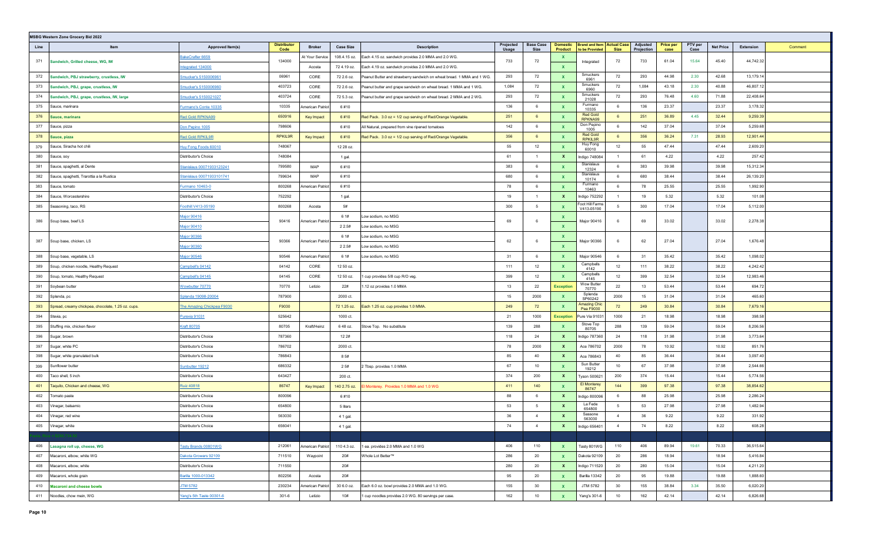|      | <b>MSBG Western Zone Grocery Bid 2022</b>          |                            |                            |                        |                  |                                                                       |                    |                          |                                   |                                                       |                 |                               |                          |                 |                  |           |         |
|------|----------------------------------------------------|----------------------------|----------------------------|------------------------|------------------|-----------------------------------------------------------------------|--------------------|--------------------------|-----------------------------------|-------------------------------------------------------|-----------------|-------------------------------|--------------------------|-----------------|------------------|-----------|---------|
| Line | Item                                               | Approved Item(s)           | <b>Distributor</b><br>Code | <b>Broker</b>          | <b>Case Size</b> | <b>Description</b>                                                    | Projected<br>Usage | <b>Base Case</b><br>Size | <b>Domestic</b><br><b>Product</b> | <b>Brand and Item   Actual Case</b><br>to be Provided | <b>Size</b>     | <b>Adjusted</b><br>Projection | <b>Price per</b><br>case | PTV per<br>Case | <b>Net Price</b> | Extension | Comment |
| 371  | Sandwich, Grilled cheese, WG, IW                   | BakeCrafter 6659           | 134000                     | At Your Service        | 108.4.15 oz.     | Each 4.15 oz. sandwich provides 2.0 MMA and 2.0 WG.                   | 733                | 72                       | X                                 | Integrated                                            | 72              | 733                           | 61.04                    | 15.64           | 45.40            | 44,742.32 |         |
|      |                                                    | tegrated 134000            |                            | Acosta                 | 72 4.19 oz.      | Each 4.19 oz. sandwich provides 2.0 MMA and 2.0 WG.                   |                    |                          | $\mathbf{x}$                      |                                                       |                 |                               |                          |                 |                  |           |         |
| 372  | Sandwich, PBJ strawberry, crustless, IW            | Smucker's 5150006961       | 06961                      | CORE                   | 72 2.6 oz.       | Peanut Butter and strawberry sandwich on wheat bread. 1 MMA and 1 WG. | 293                | 72                       | $\mathbf{x}$                      | Smuckers<br>6961                                      | 72              | 293                           | 44.98                    | 2.30            | 42.68            | 13,179.14 |         |
| 373  | Sandwich, PBJ, grape, crustless, IW                | mucker's 5150006960        | 403723                     | CORE                   | 72 2.6 oz.       | Peanut butter and grape sandwich on wheat bread. 1 MMA and 1 WG.      | 1,084              | 72                       | $\mathbf{x}$                      | Smuckers<br>6960                                      | 72              | 1,084                         | 43.18                    | 2.30            | 40.88            | 46,807.12 |         |
| 374  | Sandwich, PBJ, grape, crustless, IW, large         | Smucker's 5150021027       | 403724                     | CORE                   | 72 5.3 oz.       | Peanut butter and grape sandwich on wheat bread. 2 MMA and 2 WG.      | 293                | 72                       | $\mathbf{x}$                      | Smuckers<br>21028                                     | 72              | 293                           | 76.48                    | 4.60            | 71.88            | 22,408.64 |         |
| 375  | Sauce, marinara                                    | Furmano's Conte 10335      | 10335                      | American Patric        | 6#10             |                                                                       | 136                | 6                        | $\mathbf{x}$                      | Furmano<br>10335                                      | 6               | 136                           | 23.37                    |                 | 23.37            | 3,178.32  |         |
| 376  | Sauce, marinara                                    | <b>Red Gold RPKNA99</b>    | 650916                     | Key Impact             | 6#10             | Red Pack. 3.0 oz = 1/2 cup serving of Red/Orange Vegetable.           | 251                | 6                        | $\mathbf{x}$                      | <b>Red Gold</b><br>RPKNA99                            | $6\overline{6}$ | 251                           | 36.89                    | 4.45            | 32.44            | 9,259.39  |         |
| 377  | Sauce, pizza                                       | Don Pepino 1005            | 798606                     |                        | 6#10             | All Natural, prepared from vine ripened tomatoes                      | 142                | 6                        | $\mathbf{x}$                      | Don Pepino<br>1005                                    | 6               | 142                           | 37.04                    |                 | 37.04            | 5,259.68  |         |
| 378  | Sauce, pizza                                       | <b>Red Gold RPKIL9R</b>    | <b>RPKIL9R</b>             | Key Impact             | 6#10             | Red Pack. 3.0 oz = 1/2 cup serving of Red/Orange Vegetable.           | 356                | $6\phantom{1}6$          | $\mathbf{x}$                      | <b>Red Gold</b><br><b>RPKIL9R</b>                     | $6\overline{6}$ | 356                           | 36.24                    | 7.31            | 28.93            | 12,901.44 |         |
| 379  | Sauce, Siracha hot chili                           | Huy Fong Foods 60010       | 748067                     |                        | 12 28 oz.        |                                                                       | 55                 | 12                       | $\mathbf{x}$                      | Huy Fong<br>60010                                     | 12              | 55                            | 47.44                    |                 | 47.44            | 2,609.20  |         |
| 380  | Sauce, soy                                         | Distributor's Choice       | 748084                     |                        | 1 gal.           |                                                                       | 61                 | $\overline{1}$           | $\mathbf{x}$                      | Indigo 748084                                         | $\mathbf{1}$    | 61                            | 4.22                     |                 | 4.22             | 257.42    |         |
| 381  | Sauce, spaghetti, al Dente                         | Stanislaus 00071933123241  | 799580                     | MAP                    | 6#10             |                                                                       | 383                | 6                        | $\mathbf{x}$                      | Stanislaus<br>12324                                   | 6               | 383                           | 39.98                    |                 | 39.98            | 15,312.34 |         |
| 382  | Sauce, spaghetti, Trarottia a la Rustica           | Stanislaus 00071933101741  | 799634                     | MAP                    | 6#10             |                                                                       | 680                | 6                        | $\mathbf{x}$                      | Stanislaus<br>10174                                   | 6               | 680                           | 38.44                    |                 | 38.44            | 26,139.20 |         |
| 383  | Sauce, tomato                                      | urmano 10463-0             | 800268                     | merican Patrio         | 6#10             |                                                                       | 78                 | 6                        | $\mathbf{x}$                      | Furmano<br>10463                                      | 6               | 78                            | 25.55                    |                 | 25.55            | 1,992.90  |         |
| 384  | Sauce, Worcestershire                              | Distributor's Choice       | 752292                     |                        | 1 gal.           |                                                                       | 19                 | $\overline{1}$           | $\mathbf{x}$                      | Indigo 752292                                         | $\mathbf{1}$    | 19                            | 5.32                     |                 | 5.32             | 101.08    |         |
| 385  | Seasoning, taco, RS                                | Foothill V413-05190        | 800268                     | Acosta                 | 5#               |                                                                       | 300                | 5                        | $\mathbf{x}$                      | oot Hill Farms<br>V413-05190                          | $5\overline{5}$ | 300                           | 17.04                    |                 | 17.04            | 5,112.00  |         |
| 386  | Soup base, beef LS                                 | <b>Major 90416</b>         | 90416                      |                        | 6 1#             | ow sodium, no MSG                                                     | 69                 | 6                        | X                                 |                                                       | 6               | 69                            | 33.02                    |                 | 33.02            | 2,278.38  |         |
|      |                                                    | Major 90410                |                            | <b>Imerican Patric</b> | 2 2.5#           | ow sodium, no MSG                                                     |                    |                          | $\mathbf{x}$                      | Major 90416                                           |                 |                               |                          |                 |                  |           |         |
| 387  | Soup base, chicken, LS                             | <b>Major 90366</b>         | 90366                      | American Patrio        | 6 1#             | ow sodium, no MSG                                                     | 62                 | 6                        | $\mathbf{x}$                      | <b>Major 90366</b>                                    | 6               | 62                            | 27.04                    |                 | 27.04            | 1,676.48  |         |
|      |                                                    | Major 90360                |                            |                        | 2 2.5#           | Low sodium, no MSG                                                    |                    |                          | $\mathbf{x}$                      |                                                       |                 |                               |                          |                 |                  |           |         |
| 388  | Soup base, vegetable, LS                           | Major 90546                | 90546                      | American Patrio        | 6 1#             | Low sodium, no MSG                                                    | 31                 | - 6                      | $\mathbf{x}$                      | <b>Major 90546</b>                                    | 6               | 31                            | 35.42                    |                 | 35.42            | 1,098.02  |         |
| 389  | Soup, chicken noodle, Healthy Request              | Campbell's 04142           | 04142                      | CORE                   | 12 50 oz.        |                                                                       | 111                | 12                       | $\mathbf{x}$                      | Campbells<br>4142                                     | 12              | 111                           | 38.22                    |                 | 38.22            | 4,242.42  |         |
| 390  | Soup, tomato, Healthy Request                      | Campbell's 04145           | 04145                      | CORE                   | 12 50 oz.        | cup provides 5/8 cup R/O veg.                                         | 399                | 12                       | $\mathbf{x}$                      | Campbells<br>4145                                     | 12              | 399                           | 32.54                    |                 | 32.54            | 12,983.46 |         |
| 391  | Soybean butter                                     | Wowbutter 70770            | 70770                      | Letizio                | 22#              | 1.12 oz provides 1.0 MMA                                              | 13                 | 22                       | <b>Exception</b>                  | Wow Butter<br>70770                                   | 22              | 13                            | 53.44                    |                 | 53.44            | 694.72    |         |
| 392  | Splenda, pc                                        | Splenda 19098-20004        | 787900                     |                        | 2000 ct.         |                                                                       | 15                 | 2000                     | $\mathbf{x}$                      | Splenda<br>SP60242                                    | 2000            | 15                            | 31.04                    |                 | 31.04            | 465.60    |         |
| 393  | Spread, creamy chickpea, chocolate, 1.25 oz. cups. | The Amazing Chickpea F9030 | F9030                      |                        | 72 1.25 oz.      | Each 1.25 oz. cup provides 1.0 MMA.                                   | 249                | 72                       | $\mathbf{x}$                      | <b>Amazing Chic</b><br>Pea F9030                      | 72              | 249                           | 30.84                    |                 | 30.84            | 7,679.16  |         |
| 394  | Stevia, pc                                         | Purevia 91031              | 525642                     |                        | 1000 ct.         |                                                                       | 21                 | 1000                     | <b>Exception</b>                  | Pure Via 91031                                        | 1000            | 21                            | 18.98                    |                 | 18.98            | 398.58    |         |
| 395  | Stuffing mix, chicken flavor                       | <b>Kraft 80705</b>         | 80705                      | Kraft/Heinz            | 648 oz.          | Stove Top. No substitute                                              | 139                | 288                      | $\mathbf{x}$                      | Stove Top<br>80705                                    | 288             | 139                           | 59.04                    |                 | 59.04            | 8,206.56  |         |
| 396  | Sugar, brown                                       | Distributor's Choice       | 787360                     |                        | 12 2#            |                                                                       | 118                | 24                       | $\mathbf{x}$                      | Indigo 787360                                         | 24              | 118                           | 31.98                    |                 | 31.98            | 3,773.64  |         |
| 397  | Sugar, white PC                                    | Distributor's Choice       | 786702                     |                        | 2000 ct.         |                                                                       | 78                 | 2000                     | $\mathbf{x}$                      | Ace 786702                                            | 2000            | 78                            | 10.92                    |                 | 10.92            | 851.76    |         |
| 398  | Sugar, white granulated bulk                       | Distributor's Choice       | 786843                     |                        | 8 5#             |                                                                       | 85                 | 40                       | $\mathbf{x}$                      | Ace 786843                                            | 40              | 85                            | 36.44                    |                 | 36.44            | 3,097.40  |         |
| 399  | Sunflower butter                                   | Sunbutter 19212            | 686332                     |                        | 2 5#             | 2 Tbsp. provides 1.0 MMA                                              | 67                 | 10                       | $\mathbf{x}$                      | Sun Butter<br>19212                                   | 10              | 67                            | 37.98                    |                 | 37.98            | 2,544.66  |         |
| 400  | Taco shell, 5 inch                                 | Distributor's Choice       | 643427                     |                        | 200 ct.          |                                                                       | 374                | 200                      | $\mathbf{x}$                      | Tyson 500621                                          | 200             | 374                           | 15.44                    |                 | 15.44            | 5,774.56  |         |
| 401  | Taquito, Chicken and cheese, WG                    | Ruiz 40818                 | 86747                      | Key Impact             | 140 2.75 oz.     | Monterey. Provides 1.0 MMA and 1.0 WG                                 | 411                | 140                      | $\mathbf{x}$                      | <b>El Monterey</b><br>86747                           | 144             | 399                           | 97.38                    |                 | 97.38            | 38,854.62 |         |
| 402  | Tomato paste                                       | Distributor's Choice       | 800096                     |                        | 6#10             |                                                                       | 88                 | 6                        | $\mathbf{x}$                      | ndigo 800096                                          | 6               | 88                            | 25.98                    |                 | 25.98            | 2,286.24  |         |
| 403  | Vinegar, balsamic                                  | Distributor's Choice       | 654800                     |                        | 5 liters         |                                                                       | 53                 | 5                        | $\boldsymbol{\mathsf{x}}$         | La Fede<br>654800                                     | $5\overline{5}$ | 53                            | 27.98                    |                 | 27.98            | 1,482.94  |         |
| 404  | Vinegar, red wine                                  | Distributor's Choice       | 563030                     |                        | 4 1 gal.         |                                                                       | 36                 | $\overline{4}$           | $\mathbf{x}$                      | Sassone<br>563030                                     | $\overline{4}$  | 36                            | 9.22                     |                 | 9.22             | 331.92    |         |
|      | 405 Vinegar, white                                 | Distributor's Choice       | 656041                     |                        | 4 1 gal.         |                                                                       | 74                 | $\overline{4}$           | $\boldsymbol{\mathsf{x}}$         | Indigo 656401                                         | $\overline{4}$  | 74                            | 8.22                     |                 | 8.22             | 608.28    |         |
|      |                                                    |                            |                            |                        |                  |                                                                       |                    |                          |                                   |                                                       |                 |                               |                          |                 |                  |           |         |
| 406  | Lasagna roll up, cheese, WG                        | Tasty Brands 00801WG       | 212061                     | American Patriot       | 110 4.3 oz.      | 1 ea. provides 2.0 MMA and 1.0 WG                                     | 406                | 110                      |                                   | Tasty 801WG                                           | 110             | 406                           | 89.94                    | 19.61           | 70.33            | 36,515.64 |         |
| 407  | Macaroni, elbow, white WG                          | Dakota Growers 92109       | 711510                     | Waypoint               | 20#              | Whole Lot Better™                                                     | 286                | 20                       | $\mathbf{x}$                      | Dakota 92109                                          | 20              | 286                           | 18.94                    |                 | 18.94            | 5,416.84  |         |
| 408  | Macaroni, elbow, white                             | Distributor's Choice       | 711550                     |                        | 20#              |                                                                       | 280                | 20                       | $\mathbf{x}$                      | Indigo 711520                                         | 20              | 280                           | 15.04                    |                 | 15.04            | 4,211.20  |         |
| 409  | Macaroni, whole grain                              | Barilla 1000-013342        | 802256                     | Acosta                 | 20#              |                                                                       | 95                 | 20                       | $\mathbf{x}$                      | Barilla 13342                                         | 20              | 95                            | 19.88                    |                 | 19.88            | 1,888.60  |         |
| 410  | <b>Macaroni and cheese bowls</b>                   | <b>JTM 5782</b>            | 230234                     | <b>Imerican Patrio</b> | 30 6.0 oz.       | Each 6.0 oz. bowl provides 2.0 MMA and 1.0 WG.                        | 155                | 30                       | $\mathbf{x}$                      | JTM 5782                                              | 30              | 155                           | 38.84                    | 3.34            | 35.50            | 6,020.20  |         |
| 411  | Noodles, chow mein, WG                             | Yang's 5th Taste 00301-6   | 301-6                      | Letizio                | 10#              | 1 cup noodles provides 2.0 WG. 80 servings per case.                  | 162                | 10                       | $\mathbf{x}$                      | Yang's 301-6                                          | 10              | 162                           | 42.14                    |                 | 42.14            | 6,826.68  |         |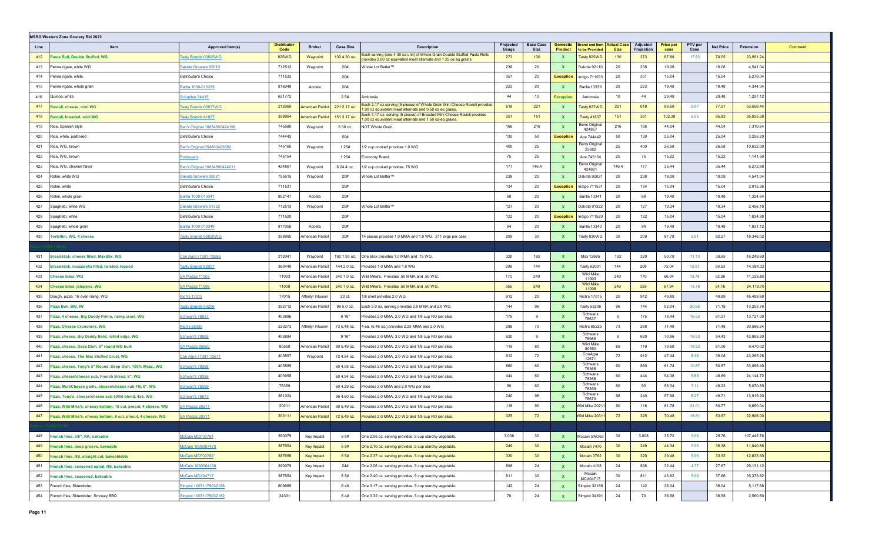|      | MSBG Western Zone Grocery Bid 2022                              |                                      |                            |                         |                  |                                                                                                                                                |                    |                                 |                     |                                                       |                 |                        |                          |                 |                  |                      |  |
|------|-----------------------------------------------------------------|--------------------------------------|----------------------------|-------------------------|------------------|------------------------------------------------------------------------------------------------------------------------------------------------|--------------------|---------------------------------|---------------------|-------------------------------------------------------|-----------------|------------------------|--------------------------|-----------------|------------------|----------------------|--|
| Line | Item                                                            | Approved Item(s)                     | <b>Distributor</b><br>Code | <b>Broker</b>           | <b>Case Size</b> | <b>Description</b>                                                                                                                             | Projected<br>Usage | <b>Base Case</b><br><b>Size</b> | Domestic<br>Product | <b>Brand and Item   Actual Case</b><br>to be Provided | <b>Size</b>     | Adiusted<br>Projection | <b>Price per</b><br>case | PTV per<br>Case | <b>Net Price</b> | Extension<br>Comment |  |
| 412  | Pasta Roll, Double Stuffed, WG                                  | <u> Fasty Brands 00825WG</u>         | 825WG                      | Waypoint                | 130 4.30 oz.     | Each serving (one 4 30 oz unit) of Whole Grain Double Stuffed Pasta Rolls<br>provides 2.00 oz equivalent meat alternate and 1 25 oz eq grains. | 273                | 130                             |                     | Tasty 825WG                                           | 130             | 273                    | 87.88                    | 17.83           | 70.05            | 23,991.24            |  |
| 413  | Penne rigate, white WG                                          | <u> Dakota Growers 92010</u>         | 712512                     | Waypoint                | 20#              | <i>N</i> hole Lot Better™                                                                                                                      | 238                | 20                              | X                   | Dakota 92110                                          | 20              | 238                    | 19.08                    |                 | 19.08            | 4,541.04             |  |
| 414  | Penne rigate, white                                             | Distributor's Choice                 | 711533                     |                         | 20#              |                                                                                                                                                | 351                | 20                              | <b>Exception</b>    | Indigo 711533                                         | 20              | 351                    | 15.04                    |                 | 15.04            | 5,279.04             |  |
| 415  | Penne rigate, whole grain                                       | <u>3arilla 1000-013339</u>           | 816048                     | Acosta                  | 20#              |                                                                                                                                                | 223                | 20                              |                     | Barilla 13339                                         | 20              | 223                    | 19.48                    |                 | 19.48            | 4,344.04             |  |
| 416  | Quinoa, white                                                   | Schreiber 34415                      | 621772                     |                         | 2 5#             | mbrosia                                                                                                                                        | 44                 | 10                              | <b>Exception</b>    | Ambrosia                                              | 10              | 44                     | 29.48                    |                 | 29.48            | 1,297.12             |  |
| 417  | Ravioli, cheese, mini WG                                        | <b>Tasty Brands 00837WG</b>          | 212069                     | American Patriot        | 221 2.17 oz.     | Each 2.17 oz serving (5 pieces) of Whole Grain Mini Cheese Ravioli provides<br>1.00 oz equivalent meat alternate and 0.50 oz eq grains.        | 618                | 221                             |                     | Tasty 837WG                                           | 221             | 618                    | 86.58                    | 9.07            | 77.51            | 53,506.44            |  |
| 418  | Ravioli, breaded, mini WG                                       | <u> Fasty Brands 41837</u>           | 358994                     | American Patrio         | 151 3.17 oz.     | Each 3.17 oz. serving (5 pieces) of Breaded Mini Cheese Ravioli provides<br>1.00 oz equivalent meat alternate and 1.50 oz-eq grains.           | 351                | 151                             |                     | <b>Tasty 41837</b>                                    | 151             | 351                    | 102.38                   | 6.55            | 95.83            | 35,935.38            |  |
| 419  | Rice, Spanish style                                             | Ben's Original 10054800424198        | 745580                     | Waypoint                | 6 36 oz.         | NOT Whole Grain                                                                                                                                | 166                | 216                             |                     | Bens Original<br>424857                               | 216             | 166                    | 44.04                    |                 | 44.04            | 7,310.64             |  |
| 420  | Rice, white, parboiled                                          | Distributor's Choice                 | 744442                     |                         | 50#              |                                                                                                                                                | 130                | 50                              | <b>Exception</b>    | Ace 744442                                            | 50              | 130                    | 25.04                    |                 | 25.04            | 3,255.20             |  |
| 421  | Rice, WG, brown                                                 | <u> Ben's Original 054800423682</u>  | 745160                     | Waypoint                | 1 2 5 #          | 1/2 cup cooked provides 1.0 WG                                                                                                                 | 400                | 25                              |                     | <b>Bens Original</b><br>23682                         | 25              | 400                    | 26.58                    |                 | 26.58            | 10,632.00            |  |
| 422  | Rice, WG, brown                                                 | <u>roducer's</u>                     | 745154                     |                         | 1 2 5 #          | Economy Brand                                                                                                                                  | 75                 | 25                              |                     | Ace 745154                                            | 25              | 75                     | 15.22                    |                 | 15.22            | 1,141.50             |  |
| 423  | Rice, WG, chicken flavor                                        | <u>Ben's Original 10054800424211</u> | 424861                     | Waypoint                | 6 24.4 oz.       | 1/2 cup cooked provides .75 WG                                                                                                                 | 177                | 146.4                           |                     | <b>Bens Original</b><br>424861                        | 146.4           | 177                    | 35.44                    |                 | 35.44            | 6,272.88             |  |
| 424  | Rotini, white WG                                                | <u>)akota Growers 92021</u>          | 755515                     | Waypoint                | 20#              | Vhole Lot Better™                                                                                                                              | 238                | 20                              |                     | Dakota 92021                                          | 20              | 238                    | 19.08                    |                 | 19.08            | 4,541.04             |  |
| 425  | Rotini, white                                                   | Distributor's Choice                 | 711531                     |                         | 20#              |                                                                                                                                                | 134                | 20                              | <b>Exception</b>    | Indigo 711531                                         | 20              | 134                    | 15.04                    |                 | 15.04            | 2,015.36             |  |
| 426  | Rotini, whole grain                                             | <u>Barilla 1000-013341</u>           | 802141                     | Acosta                  | 20#              |                                                                                                                                                | 68                 | 20                              |                     | Barilla 13341                                         | 20              | 68                     | 19.48                    |                 | 19.48            | 1,324.64             |  |
| 427  | Spaghetti, white WG                                             | <u>)akota Growers 91322</u>          | 712513                     | Waypoint                | 20#              | <i>N</i> hole Lot Better™                                                                                                                      | 127                | 20                              |                     | Dakota 91322                                          | 20              | 127                    | 19.34                    |                 | 19.34            | 2,456.18             |  |
| 428  | Spaghetti, white                                                | Distributor's Choice                 | 711520                     |                         | 20#              |                                                                                                                                                | 122                | 20                              | <b>Exception</b>    | Indigo 711520                                         | 20              | 122                    | 15.04                    |                 | 15.04            | 1,834.88             |  |
| 429  | Spaghetti, whole grain                                          | Barilla 1000-013340                  | 817058                     | Acosta                  | 20#              |                                                                                                                                                | 94                 | 20                              |                     | Barilla 13340                                         | 20              | 94                     | 19.48                    |                 | 19.48            | 1,831.12             |  |
| 430  | Tortellini, WG, 4 cheese                                        | Tasty Brands 00830WG                 | 358995                     | American Patrio         | 30#              | 14 pieces provides 1.0 MMA and 1.0 WG. 211 svgs per case                                                                                       | 209                | 30                              |                     | Tasty 830WG                                           | 30              | 209                    | 87.78                    | 5.51            | 82.27            | 18,346.02            |  |
|      |                                                                 |                                      |                            |                         |                  |                                                                                                                                                |                    |                                 |                     |                                                       |                 |                        |                          |                 |                  |                      |  |
| 431  | Breadstick, cheese filled, MaxStix, WG                          | <u> Con Agra 77387-12685</u>         | 212041                     | Waypoint                | 192 1.93 oz.     | One stick provides 1.0 MMA and .75 WG.                                                                                                         | 320                | 192                             |                     | Max 12685                                             | 192             | 320                    | 50.78                    | 11.13           | 39.65            | 16,249.60            |  |
| 432  | Breadstick, mozzarella filled, twisted, topped                  | <u> Fasty Brands 62001</u>           | 360449                     | American Patriot        | 144 2.0 oz.      | Provides 1.0 MMA and 1.0 WG                                                                                                                    | 208                | 144                             |                     | Tasty 62001                                           | 144             | 208                    | 72.04                    | 12.51           | 59.53            | 14,984.32            |  |
| 433  | <b>Cheese bites, WG</b>                                         | <u>SA Piazza 11003</u>               | 11003                      | American Patriot        | 240 1.0 oz.      | Wild Mike's. Provides .50 MMA and .50 WG.                                                                                                      | 170                | 240                             |                     | Wild Mike<br>11003                                    | 240             | 170                    | 66.04                    | 13.78           | 52.26            | 11,226.80            |  |
| 434  | Cheese bites, jalapeno, WG                                      | <u>SA Piazza 11008</u>               | 11008                      | American Patrio         | 240 1.0 oz.      | .50 Wild Mike's. Provides .50 MMA and .50 WG.                                                                                                  | 355                | 240                             |                     | <b>Wild Mike</b><br>11008                             | 240             | 355                    | 67.94                    | 13.78           | 54.16            | 24,118.70            |  |
| 435  | Dough, pizza, 16 oven rising, WG                                | Rich's 17015                         | 17015                      | Affinity/ Infusior      | 20 ct.           | 1/8 shell provides 2.0 WG.                                                                                                                     | 912                | 20                              | X                   | <b>Rich's 17015</b>                                   | 20              | 912                    | 49.89                    |                 | 49.89            | 45,499.68            |  |
| 436  | Pizza Boli, WG, IW                                              | <b>Tasty Brands 53206</b>            | 352712                     | American Patrio         | 96 5.0 oz.       | Each 5.0 oz. serving provides 2.0 MMA and 2.0 WG                                                                                               | 144                | 96                              |                     | <b>Tasty 53206</b><br>Schwans                         | 96              | 144                    | 92.04                    | 20.85           | 71.19            | 13,253.76            |  |
| 437  | Pizza, 4 cheese, Big Daddy Primo, rising crust, WG              | <u>Schwan's 78637</u>                | 403886                     |                         | 9 16"            | Provides 2.0 MMA, 2.0 WG and 1/8 cup RO per slice                                                                                              | 175                | 9                               |                     | 78637                                                 |                 | 175                    | 78.44                    | 16.53           | 61.91            | 13,727.00            |  |
| 438  | Pizza, Cheese Crunchers, WG                                     | <u>Rich's 65335</u>                  | 220273                     | Affinity/ Infusion      | 73 5.48 oz.      | 4 ea. (5.48 oz.) provides 2.25 MMA and 2.0 WG                                                                                                  | 288                | 73                              |                     | <b>Rich's 65225</b><br>Schwans                        | 73              | 288                    | 71.48                    |                 | 71.48            | 20,586.24            |  |
| 439  | Pizza, cheese, Big Daddy Bold, rolled edge, WG                  | <u>Schwan's 78985</u>                | 403884                     |                         | 9 16"            | rovides 2.0 MMA, 3.0 WG and 1/8 cup RO per slice                                                                                               | 620                | 9                               |                     | 78985<br><b>Wild Mike</b>                             | 9               | 620                    | 70.96                    | 16.53           | 54.43            | 43,995.20            |  |
| 440  | Pizza, cheese, Deep Dish, 5" round WG bulk                      | <u>SA Piazza 80550</u>               | 80550                      | American Patriot        | 80 5.49 oz.      | Provides 2.0 MMA, 2.0 WG and 1/8 cup RO per slice.                                                                                             | 119                | 80                              |                     | 80550<br>ConAgra                                      | 80              | 119                    | 79.58                    | 18.52           | 61.06            | 9,470.02             |  |
| 441  | Pizza, cheese, The Max Stuffed Crust, WG                        | <u>Con Agra 77387-12671</u>          | 403897                     | Waypoint                | 72 4.84 oz.      | rovides 2.0 MMA, 2.0 WG and 1/8 cup RO per slice.                                                                                              | 912                | 72                              |                     | 12671<br>Schwans                                      | 72              | 912                    | 47.44                    | 8.36            | 39.08            | 43,265.28            |  |
| 442  | Pizza, cheese, Tony's 5" Round, Deep Dish, 100% Mozz., WG       | <u>Schwan's 78368</u>                | 403889                     |                         | 60 4.98 oz.      | rovides 2.0 MMA, 2.0 WG and 1/8 cup RO per slice.                                                                                              | 860                | 60                              |                     | 78368<br>Schwans                                      | 60              | 860                    | 61.74                    | 10.87           | 50.87            | 53,096.40            |  |
| 443  | lizza, cheeselcheese sub, French Bread, 6", WG                  | Schwan's 78356                       | 403958                     |                         | 60 4.94 oz.      | ovides 2.0 MMA, 2.0 WG and 1/8 cup RO per slice.                                                                                               | 444                | 60                              |                     | 78356<br>Schwans                                      | 60              | 444                    | 54.38                    | 5.69            | 48.69            | 24,144.72            |  |
| 444  | Pizza, MultiCheese garlic, cheese\cheese sub FB, 6", WG         | Schwan's 78359                       | 78359                      |                         | 60 4.29 oz.      | rovides 2.0 MMA and 2.0 WG per slice                                                                                                           | 90                 | 60                              |                     | 78359<br>Schwans                                      | 60              | 90                     | 56.34                    | 7.11            | 49.23            | 5,070.60             |  |
| 445  | Pizza, Tony's, cheese\cheese sub 50/50 blend, 4x6, WG           | Schwan's 78673                       | 361024                     |                         | 96 4.60 oz.      | ovides 2.0 MMA, 2.0 WG and 1/8 cup RO per slice                                                                                                | 240<br>118         | 96<br>90                        |                     | 78673                                                 | 96              | 240                    | 57.98                    | 8.27            | 49.71            | 13,915.20            |  |
| 446  | Pizza, Wild Mike's, cheesy bottom, 10 cut, precut, 4 cheese, WG | SA Piazza 20211                      | 20211                      | American Patrio         | 90 5.49 oz.      | rovides 2.0 MMA, 2.0 WG and 1/8 cup RO per slice.                                                                                              |                    |                                 | x                   | Wild Mike 2021                                        | 90              | 118                    | 81.78                    | 21.01           | 60.77            | 9,650.04             |  |
| 447  | Pizza, Wild Mike's, cheesy bottom, 8 cut, precut, 4 cheese, WG  | <u>SA Piazza 20311</u>               | 203111                     | <b>American Patriot</b> | 72 5.49 oz.      | Provides 2.0 MMA, 2.0 WG and 1/8 cup RO per slice.                                                                                             | 325                | 72                              |                     | Wild Mike 2031                                        | 72              | 325                    | 70.48                    | 16.81           | 53.67            | 22,906.00            |  |
| 448  | French fries, 3/8", KK, bakeable                                | McCain MCF03761                      | 390079                     | Key Impact              | 6 5#             | One 2.06 oz. serving provides .5 cup starchy vegetable.                                                                                        | 3,008              | 30                              | $\mathbf{x}$        | Mccain SNO63                                          | 30              | 3,008                  | 35.72                    | 5.96            | 29.76            | 107,445.76           |  |
| 449  | French fries, deep groove, bakeable                             | McCain 1000007470                    | 387654                     | Key Impact              | 6 5#             | One 2.10 oz. serving provides .5 cup starchy vegetable.                                                                                        | 249                | 30                              | $\mathbf{x}$        | Mccain 7470                                           | 30              | 249                    | 44.34                    | 5.96            | 38.38            | 11,040.66            |  |
| 450  | French fries, RS, straight cut, bakeableble                     | McCain MCF03762                      | 387656                     | Key Impact              | 6 5#             | One 2.37 oz. serving provides .5 cup starchy vegetable.                                                                                        | 320                | 30                              | $\mathbf{x}$        | Mccain 3762                                           | 30 <sup>°</sup> | 320                    | 39.48                    | 5.96            | 33.52            | 12,633.60            |  |
| 451  | French fries, seasoned spiral, RS, bakeable                     | McCain 1000004108                    | 390079                     | Key Impact              | 24#              | One 2.06 oz. serving provides .5 cup starchy vegetable.                                                                                        | 898                | 24                              | <b>X</b>            | Mccain 4108                                           | 24              | 898                    | 32.44                    | 4.77            | 27.67            | 29,131.12            |  |
| 452  | French fries, seasoned, bakeable                                | McCain MCX04717                      | 387654                     | Key Impact              | 6 5#             | One 2.40 oz. serving provides .5 cup starchy vegetable.                                                                                        | 811                | 30                              | X                   | Mccain                                                | 30              | 811                    | 43.62                    | 5.96            | 37.66            | 35,375.82            |  |
| 453  | French fries, Sidewinder                                        | Simplot 10071179032168               | 609669                     |                         | 64#              | One 3.17 oz. serving provides .5 cup starchy vegetable.                                                                                        | 142                | 24                              | X                   | MCX04717<br>Simplot 32168                             | 24              | 142                    | 36.04                    |                 | 36.04            | 5,117.68             |  |
| 454  | French fries, Sidewinder, Smokey BBQ                            | Simplot 10071179032182               | 34391                      |                         | 64#              | One 3.32 oz. serving provides .5 cup starchy vegetable.                                                                                        | 70                 | 24                              | $\mathbf{x}$        | Simplot 34391                                         | 24              | 70                     | 36.58                    |                 | 36.58            | 2,560.60             |  |
|      |                                                                 |                                      |                            |                         |                  |                                                                                                                                                |                    |                                 |                     |                                                       |                 |                        |                          |                 |                  |                      |  |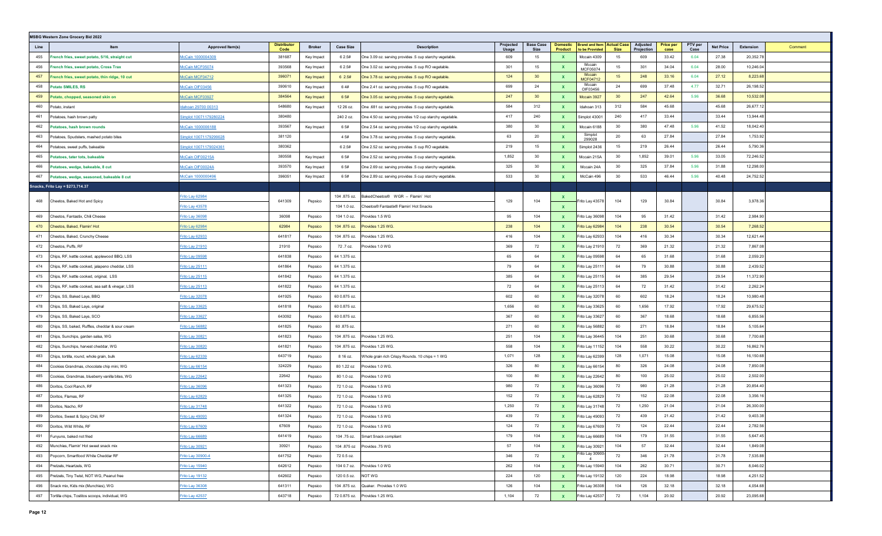|      | <b>MSBG Western Zone Grocery Bid 2022</b>         |                        |                            |                   |                    |                                                          |                    |                          |                            |                                         |                                   |                        |                          |                 |                  |           |         |
|------|---------------------------------------------------|------------------------|----------------------------|-------------------|--------------------|----------------------------------------------------------|--------------------|--------------------------|----------------------------|-----------------------------------------|-----------------------------------|------------------------|--------------------------|-----------------|------------------|-----------|---------|
| Line | Item                                              | Approved Item(s)       | <b>Distributor</b><br>Code | <b>Broker</b>     | <b>Case Size</b>   | <b>Description</b>                                       | Projected<br>Usage | <b>Base Case</b><br>Size | <b>Domestic</b><br>Product | <b>Brand and Item</b><br>to be Provided | <b>Actual Case</b><br><b>Size</b> | Adjusted<br>Projection | <b>Price per</b><br>case | PTV per<br>Case | <b>Net Price</b> | Extension | Comment |
| 455  | rench fries, sweet potato, 5/16, straight cut     | McCain 1000004309      | 381687                     | Key Impact        | 6 2.5#             | One 3.09 oz. serving provides .5 cup starchy vegetable.  | 609                | 15                       | <b>X</b>                   | Mccain 4309                             | 15                                | 609                    | 33.42                    | 6.04            | 27.38            | 20,352.78 |         |
| 456  | French fries, sweet potato, Cross Trax            | McCain MCF05074        | 393568                     | Key Impact        | 6 2.5#             | One 3.02 oz. serving provides .5 cup RO vegetable.       | 301                | 15                       | $\mathbf{x}$               | Mccain<br>MCF05074                      | 15                                | 301                    | 34.04                    | 6.04            | 28.00            | 10,246.04 |         |
| 457  | rench fries, sweet potato, thin ridge, 10 cut     | McCain MCF04712        | 396071                     | <b>Key Impact</b> | 6 2.5#             | One 3.78 oz. serving provides .5 cup RO vegetable.       | 124                | 30                       |                            | Mccain<br>MCF04712                      | 15                                | 248                    | 33.16                    | 6.04            | 27.12            | 8,223.68  |         |
| 458  | <b>Potato SMILES, RS</b>                          | McCain OIF03456        | 390610                     | Key Impact        | 64#                | One 2.41 oz. serving provides .5 cup RO vegetable.       | 699                | 24                       | $\mathbf{x}$               | Mccain<br>OIF03456                      | 24                                | 699                    | 37.48                    | 4.77            | 32.71            | 26,198.52 |         |
| 459  | Potato, chopped, seasoned skin on                 | McCain MCF03927        | 384564                     | <b>Key Impact</b> | 6 5#               | One 3.05 oz. serving provides .5 cup starchy egetable.   | 247                | 30                       | $\mathbf{x}$               | Mccain 3927                             | 30 <sup>°</sup>                   | 247                    | 42.64                    | 5.96            | 36.68            | 10,532.08 |         |
| 460  | Potato, instant                                   | Idahoan 29700 00313    | 548680                     | Key Impact        | 12 26 oz.          | One .681 oz. serving provides .5 cup starchy egetable.   | 584                | 312                      | $\mathbf{x}$               | Idahoan 313                             | 312                               | 584                    | 45.68                    |                 | 45.68            | 26,677.12 |         |
| 461  | Potatoes, hash brown patty                        | Simplot 10071179280224 | 380480                     |                   | 240 2 oz.          | One 4.50 oz. serving provides 1/2 cup starchy vegetable. | 417                | 240                      | $\mathbf{x}$               | Simplot 43001                           | 240                               | 417                    | 33.44                    |                 | 33.44            | 13,944.48 |         |
| 462  | otatoes, hash brown rounds                        | McCain 1000006188      | 393567                     | Key Impact        | 6 5#               | One 2.54 oz. serving provides 1/2 cup starchy vegetable. | 380                | 30                       |                            | Mccain 6188                             | 30                                | 380                    | 47.48                    | 5.96            | 41.52            | 18,042.40 |         |
| 463  | Potatoes, Spudsters, mashed potato bites          | Simplot 10071179299028 | 381120                     |                   | 4 5#               | One 3.78 oz. serving provides .5 cup starchy vegetable.  | 63                 | 20                       | $\mathbf{x}$               | Simplot<br>299028                       | 20                                | 63                     | 27.84                    |                 | 27.84            | 1,753.92  |         |
| 464  | Potatoes, sweet puffs, bakeable                   | Simplot 10071179024361 | 380362                     |                   | 6 2.5#             | One 2.52 oz. serving provides .5 cup RO vegetable.       | 219                | 15                       | $\mathbf{x}$               | Simplot 2436                            | 15                                | 219                    | 26.44                    |                 | 26.44            | 5,790.36  |         |
| 465  | Potatoes, tater tots, bakeable                    | McCain OIF00215A       | 380558                     | Key Impact        | 6 5#               | One 2.52 oz. serving provides .5 cup starchy vegetable.  | 1,852              | 30                       | $\mathbf{x}$               | Mccain 215A                             | 30                                | 1,852                  | 39.01                    | 5.96            | 33.05            | 72,246.52 |         |
| 466  | Potatoes, wedge, bakeable, 8 cut                  | McCain OIF00024A       | 393570                     | Key Impact        | 6 5#               | One 2.69 oz. serving provides .5 cup starchy vegetable.  | 325                | 30                       | <b>X</b>                   | Mccain 24A                              | 30                                | 325                    | 37.84                    | 5.96            | 31.88            | 12,298.00 |         |
| 467  | Potatoes, wedge, seasoned, bakeable 8 cut         | McCain 1000000496      | 396051                     | Key Impact        | 6 5#               | One 2.89 oz. serving provides .5 cup starchy vegetable.  | 533                | 30                       |                            | McCain 496                              | 30                                | 533                    | 46.44                    | 5.96            | 40.48            | 24,752.52 |         |
|      | Snacks, Frito Lay = \$273,714.37                  |                        |                            |                   |                    |                                                          |                    |                          |                            |                                         |                                   |                        |                          |                 |                  |           |         |
| 468  | Cheetos, Baked Hot and Spicy                      | Frito Lay 62984        | 641309                     | Pepsico           | 104 .875 oz.       | BakedCheetos® WGR - Flamin' Hot                          | 129                | 104                      |                            | Frito Lay 43578                         | 104                               | 129                    | 30.84                    |                 | 30.84            | 3,978.36  |         |
|      |                                                   | Frito Lay 43578        |                            |                   | 104 1.0 oz.        | Cheetos® Fantastix® Flamin' Hot Snacks                   |                    |                          | $\mathbf{x}$               |                                         |                                   |                        |                          |                 |                  |           |         |
| 469  | Cheetos, Fantastix, Chili Cheese                  | Frito Lay 36098        | 36098                      | Pepsico           | 104 1.0 oz.        | Provides 1.5 WG                                          | 95                 | 104                      | X                          | Frito Lay 36098                         | 104                               | 95                     | 31.42                    |                 | 31.42            | 2,984.90  |         |
| 470  | Cheetos, Baked, Flamin' Hot                       | Frito Lay 62984        | 62984                      | Pepsico           | 104 .875 oz.       | Provides 1.25 WG.                                        | 238                | 104                      |                            | Frito Lay 62984                         | 104                               | 238                    | 30.54                    |                 | 30.54            | 7,268.52  |         |
| 471  | Cheetos, Baked, Crunchy Cheese                    | Frito Lay 62933        | 641817                     | Pepsico           | 104 .875 oz.       | Provides 1.25 WG.                                        | 416                | 104                      | $\mathbf{x}$               | Frito Lay 62933                         | 104                               | 416                    | 30.34                    |                 | 30.34            | 12,621.44 |         |
| 472  | Cheetos, Puffs, RF                                | Frito Lay 21910        | 21910                      | Pepsico           | 72.7 oz.           | Provides 1.0 WG                                          | 369                | 72                       | $\mathbf{x}$               | Frito Lay 21910                         | 72                                | 369                    | 21.32                    |                 | 21.32            | 7,867.08  |         |
| 473  | Chips, RF, kettle cooked, applewood BBQ, LSS      | Frito Lay 09598        | 641838                     | Pepsico           | 64 1.375 oz.       |                                                          | 65                 | 64                       | <b>X</b>                   | Frito Lay 09598                         | 64                                | 65                     | 31.68                    |                 | 31.68            | 2,059.20  |         |
| 474  | Chips, RF, kettle cooked, jalapeno cheddar, LSS   | Frito Lay 25111        | 641864                     | Pepsico           | 64 1.375 oz.       |                                                          | 79                 | 64                       | $\mathbf{x}$               | rito Lay 2511 <sup>-</sup>              | 64                                | 79                     | 30.88                    |                 | 30.88            | 2,439.52  |         |
| 475  | Chips, RF, kettle cooked, original, LSS           | Frito Lay 25115        | 641842                     | Pepsico           | 64 1.375 oz.       |                                                          | 385                | 64                       | $\mathbf{x}$               | Frito Lay 25115                         | 64                                | 385                    | 29.54                    |                 | 29.54            | 11,372.90 |         |
| 476  | Chips, RF, kettle cooked, sea salt & vinegar, LSS | Frito Lay 25113        | 641822                     | Pepsico           | 64 1.375 oz.       |                                                          | 72                 | 64                       | $\mathbf{x}$               | Frito Lay 25113                         | 64                                | 72                     | 31.42                    |                 | 31.42            | 2,262.24  |         |
| 477  | Chips, SS, Baked Lays, BBQ                        | Frito Lay 32078        | 641925                     | Pepsico           | 60 0.875 oz.       |                                                          | 602                | 60                       | $\mathbf{x}$               | Frito Lay 32078                         | 60                                | 602                    | 18.24                    |                 | 18.24            | 10,980.48 |         |
| 478  | Chips, SS, Baked Lays, original                   | Frito Lay 33625        | 641818                     | Pepsico           | 60 0.875 oz.       |                                                          | 1,656              | 60                       | <b>X</b>                   | Frito Lay 33625                         | 60                                | 1,656                  | 17.92                    |                 | 17.92            | 29,675.52 |         |
| 479  | Chips, SS, Baked Lays, SCO                        | Frito Lay 33627        | 643092                     | Pepsico           | 60 0.875 oz.       |                                                          | 367                | 60                       | $\mathbf{x}$               | Frito Lay 33627                         | 60                                | 367                    | 18.68                    |                 | 18.68            | 6,855.56  |         |
| 480  | Chips, SS, baked, Ruffles, cheddar & sour cream   | Frito Lay 56882        | 641825                     | Pepsico           | 60.875 oz.         |                                                          | 271                | 60                       |                            | Frito Lay 56882                         | 60                                | 271                    | 18.84                    |                 | 18.84            | 5,105.64  |         |
| 481  | Chips, Sunchips, garden salsa, WG                 | Frito Lay 30821        | 641823                     | Pepsico           | 104 .875 oz.       | rovides 1.25 WG.                                         | 251                | 104                      | $\mathbf{x}$               | Frito Lay 36445                         | 104                               | 251                    | 30.68                    |                 | 30.68            | 7,700.68  |         |
| 482  | Chips, Sunchips, harvest cheddar, WG              | Frito Lay 30820        | 641821                     | Pepsico           | 104 .875 oz.       | Provides 1.25 WG.                                        | 558                | 104                      | $\mathbf{x}$               | Frito Lay 11152                         | 104                               | 558                    | 30.22                    |                 | 30.22            | 16,862.76 |         |
| 483  | Chips, tortilla, round, whole grain, bulk         | Frito Lay 62339        | 643719                     | Pepsico           | 8 16 oz.           | Whole grain rich Crispy Rounds. 10 chips = 1 WG          | 1,071              | 128                      | <b>X</b>                   | Frito Lay 62399                         | 128                               | 1,071                  | 15.08                    |                 | 15.08            | 16,150.68 |         |
| 484  | Cookies Grandmas, chocolate chip mini, WG         | Frito Lay 66154        | 324229                     | Pepsico           | 80 1.22 oz         | Provides 1.0 WG.                                         | 326                | 80                       | X                          | Frito Lay 66154                         | 80                                | 326                    | 24.08                    |                 | 24.08            | 7,850.08  |         |
| 485  | Cookies, Grandmas, blueberry vanilla bites, WG    | Frito Lay 22642        | 22642                      | Pepsico           | 80 1.0 oz.         | Provides 1.0 WG                                          | 100                | 80                       |                            | Frito Lay 22642                         | 80                                | 100                    | 25.02                    |                 | 25.02            | 2,502.00  |         |
| 486  | Doritos, Cool Ranch, RF                           | Frito Lay 36096        | 641323                     | Pepsico           | 72 1.0 oz.         | Provides 1.5 WG                                          | 980                | 72                       | $\mathbf{x}$               | Frito Lay 36096                         | 72                                | 980                    | 21.28                    |                 | 21.28            | 20,854.40 |         |
| 487  | Doritos, Flamas, RF                               | Frito Lay 62829        | 641325                     | Pepsico           | 72 1.0 oz.         | Provides 1.5 WG                                          | 152                | 72                       | $\mathbf{x}$               | Frito Lay 62829                         | 72                                | 152                    | 22.08                    |                 | 22.08            | 3,356.16  |         |
| 488  | Doritos, Nacho, RF                                | Frito Lay 31748        | 641322                     | Pepsico           | 72 1.0 oz.         | Provides 1.5 WG                                          | 1,250              | 72                       | <b>X</b>                   | Frito Lay 31748                         | 72                                | 1,250                  | 21.04                    |                 | 21.04            | 26,300.00 |         |
| 489  | Doritos, Sweet & Spicy Chili, RF                  | Frito Lay 49093        | 641324                     | Pepsico           | 72 1.0 oz.         | rovides 1.5 WG                                           | 439                | 72                       | $\mathbf{x}$               | Frito Lay 49093                         | 72                                | 439                    | 21.42                    |                 | 21.42            | 9,403.38  |         |
| 490  | Doritos, Wild White, RF                           | Frito Lay 67609        | 67609                      | Pepsico           |                    | 72 1.0 oz. Provides 1.5 WG                               | 124                | 72                       |                            | Frito Lay 67609                         | 72                                | 124                    | 22.44                    |                 | 22.44            | 2,782.56  |         |
| 491  | Funyuns, baked not fried                          | Frito Lay 66689        | 641419                     | Pepsico           |                    | 104 .75 oz. Smart Snack compliant                        | 179                | 104                      | $\mathbf{x}$               | Frito Lay 66689                         | 104                               | 179                    | 31.55                    |                 | 31.55            | 5,647.45  |         |
|      | 492 Munchies, Flamin' Hot sweet snack mix         | Frito Lay 30921        | 30921                      | Pepsico           |                    |                                                          | 57                 | 104                      | $\mathbf{x}$               | Frito Lay 30921                         | 104                               | 57                     | 32.44                    |                 | 32.44            | 1,849.08  |         |
| 493  | Popcorn, Smartfood White Cheddar RF               | Frito Lay 30900-4      | 641752                     | Pepsico           | 72 0.5 oz.         |                                                          | 346                | 72                       | $\mathbf{x}$               | Frito Lay 30900-                        | 72                                | 346                    | 21.78                    |                 | 21.78            | 7,535.88  |         |
| 494  | Pretzels, Heartzels, WG                           | Frito Lay 15940        | 642612                     | Pepsico           |                    | 104 0.7 oz. Provides 1.0 WG                              | 262                | 104                      | $\mathbf{x}$               | Frito Lay 15940                         | 104                               | 262                    | 30.71                    |                 | 30.71            | 8,046.02  |         |
| 495  | Pretzels, Tiny Twist, NOT WG, Peanut free         | Frito Lay 19132        | 642602                     | Pepsico           | 120 0.5 oz. NOT WG |                                                          | 224                | 120                      | $\mathbf{x}$               | Frito Lay 19132                         | 120                               | 224                    | 18.98                    |                 | 18.98            | 4,251.52  |         |
| 496  | Snack mix, Kids mix (Munchies), WG                | Frito Lay 36308        | 641311                     | Pepsico           |                    | 104 875 oz. Quaker. Provides 1.0 WG                      | 126                | 104                      | $\mathbf{x}$               | Frito Lay 36308                         | 104                               | 126                    | 32.18                    |                 | 32.18            | 4,054.68  |         |
| 497  | Tortilla chips, Tostitos scoops, individual, WG   | Frito Lay 42537        | 643718                     | Pepsico           |                    | 72 0.875 oz. Provides 1.25 WG.                           | 1,104              | 72                       | $\mathbf{x}$               | Frito Lay 42537                         | 72                                | 1,104                  | 20.92                    |                 | 20.92            | 23,095.68 |         |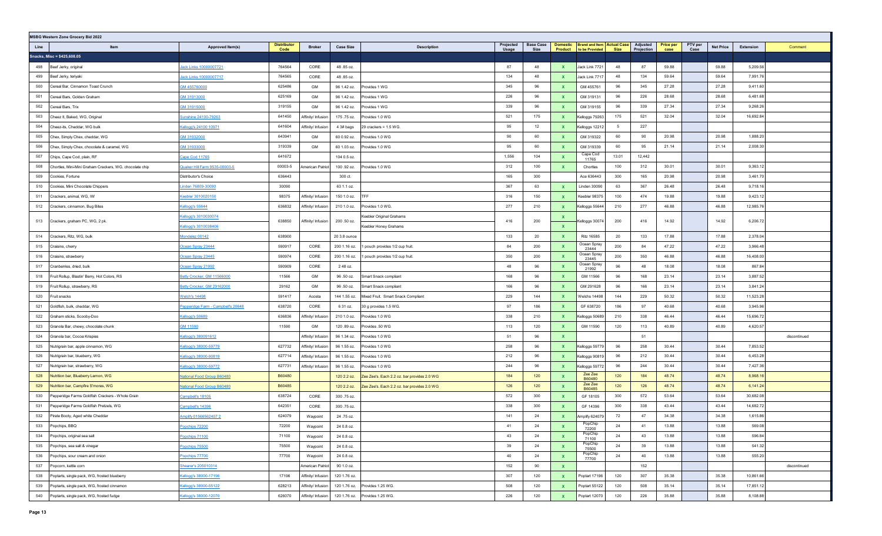|      | <b>MSBG Western Zone Grocery Bid 2022</b>               |                                                                                                          |         |                         |                    |                                             |                 |                                                                    |              |                        |                          |                 |                  |                      |       |              |  |
|------|---------------------------------------------------------|----------------------------------------------------------------------------------------------------------|---------|-------------------------|--------------------|---------------------------------------------|-----------------|--------------------------------------------------------------------|--------------|------------------------|--------------------------|-----------------|------------------|----------------------|-------|--------------|--|
| Line | Item                                                    | <b>Distributo</b><br>Approved Item(s)<br><b>Broker</b><br><b>Case Size</b><br><b>Description</b><br>Code |         |                         | Projected<br>Usage | <b>Base Case</b><br>Size                    | <b>Domestic</b> | <b>Brand and Item Actual Case</b><br><b>Product</b> to be Provided | Size         | Adjusted<br>Projection | <b>Price per</b><br>case | PTV per<br>Case | <b>Net Price</b> | Extension<br>Comment |       |              |  |
|      | Snacks, Misc = \$425,608.05                             |                                                                                                          |         |                         |                    |                                             |                 |                                                                    |              |                        |                          |                 |                  |                      |       |              |  |
| 498  | Beef Jerky, original                                    | Jack Links 10000007721                                                                                   | 764564  | CORE                    | 48.85 oz.          |                                             | 87              | 48                                                                 | $\mathbf{x}$ | Jack Link 7721         | 48                       | 87              | 59.88            |                      | 59.88 | 5,209.56     |  |
| 499  | Beef Jerky, teriyaki                                    | ack Links 10000007717                                                                                    | 764565  | CORE                    | 48.85 oz.          |                                             | 134             | 48                                                                 | $\mathbf{x}$ | Jack Link 7717         | 48                       | 134             | 59.64            |                      | 59.64 | 7,991.76     |  |
| 500  | Cereal Bar, Cinnamon Toast Crunch                       | GM 455760000                                                                                             | 625486  | GM                      | 96 1.42 oz.        | rovides 1 WG                                | 345             | 96                                                                 | $\mathbf{x}$ | GM 455761              | 96                       | 345             | 27.28            |                      | 27.28 | 9,411.60     |  |
| 501  | Cereal Bars, Golden Graham                              | GM 31913000                                                                                              | 625169  | GM                      | 96 1.42 oz.        | rovides 1 WG                                | 226             | 96                                                                 | $\mathbf{x}$ | GM 319131              | 96                       | 226             | 28.68            |                      | 28.68 | 6,481.68     |  |
| 502  | Cereal Bars, Trix                                       | GM 31915000                                                                                              | 319155  | GM                      | 96 1.42 oz.        | rovides 1 WG                                | 339             | 96                                                                 | $\mathbf{x}$ | GM 319155              | 96                       | 339             | 27.34            |                      | 27.34 | 9,268.26     |  |
| 503  | Cheez It, Baked, WG, Original                           | Sunshine 24100-79263                                                                                     | 641450  | Affinity/ Infusion      | 175.75 oz.         | rovides 1.0 WG                              | 521             | 175                                                                | $\mathbf{x}$ | Kelloggs 79263         | 175                      | 521             | 32.04            |                      | 32.04 | 16,692.84    |  |
| 504  | Cheez-its, Cheddar, WG bulk                             | Kellogg's 24100 10971                                                                                    | 641604  | Affinity/ Infusion      | 4 3# bags          | 29 crackers = 1.5 WG.                       | 95              | 12                                                                 | $\mathbf{x}$ | Kelloggs 1221;         | 5                        | 227             |                  |                      |       |              |  |
| 505  | Chex, Simply Chex, cheddar, WG                          | GM 31932000                                                                                              | 643941  | GM                      | 60 0.92 oz.        | rovides 1.0 WG                              | 90              | 60                                                                 | $\mathbf{x}$ | GM 319322              | 60                       | 90              | 20.98            |                      | 20.98 | 1,888.20     |  |
| 506  | Chex, Simply Chex, chocolate & caramel, WG              | 3M 31933000                                                                                              | 319339  | GM                      | 60 1.03 oz.        | rovides 1.0 WG                              | 95              | 60                                                                 | $\mathbf{x}$ | GM 319339              | 60                       | 95              | 21.14            |                      | 21.14 | 2,008.30     |  |
| 507  | Chips, Cape Cod, plain, RF                              | Cape Cod 11765                                                                                           | 641672  |                         | 104 0.5 oz.        |                                             | 1,556           | 104                                                                | $\mathbf{x}$ | Cape Cod<br>11765      | 13.01                    | 12,442          |                  |                      |       |              |  |
| 508  | Chortles, Mini-Mini Graham Crackers, WG, chocolate chip | Quaker Hill Farm 9535-00003-5                                                                            | 00003-5 | <b>Imerican Patriot</b> | 100 .92 oz.        | rovides 1.0 WG                              | 312             | 100                                                                | $\mathbf{x}$ | Chortles               | 100                      | 312             | 30.01            |                      | 30.01 | 9,363.12     |  |
| 509  | Cookies, Fortune                                        | Distributor's Choice                                                                                     | 636443  |                         | 300 ct.            |                                             | 165             | 300                                                                |              | Ace 636443             | 300                      | 165             | 20.98            |                      | 20.98 | 3,461.70     |  |
| 510  | Cookies, Mini Chocolate Chippers                        | inden 76809-30090                                                                                        | 30090   |                         | 63 1.1 oz.         |                                             | 367             | 63                                                                 | $\mathbf{x}$ | Linden 30090           | 63                       | 367             | 26.48            |                      | 26.48 | 9,718.16     |  |
| 511  | Crackers, animal, WG, IW                                | Keebler 3010020150                                                                                       | 98375   | Affinity/ Infusion      | 150 1.0 oz.        | TFF                                         | 316             | 150                                                                | $\mathbf{x}$ | Keebler 98375          | 100                      | 474             | 19.88            |                      | 19.88 | 9,423.12     |  |
| 512  | Crackers, cinnamon, Bug Bites                           | Kellogg's 55644                                                                                          | 636832  | Affinity/ Infusion      | 210 1.0 oz.        | rovides 1.0 WG.                             | 277             | 210                                                                | $\mathbf{x}$ | Kelloggs 55644         | 210                      | 277             | 46.88            |                      | 46.88 | 12,985.76    |  |
| 513  | Crackers, graham PC, WG, 2 pk.                          | Kellogg's 3010030074                                                                                     | 638850  | Affinity/ Infusion      | 200 .50 oz.        | Geebler Original Grahams                    | 416             | 200                                                                | X            | بة:elloggs 3007        | 200                      | 416             | 14.92            |                      | 14.92 | 6,206.72     |  |
|      |                                                         | Kellogg's 3010038406                                                                                     |         |                         |                    | Keebler Honey Grahams                       |                 |                                                                    | $\mathbf{x}$ |                        |                          |                 |                  |                      |       |              |  |
| 514  | Crackers, Ritz, WG, bulk                                | Mondelez 00142                                                                                           | 638900  |                         | 20 3.8 ounce       |                                             | 133             | 20                                                                 | $\mathbf{x}$ | <b>Ritz 16585</b>      | 20                       | 133             | 17.88            |                      | 17.88 | 2,378.04     |  |
| 515  | Craisins, cherry                                        | Ocean Spray 23444                                                                                        | 590917  | CORE                    | 200 1.16 oz.       | pouch provides 1/2 cup fruit.               | 84              | 200                                                                | $\mathbf{x}$ | Ocean Spray<br>23444   | 200                      | 84              | 47.22            |                      | 47.22 | 3,966.48     |  |
| 516  | Craisins, strawberry                                    | Ocean Spray 23445                                                                                        | 590974  | CORE                    | 200 1.16 oz.       | pouch provides 1/2 cup fruit.               | 350             | 200                                                                | $\mathbf{x}$ | Ocean Spray<br>23445   | 200                      | 350             | 46.88            |                      | 46.88 | 16,408.00    |  |
| 517  | Cranberries, dried, bulk                                | Ocean Spray 21992                                                                                        | 590909  | CORE                    | 248 oz.            |                                             | 48              | 96                                                                 | $\mathbf{x}$ | Ocean Spray<br>21992   | 96                       | 48              | 18.08            |                      | 18.08 | 867.84       |  |
| 518  | Fruit Rollup, Blastin' Berry, Hot Colors, RS            | Betty Crocker, GM 11566000                                                                               | 11566   | GM                      | 96 .50 oz.         | Smart Snack compliant                       | 168             | 96                                                                 | $\mathbf{x}$ | GM 11566               | 96                       | 168             | 23.14            |                      | 23.14 | 3,887.52     |  |
| 519  | Fruit Rollup, strawberry, RS                            | Betty Crocker, GM 29162000                                                                               | 29162   | GM                      | 96 .50 oz.         | Smart Snack compliant                       | 166             | 96                                                                 | $\mathbf{x}$ | GM 291628              | 96                       | 166             | 23.14            |                      | 23.14 | 3,841.24     |  |
| 520  | Fruit snacks                                            | <b>Welch's 14498</b>                                                                                     | 591417  | Acosta                  | 144 1.55 oz.       | Mixed Fruit. Smart Snack Compliant          | 229             | 144                                                                | $\mathbf{x}$ | <b>Nelchs 14498</b>    | 144                      | 229             | 50.32            |                      | 50.32 | 11,523.28    |  |
| 521  | Goldfish, bulk, cheddar, WG                             | Pepperidge Farm - Campbell's 20648                                                                       | 638720  | CORE                    | 6 31 oz.           | 30 g provides 1.5 WG.                       | 97              | 186                                                                | $\mathbf{x}$ | GF 638720              | 186                      | 97              | 40.68            |                      | 40.68 | 3,945.96     |  |
| 522  | Graham sticks, Scooby-Doo                               | Kellogg's 50689                                                                                          | 636836  | Affinity/ Infusion      | 210 1.0 oz.        | rovides 1.0 WG                              | 338             | 210                                                                | $\mathbf{x}$ | Kelloggs 50689         | 210                      | 338             | 46.44            |                      | 46.44 | 15,696.72    |  |
| 523  | Granola Bar, chewy, chocolate chunk                     | GM 11590                                                                                                 | 11590   | GM                      | 120.89 oz.         | rovides .50 WG                              | 113             | 120                                                                | X            | GM 11590               | 120                      | 113             | 40.89            |                      | 40.89 | 4,620.57     |  |
| 524  | Granola bar, Cocoa Krispies                             | Kellogg's 380091612                                                                                      |         | Affinity/ Infusion      | 96 1.34 oz.        | rovides 1.0 WG                              | 51              | 96                                                                 | $\mathbf{x}$ |                        |                          | 51              |                  |                      |       | discontinued |  |
| 525  | Nutrigrain bar, apple cinnamon, WG                      | <u>Cellogg's 38000-59779</u>                                                                             | 627732  | Affinity/ Infusion      | 96 1.55 oz.        | rovides 1.0 WG                              | 258             | 96                                                                 | $\mathbf{x}$ | Kelloggs 59779         | 96                       | 258             | 30.44            |                      | 30.44 | 7,853.52     |  |
| 526  | Nutrigrain bar, blueberry, WG                           | <u>Cellogg's 38000-90819</u>                                                                             | 627714  | Affinity/ Infusion      | 96 1.55 oz.        | rovides 1.0 WG                              | 212             | 96                                                                 | $\mathbf{x}$ | Kelloggs 90819         | 96                       | 212             | 30.44            |                      | 30.44 | 6,453.28     |  |
| 527  | Nutrigrain bar, strawberry, WG                          | Cellogg's 38000-59772                                                                                    | 627731  | Affinity/ Infusion      | 96 1.55 oz.        | rovides 1.0 WG                              | 244             | 96                                                                 | $\mathbf{x}$ | Celloggs 59772         | 96                       | 244             | 30.44            |                      | 30.44 | 7,427.36     |  |
| 528  | Nutrition bar, Blueberry Lemon, WG                      | <b>Vational Food Group B60480</b>                                                                        | B60480  |                         | 120 2.2 oz.        | Zee Zee's. Each 2.2 oz. bar provides 2.0 WG | 184             | 120                                                                | $\mathbf{x}$ | Zee Zee<br>B60480      | 120                      | 184             | 48.74            |                      | 48.74 | 8,968.16     |  |
| 529  | Nutrition bar, Campfire S'mores, WG                     | National Food Group B60480                                                                               | B60485  |                         | 120 2.2 oz.        | Zee Zee's, Each 2.2 oz, bar provides 2.0 WG | 126             | 120                                                                | $\mathbf{x}$ | Zee Zee<br>B60485      | 120                      | 126             | 48.74            |                      | 48.74 | 6,141.24     |  |
| 530  | Pepperidge Farms Goldfish Crackers - Whole Grain        | Campbell's 18105                                                                                         | 638724  | CORE                    | 300 .75 oz.        |                                             | 572             | 300                                                                | $\mathbf{x}$ | GF 18105               | 300                      | 572             | 53.64            |                      | 53.64 | 30,682.08    |  |
| 531  | Pepperidge Farms Goldfish Pretzels, WG                  | Campbell's 14396                                                                                         | 642351  | CORE                    | 300.75 oz.         |                                             | 338             | 300                                                                | X            | GF 14396               | 300                      | 338             | 43.44            |                      | 43.44 | 14,682.72    |  |
| 532  | Pirate Booty, Aged white Cheddar                        | Amplify 01566562407 2                                                                                    | 624079  | Waypoint                | 24 .75 oz.         |                                             | 141             | 24                                                                 | $\mathbf{x}$ | Amplify 624079         | 72                       | 47              | 34.38            |                      | 34.38 | 1,615.86     |  |
| 533  | Popchips, BBQ                                           | Popchips 72200                                                                                           | 72200   | Waypoint                | 24 0.8 oz.         |                                             | 41              | 24                                                                 | X            | PopChip<br>72200       | 24                       | 41              | 13.88            |                      | 13.88 | 569.08       |  |
| 534  | Popchips, original sea salt                             | Popchips 71100                                                                                           | 71100   | Waypoint                | 24 0.8 oz.         |                                             | 43              | 24                                                                 | $\mathbf{x}$ | PopChip<br>71100       | 24                       | 43              | 13.88            |                      | 13.88 | 596.84       |  |
| 535  | Popchips, sea salt & vinegar                            | Popchips 75500                                                                                           | 75500   | Waypoint                | 24 0.8 oz.         |                                             | 39              | 24                                                                 | $\mathbf{x}$ | PopChip<br>75500       | 24                       | 39              | 13.88            |                      | 13.88 | 541.32       |  |
| 536  | Popchips, sour cream and onion                          | Popchips 77700                                                                                           | 77700   | Waypoint                | 24 0.8 oz.         |                                             | 40              | 24                                                                 | $\mathbf{x}$ | PopChip<br>77700       | 24                       | 40              | 13.88            |                      | 13.88 | 555.20       |  |
| 537  | Popcorn, kettle corn                                    | Shearer's 205010314                                                                                      |         | American Patriot        | 90 1.0 oz.         |                                             | 152             | 90                                                                 | $\mathbf{x}$ |                        |                          | 152             |                  |                      |       | discontinued |  |
| 538  | Poptarts, single pack, WG, frosted blueberry            | Kellogg's 38000-17196                                                                                    | 17196   | Affinity/ Infusion      | 120 1.76 oz.       |                                             | 307             | 120                                                                | $\mathbf{x}$ | Poptart 17196          | 120                      | 307             | 35.38            |                      | 35.38 | 10,861.66    |  |
| 539  | Poptarts, single pack, WG, frosted cinnamon             | Kellogg's 38000-55122                                                                                    | 628213  | Affinity/ Infusion      | 120 1.76 oz.       | Provides 1.25 WG.                           | 508             | 120                                                                | $\mathbf{x}$ | Poptart 55122          | 120                      | 508             | 35.14            |                      | 35.14 | 17,851.12    |  |
| 540  | Poptarts, single pack, WG, frosted fudge                | Kellogg's 38000-12070                                                                                    | 626070  | Affinity/ Infusion      |                    | 120 1.76 oz. Provides 1.25 WG.              | 226             | 120                                                                | $\mathbf{x}$ | Poptart 12070          | 120                      | 226             | 35.88            |                      | 35.88 | 8,108.88     |  |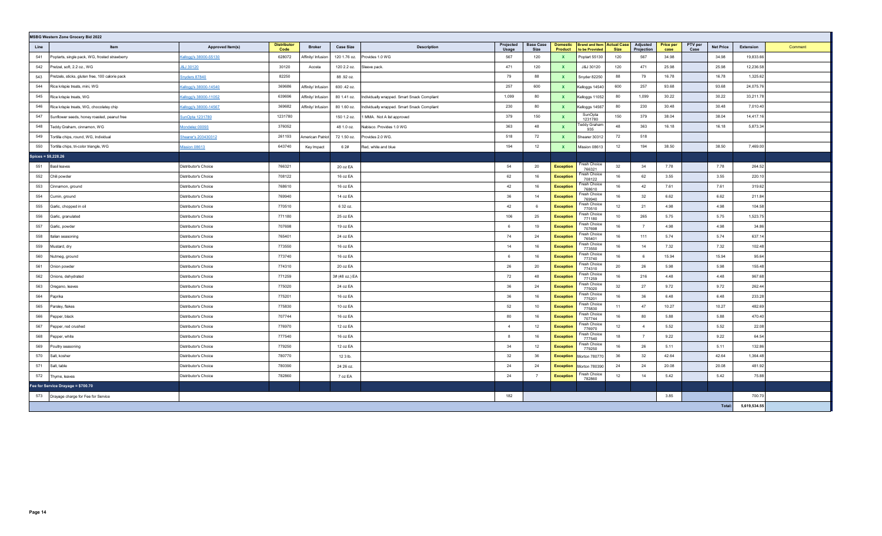| <b>MSBG Western Zone Grocery Bid 2022</b> |                                                 |                       |                            |                    |                  |                                             |                    |                          |                            |                                                     |                                       |                          |                 |                  |              |         |
|-------------------------------------------|-------------------------------------------------|-----------------------|----------------------------|--------------------|------------------|---------------------------------------------|--------------------|--------------------------|----------------------------|-----------------------------------------------------|---------------------------------------|--------------------------|-----------------|------------------|--------------|---------|
| Line                                      | Item                                            | Approved Item(s)      | <b>Distributor</b><br>Code | <b>Broker</b>      | <b>Case Size</b> | <b>Description</b>                          | Projected<br>Usage | <b>Base Case</b><br>Size | <b>Domestic</b><br>Product | <b>Brand and Item Actual Case</b><br>to be Provided | Adjusted<br>Projection<br><b>Size</b> | <b>Price per</b><br>case | PTV per<br>Case | <b>Net Price</b> | Extension    | Comment |
| 541                                       | Poptarts, single pack, WG, frosted strawberry   | Cellogg's 38000-55130 | 628072                     | Affinity/ Infusion | 120 1.76 oz.     | Provides 1.0 WG                             | 567                | 120                      | <b>X</b>                   | Poptart 55130                                       | 567<br>120                            | 34.98                    |                 | 34.98            | 19,833.66    |         |
| 542                                       | Pretzel, soft, 2.2 oz., WG                      | <b>8J 30120</b>       | 30120                      | Acosta             | 120 2.2 oz.      | Sleeve pack.                                | 471                | 120                      | <b>X</b>                   | J&J 30120                                           | 120<br>471                            | 25.98                    |                 | 25.98            | 12,236.58    |         |
| 543                                       | Pretzels, sticks, gluten free, 100 calorie pack | inyders 87840         | 82250                      |                    | 88.92 oz.        |                                             | 79                 | 88                       | $\mathbf{x}$               | Snyder 82250                                        | 88<br>79                              | 16.78                    |                 | 16.78            | 1,325.62     |         |
| 544                                       | Rice krispie treats, mini, WG                   | Cellogg's 38000-14540 | 369686                     | Affinity/ Infusion | 600 .42 oz.      |                                             | 257                | 600                      | $\mathbf{x}$               | Kelloggs 14540                                      | 600<br>257                            | 93.68                    |                 | 93.68            | 24,075.76    |         |
| 545                                       | Rice krispie treats, WG                         | Cellogg's 38000-11052 | 639696                     | Affinity/ Infusion | 80 1.41 oz.      | Individually wrapped. Smart Snack Compliant | 1,099              | 80                       | $\mathbf{x}$               | Kelloggs 11052                                      | 1,099<br>80                           | 30.22                    |                 | 30.22            | 33,211.78    |         |
| 546                                       | Rice krispie treats, WG, chocolatey chip        | Cellogg's 38000-14567 | 369682                     | Affinity/ Infusion | 80 1.60 oz.      | Individually wrapped. Smart Snack Compliant | 230                | 80                       | $\mathbf{x}$               | Kelloggs 14567                                      | 230<br>80                             | 30.48                    |                 | 30.48            | 7,010.40     |         |
| 547                                       | Sunflower seeds, honey roasted, peanut free     | SunOpta 1231780       | 1231780                    |                    | 150 1.2 oz.      | MMA. Not A list approved                    | 379                | 150                      |                            | SunOpta<br>1231780                                  | 150<br>379                            | 38.04                    |                 | 38.04            | 14,417.16    |         |
| 548                                       | Feddy Graham, cinnamon, WG                      | fondelez 00093        | 376052                     |                    | 48 1.0 oz.       | Nabisco. Provides 1.0 WG                    | 363                | 48                       | $\mathbf{x}$               | <b>Feddy Graham</b><br>935                          | 48<br>363                             | 16.18                    |                 | 16.18            | 5,873.34     |         |
| 549                                       | Tortilla chips, round, WG, Individual           | hearer's 203430312    | 261193                     | American Patriot   | 72 1.50 oz.      | Provides 2.0 WG.                            | 518                | 72                       | $\mathbf{x}$               | Shearer 30312                                       | 518<br>72                             |                          |                 |                  |              |         |
| 550                                       | Tortilla chips, tri-color triangle, WG          | <b>Mission 08613</b>  | 643740                     | Key Impact         | 6 2#             | Red, white and blue                         | 194                | 12                       |                            | Mission 08613                                       | 12<br>194                             | 38.50                    |                 | 38.50            | 7,469.00     |         |
| $Spices = $8,228.26$                      |                                                 |                       |                            |                    |                  |                                             |                    |                          |                            |                                                     |                                       |                          |                 |                  |              |         |
| 551                                       | <b>Basil</b> leaves                             | Distributor's Choice  | 766321                     |                    | 20 oz EA         |                                             | 54                 | 20                       | <b>Exception</b>           | Fresh Choice<br>766321                              | 32<br>34                              | 7.78                     |                 | 7.78             | 264.52       |         |
| 552                                       | Chili powder                                    | Distributor's Choice  | 708122                     |                    | 16 oz EA         |                                             | 62                 | 16                       | <b>Exception</b>           | Fresh Choice<br>708122                              | 16<br>62                              | 3.55                     |                 | 3.55             | 220.10       |         |
| 553                                       | Cinnamon, ground                                | Distributor's Choice  | 768610                     |                    | 16 oz EA         |                                             | 42                 | 16                       | <b>Exception</b>           | Fresh Choice<br>768610                              | 16<br>42                              | 7.61                     |                 | 7.61             | 319.62       |         |
| 554                                       | Cumin, ground                                   | Distributor's Choice  | 769940                     |                    | 14 oz EA         |                                             | 36                 | 14                       | <b>Exception</b>           | Fresh Choice<br>769940                              | 16<br>32                              | 6.62                     |                 | 6.62             | 211.84       |         |
| 555                                       | Garlic, chopped in oil                          | Distributor's Choice  | 770510                     |                    | 6 32 oz.         |                                             | 42                 | 6                        | <b>Exception</b>           | Fresh Choice<br>770510                              | 12<br>21                              | 4.98                     |                 | 4.98             | 104.58       |         |
| 556                                       | Garlic, granulated                              | Distributor's Choice  | 771180                     |                    | 25 oz EA         |                                             | 106                | 25                       | <b>Exception</b>           | Fresh Choice<br>771180                              | 10<br>265                             | 5.75                     |                 | 5.75             | 1,523.75     |         |
| 557                                       | Garlic, powder                                  | Distributor's Choice  | 707698                     |                    | 19 oz EA         |                                             | -6                 | 19                       | <b>Exception</b>           | Fresh Choice<br>707698                              | 16<br>7                               | 4.98                     |                 | 4.98             | 34.86        |         |
| 558                                       | Italian seasoning                               | Distributor's Choice  | 765401                     |                    | 24 oz EA         |                                             | 74                 | 24                       | <b>Exception</b>           | Fresh Choice<br>765401                              | 16<br>111                             | 5.74                     |                 | 5.74             | 637.14       |         |
| 559                                       | Mustard, dry                                    | Distributor's Choice  | 773550                     |                    | 16 oz EA         |                                             | 14                 | 16                       | <b>Exception</b>           | Fresh Choice<br>773550                              | 16<br>14                              | 7.32                     |                 | 7.32             | 102.48       |         |
| 560                                       | Nutmeg, ground                                  | Distributor's Choice  | 773740                     |                    | 16 oz EA         |                                             | - 6                | 16                       | <b>Exception</b>           | Fresh Choice<br>773740                              | 16<br>6                               | 15.94                    |                 | 15.94            | 95.64        |         |
| 561                                       | Onion powder                                    | Distributor's Choice  | 774310                     |                    | 20 oz EA         |                                             | 26                 | 20                       | <b>Exception</b>           | Fresh Choice<br>774310                              | 20<br>26                              | 5.98                     |                 | 5.98             | 155.48       |         |
| 562                                       | Onions, dehydrated                              | Distributor's Choice  | 771259                     |                    | 3# (48 oz.) EA   |                                             | 72                 | 48                       | <b>Exception</b>           | Fresh Choice<br>771259                              | 16<br>216                             | 4.48                     |                 | 4.48             | 967.68       |         |
| 563                                       | Oregano, leaves                                 | Distributor's Choice  | 775020                     |                    | 24 oz EA         |                                             | 36                 | 24                       | <b>Exception</b>           | Fresh Choice<br>775020                              | 32<br>27                              | 9.72                     |                 | 9.72             | 262.44       |         |
| 564                                       | Paprika                                         | Distributor's Choice  | 775201                     |                    | 16 oz EA         |                                             | 36                 | 16                       | <b>Exception</b>           | Fresh Choice<br>775201                              | 16<br>36                              | 6.48                     |                 | 6.48             | 233.28       |         |
| 565                                       | Parsley, flakes                                 | Distributor's Choice  | 775830                     |                    | 10 oz EA         |                                             | 52                 | 10                       | <b>Exception</b>           | Fresh Choice<br>775830                              | 11<br>47                              | 10.27                    |                 | 10.27            | 482.69       |         |
| 566                                       | Pepper, black                                   | Distributor's Choice  | 707744                     |                    | 16 oz EA         |                                             | 80                 | 16                       | <b>Exception</b>           | Fresh Choice<br>707744                              | 16<br>80                              | 5.88                     |                 | 5.88             | 470.40       |         |
| 567                                       | Pepper, red crushed                             | Distributor's Choice  | 776970                     |                    | 12 oz EA         |                                             | $\overline{4}$     | 12                       | <b>Exception</b>           | Fresh Choice<br>776970                              | 12<br>$\overline{4}$                  | 5.52                     |                 | 5.52             | 22.08        |         |
| 568                                       | Pepper, white                                   | Distributor's Choice  | 777540                     |                    | 16 oz EA         |                                             | 8                  | 16                       | <b>Exception</b>           | Fresh Choice<br>777540                              | 18<br>7                               | 9.22                     |                 | 9.22             | 64.54        |         |
| 569                                       | Poultry seasoning                               | Distributor's Choice  | 779250                     |                    | 12 oz EA         |                                             | 34                 | 12                       | <b>Exception</b>           | Fresh Choice<br>779250                              | 16<br>26                              | 5.11                     |                 | 5.11             | 132.86       |         |
| 570                                       | Salt, kosher                                    | Distributor's Choice  | 780770                     |                    | 12 3 lb.         |                                             | 32                 | 36                       | <b>Exception</b>           | Morton 780770                                       | 32<br>36                              | 42.64                    |                 | 42.64            | 1.364.48     |         |
| 571                                       | Salt, table                                     | Distributor's Choice  | 780390                     |                    | 24 26 oz.        |                                             | 24                 | 24                       | <b>Exception</b>           | Morton 780390                                       | 24<br>24                              | 20.08                    |                 | 20.08            | 481.92       |         |
| 572                                       | Thyme, leaves                                   | Distributor's Choice  | 782860                     |                    | 7 oz EA          |                                             | 24                 |                          | <b>Exception</b>           | Fresh Choice<br>782860                              | 12<br>14                              | 5.42                     |                 | 5.42             | 75.88        |         |
|                                           | Fee for Service Drayage = \$700.70              |                       |                            |                    |                  |                                             |                    |                          |                            |                                                     |                                       |                          |                 |                  |              |         |
| 573                                       | Drayage charge for Fee for Service              |                       |                            |                    |                  |                                             | 182                |                          |                            |                                                     |                                       | 3.85                     |                 |                  | 700.70       |         |
|                                           |                                                 |                       |                            |                    |                  |                                             |                    |                          |                            |                                                     |                                       |                          |                 | Total:           | 5,619,534.55 |         |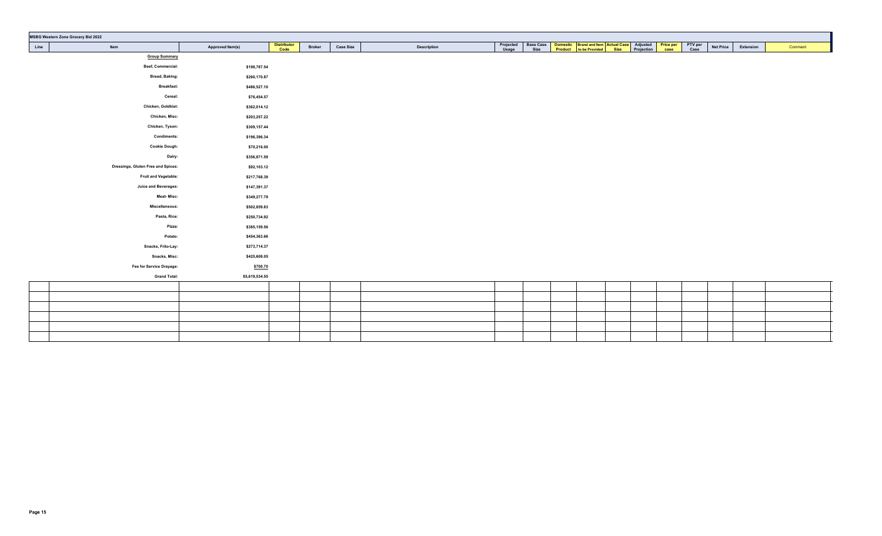| <b>MSBG Western Zone Grocery Bid 2022</b> |                  |                            |               |                  |                    |                    |  |                                                                                                                                   |  |  |                  |           |         |  |
|-------------------------------------------|------------------|----------------------------|---------------|------------------|--------------------|--------------------|--|-----------------------------------------------------------------------------------------------------------------------------------|--|--|------------------|-----------|---------|--|
| Line<br>Item                              | Approved Item(s) | <b>Distributor</b><br>Code | <b>Broker</b> | <b>Case Size</b> | <b>Description</b> | Projected<br>Usage |  | Base Case Domestic Brand and Item Actual Case Adjusted Price per PTV per<br>Size Product to be Provided Size Projection case Case |  |  | <b>Net Price</b> | Extension | Comment |  |
| <b>Group Summary</b>                      |                  |                            |               |                  |                    |                    |  |                                                                                                                                   |  |  |                  |           |         |  |
| Beef, Commercial:                         | \$198,787.54     |                            |               |                  |                    |                    |  |                                                                                                                                   |  |  |                  |           |         |  |
| <b>Bread, Baking:</b>                     | \$260,170.87     |                            |               |                  |                    |                    |  |                                                                                                                                   |  |  |                  |           |         |  |
| <b>Breakfast:</b>                         | \$486,527.10     |                            |               |                  |                    |                    |  |                                                                                                                                   |  |  |                  |           |         |  |
| Cereal:                                   | \$76,454.57      |                            |               |                  |                    |                    |  |                                                                                                                                   |  |  |                  |           |         |  |
| Chicken, Goldkist:                        | \$362,014.12     |                            |               |                  |                    |                    |  |                                                                                                                                   |  |  |                  |           |         |  |
| Chicken, Misc:                            | \$203,257.22     |                            |               |                  |                    |                    |  |                                                                                                                                   |  |  |                  |           |         |  |
| Chicken, Tyson:                           | \$309,157.44     |                            |               |                  |                    |                    |  |                                                                                                                                   |  |  |                  |           |         |  |
| <b>Condiments:</b>                        | \$196,396.34     |                            |               |                  |                    |                    |  |                                                                                                                                   |  |  |                  |           |         |  |
| <b>Cookie Dough:</b>                      | \$70,216.00      |                            |               |                  |                    |                    |  |                                                                                                                                   |  |  |                  |           |         |  |
| Dairy:                                    | \$356,871.59     |                            |               |                  |                    |                    |  |                                                                                                                                   |  |  |                  |           |         |  |
| Dressings, Gluten Free and Spices:        | \$92,103.12      |                            |               |                  |                    |                    |  |                                                                                                                                   |  |  |                  |           |         |  |
| <b>Fruit and Vegetable:</b>               | \$217,768.39     |                            |               |                  |                    |                    |  |                                                                                                                                   |  |  |                  |           |         |  |
| <b>Juice and Beverages:</b>               | \$147,391.37     |                            |               |                  |                    |                    |  |                                                                                                                                   |  |  |                  |           |         |  |
| <b>Meat-Misc:</b>                         | \$349,277.79     |                            |               |                  |                    |                    |  |                                                                                                                                   |  |  |                  |           |         |  |
| Miscellaneous:                            | \$502,859.83     |                            |               |                  |                    |                    |  |                                                                                                                                   |  |  |                  |           |         |  |
| Pasta, Rice:                              | \$250,734.92     |                            |               |                  |                    |                    |  |                                                                                                                                   |  |  |                  |           |         |  |
| Pizza:                                    | \$385,159.56     |                            |               |                  |                    |                    |  |                                                                                                                                   |  |  |                  |           |         |  |
| Potato:                                   | \$454,363.66     |                            |               |                  |                    |                    |  |                                                                                                                                   |  |  |                  |           |         |  |
| Snacks, Frito-Lay:                        | \$273,714.37     |                            |               |                  |                    |                    |  |                                                                                                                                   |  |  |                  |           |         |  |
| Snacks, Misc:                             | \$425,608.05     |                            |               |                  |                    |                    |  |                                                                                                                                   |  |  |                  |           |         |  |
| Fee for Service Drayage:                  | \$700.70         |                            |               |                  |                    |                    |  |                                                                                                                                   |  |  |                  |           |         |  |
| <b>Grand Total:</b>                       | \$5,619,534.55   |                            |               |                  |                    |                    |  |                                                                                                                                   |  |  |                  |           |         |  |
|                                           |                  |                            |               |                  |                    |                    |  |                                                                                                                                   |  |  |                  |           |         |  |
|                                           |                  |                            |               |                  |                    |                    |  |                                                                                                                                   |  |  |                  |           |         |  |
|                                           |                  |                            |               |                  |                    |                    |  |                                                                                                                                   |  |  |                  |           |         |  |
|                                           |                  |                            |               |                  |                    |                    |  |                                                                                                                                   |  |  |                  |           |         |  |
|                                           |                  |                            |               |                  |                    |                    |  |                                                                                                                                   |  |  |                  |           |         |  |
|                                           |                  |                            |               |                  |                    |                    |  |                                                                                                                                   |  |  |                  |           |         |  |